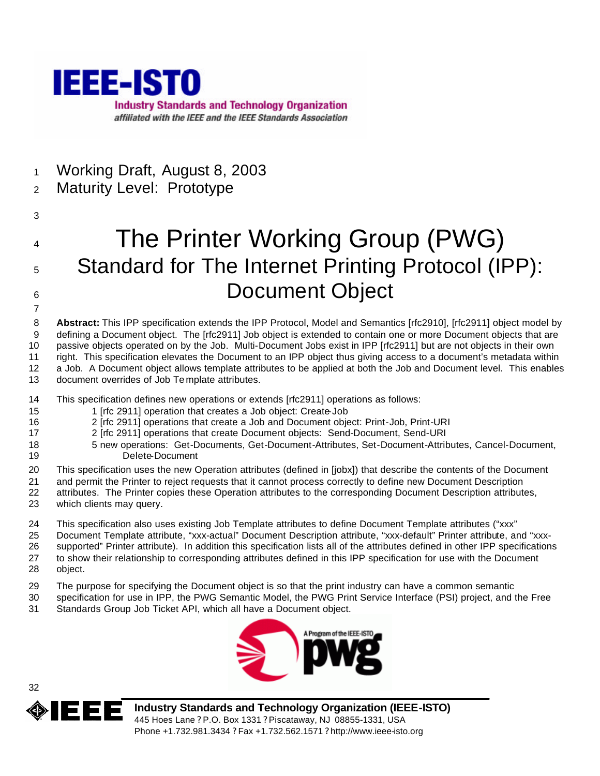

- Working Draft, August 8, 2003
- Maturity Level: Prototype
- 

# The Printer Working Group (PWG) 5 Standard for The Internet Printing Protocol (IPP): 6 Document Object

 **Abstract:** This IPP specification extends the IPP Protocol, Model and Semantics [rfc2910], [rfc2911] object model by defining a Document object. The [rfc2911] Job object is extended to contain one or more Document objects that are passive objects operated on by the Job. Multi-Document Jobs exist in IPP [rfc2911] but are not objects in their own right. This specification elevates the Document to an IPP object thus giving access to a document's metadata within a Job. A Document object allows template attributes to be applied at both the Job and Document level. This enables document overrides of Job Te mplate attributes.

- This specification defines new operations or extends [rfc2911] operations as follows:
- 1 [rfc 2911] operation that creates a Job object: Create-Job
- 2 [rfc 2911] operations that create a Job and Document object: Print-Job, Print-URI
- 2 [rfc 2911] operations that create Document objects: Send-Document, Send-URI
- 5 new operations: Get-Documents, Get-Document-Attributes, Set-Document-Attributes, Cancel-Document, Delete-Document
- This specification uses the new Operation attributes (defined in [jobx]) that describe the contents of the Document
- and permit the Printer to reject requests that it cannot process correctly to define new Document Description
- attributes. The Printer copies these Operation attributes to the corresponding Document Description attributes, which clients may query.
- This specification also uses existing Job Template attributes to define Document Template attributes ("xxx"
- Document Template attribute, "xxx-actual" Document Description attribute, "xxx-default" Printer attribute, and "xxx-
- supported" Printer attribute). In addition this specification lists all of the attributes defined in other IPP specifications to show their relationship to corresponding attributes defined in this IPP specification for use with the Document
- object.
- The purpose for specifying the Document object is so that the print industry can have a common semantic
- specification for use in IPP, the PWG Semantic Model, the PWG Print Service Interface (PSI) project, and the Free Standards Group Job Ticket API, which all have a Document object.





**Industry Standards and Technology Organization (IEEE-ISTO)** 445 Hoes Lane ? P.O. Box 1331 ? Piscataway, NJ 08855-1331, USA Phone +1.732.981.3434 ? Fax +1.732.562.1571 ? http://www.ieee-isto.org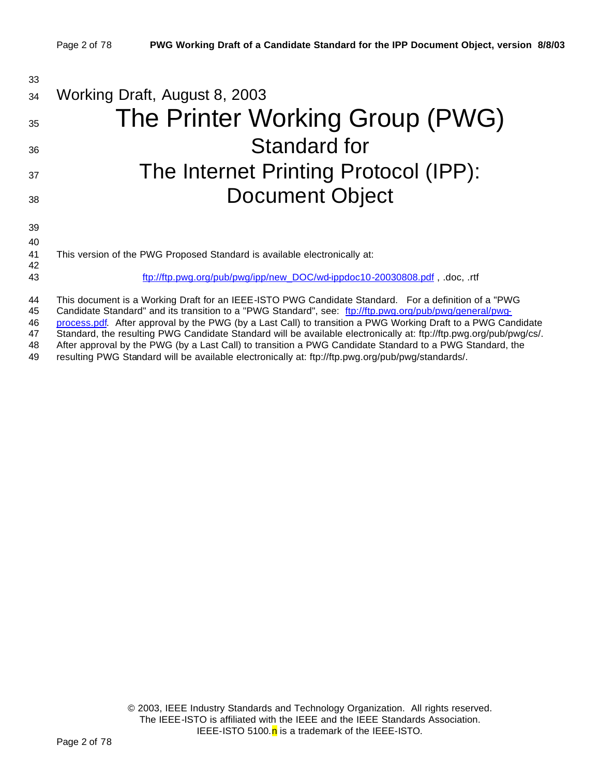| 33             |                                                                                                                                                                                                                                                                                                                                 |
|----------------|---------------------------------------------------------------------------------------------------------------------------------------------------------------------------------------------------------------------------------------------------------------------------------------------------------------------------------|
| 34             | Working Draft, August 8, 2003                                                                                                                                                                                                                                                                                                   |
| 35             | The Printer Working Group (PWG)                                                                                                                                                                                                                                                                                                 |
| 36             | Standard for                                                                                                                                                                                                                                                                                                                    |
| 37             | The Internet Printing Protocol (IPP):                                                                                                                                                                                                                                                                                           |
| 38             | <b>Document Object</b>                                                                                                                                                                                                                                                                                                          |
| 39<br>40       |                                                                                                                                                                                                                                                                                                                                 |
| 41<br>42       | This version of the PWG Proposed Standard is available electronically at:                                                                                                                                                                                                                                                       |
| 43             | ftp://ftp.pwg.org/pub/pwg/ipp/new_DOC/wd-ippdoc10-20030808.pdf, .doc, .rtf                                                                                                                                                                                                                                                      |
| 44<br>45<br>46 | This document is a Working Draft for an IEEE-ISTO PWG Candidate Standard. For a definition of a "PWG<br>Candidate Standard" and its transition to a "PWG Standard", see: ftp://ftp.pwg.org/pub/pwg/general/pwg-<br>process.pdf. After approval by the PWG (by a Last Call) to transition a PWG Working Draft to a PWG Candidate |

47 Standard, the resulting PWG Candidate Standard will be available electronically at: ftp://ftp.pwg.org/pub/pwg/cs/.<br>48 After approval by the PWG (by a Last Call) to transition a PWG Candidate Standard to a PWG Standard, After approval by the PWG (by a Last Call) to transition a PWG Candidate Standard to a PWG Standard, the

49 resulting PWG Standard will be available electronically at: ftp://ftp.pwg.org/pub/pwg/standards/.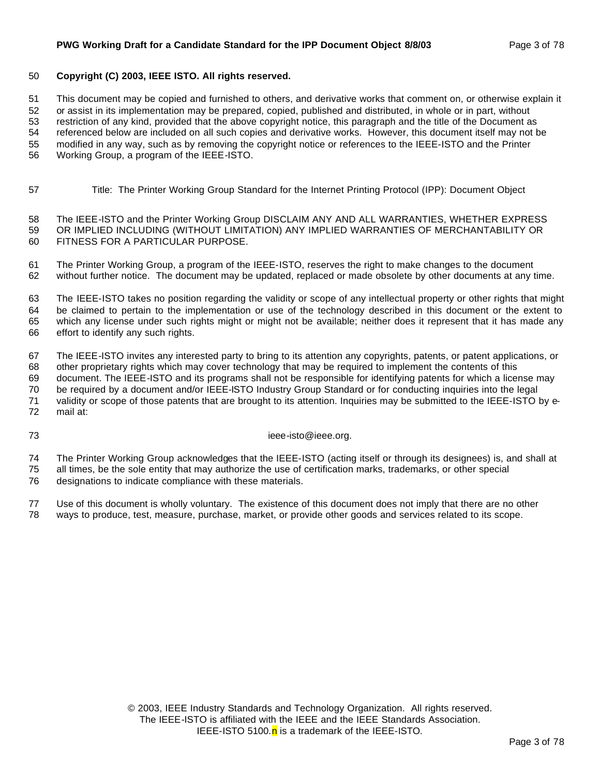#### **PWG Working Draft for a Candidate Standard for the IPP Document Object 8/8/03** Page 3 of 78

#### **Copyright (C) 2003, IEEE ISTO. All rights reserved.**

This document may be copied and furnished to others, and derivative works that comment on, or otherwise explain it

or assist in its implementation may be prepared, copied, published and distributed, in whole or in part, without

restriction of any kind, provided that the above copyright notice, this paragraph and the title of the Document as

 referenced below are included on all such copies and derivative works. However, this document itself may not be modified in any way, such as by removing the copyright notice or references to the IEEE-ISTO and the Printer

Working Group, a program of the IEEE-ISTO.

Title: The Printer Working Group Standard for the Internet Printing Protocol (IPP): Document Object

 The IEEE-ISTO and the Printer Working Group DISCLAIM ANY AND ALL WARRANTIES, WHETHER EXPRESS OR IMPLIED INCLUDING (WITHOUT LIMITATION) ANY IMPLIED WARRANTIES OF MERCHANTABILITY OR FITNESS FOR A PARTICULAR PURPOSE.

 The Printer Working Group, a program of the IEEE-ISTO, reserves the right to make changes to the document without further notice. The document may be updated, replaced or made obsolete by other documents at any time.

 The IEEE-ISTO takes no position regarding the validity or scope of any intellectual property or other rights that might be claimed to pertain to the implementation or use of the technology described in this document or the extent to which any license under such rights might or might not be available; neither does it represent that it has made any effort to identify any such rights.

The IEEE-ISTO invites any interested party to bring to its attention any copyrights, patents, or patent applications, or

 other proprietary rights which may cover technology that may be required to implement the contents of this document. The IEEE-ISTO and its programs shall not be responsible for identifying patents for which a license may be required by a document and/or IEEE-ISTO Industry Group Standard or for conducting inquiries into the legal validity or scope of those patents that are brought to its attention. Inquiries may be submitted to the IEEE-ISTO by e-

mail at:

ieee-isto@ieee.org.

 The Printer Working Group acknowledges that the IEEE-ISTO (acting itself or through its designees) is, and shall at all times, be the sole entity that may authorize the use of certification marks, trademarks, or other special

designations to indicate compliance with these materials.

 Use of this document is wholly voluntary. The existence of this document does not imply that there are no other ways to produce, test, measure, purchase, market, or provide other goods and services related to its scope.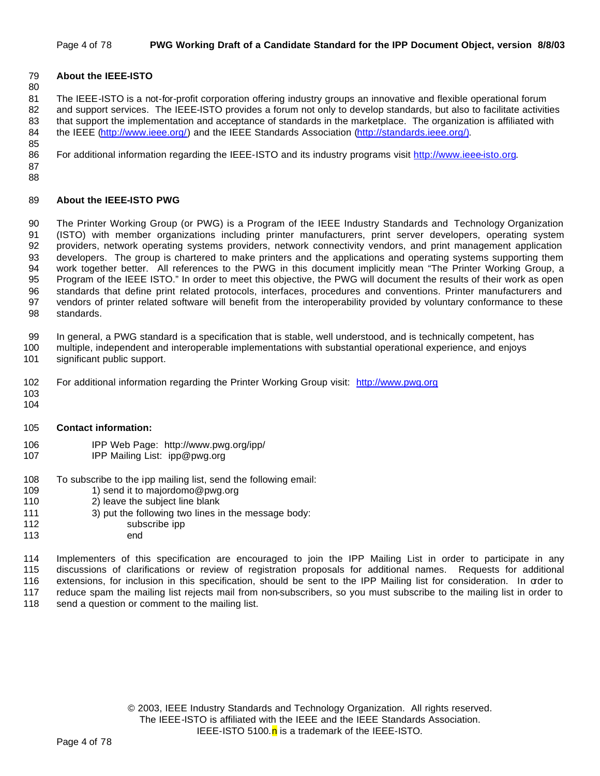#### Page 4 of 78 **PWG Working Draft of a Candidate Standard for the IPP Document Object, version 8/8/03**

#### **About the IEEE-ISTO**

 The IEEE-ISTO is a not-for-profit corporation offering industry groups an innovative and flexible operational forum 82 and support services. The IEEE-ISTO provides a forum not only to develop standards, but also to facilitate activities that support the implementation and acceptance of standards in the marketplace. The organization is affiliated with 84 the IEEE (http://www.ieee.org/) and the IEEE Standards Association (http://standards.ieee.org/).

For additional information regarding the IEEE-ISTO and its industry programs visit http://www.ieee-isto.org.

 

#### **About the IEEE-ISTO PWG**

 The Printer Working Group (or PWG) is a Program of the IEEE Industry Standards and Technology Organization (ISTO) with member organizations including printer manufacturers, print server developers, operating system providers, network operating systems providers, network connectivity vendors, and print management application developers. The group is chartered to make printers and the applications and operating systems supporting them work together better. All references to the PWG in this document implicitly mean "The Printer Working Group, a Program of the IEEE ISTO." In order to meet this objective, the PWG will document the results of their work as open standards that define print related protocols, interfaces, procedures and conventions. Printer manufacturers and vendors of printer related software will benefit from the interoperability provided by voluntary conformance to these standards.

In general, a PWG standard is a specification that is stable, well understood, and is technically competent, has

- multiple, independent and interoperable implementations with substantial operational experience, and enjoys significant public support.
- For additional information regarding the Printer Working Group visit: http://www.pwg.org
- 
- **Contact information:**
- IPP Web Page: http://www.pwg.org/ipp/
- IPP Mailing List: ipp@pwg.org
- 108 To subscribe to the ipp mailing list, send the following email:<br>109 1) send it to maiordomo@pwg.org
- 1) send it to majordomo@pwg.org
- 2) leave the subject line blank
- 3) put the following two lines in the message body:
- 112 subscribe ipp
- end

 Implementers of this specification are encouraged to join the IPP Mailing List in order to participate in any discussions of clarifications or review of registration proposals for additional names. Requests for additional extensions, for inclusion in this specification, should be sent to the IPP Mailing list for consideration. In order to reduce spam the mailing list rejects mail from non-subscribers, so you must subscribe to the mailing list in order to 118 send a question or comment to the mailing list.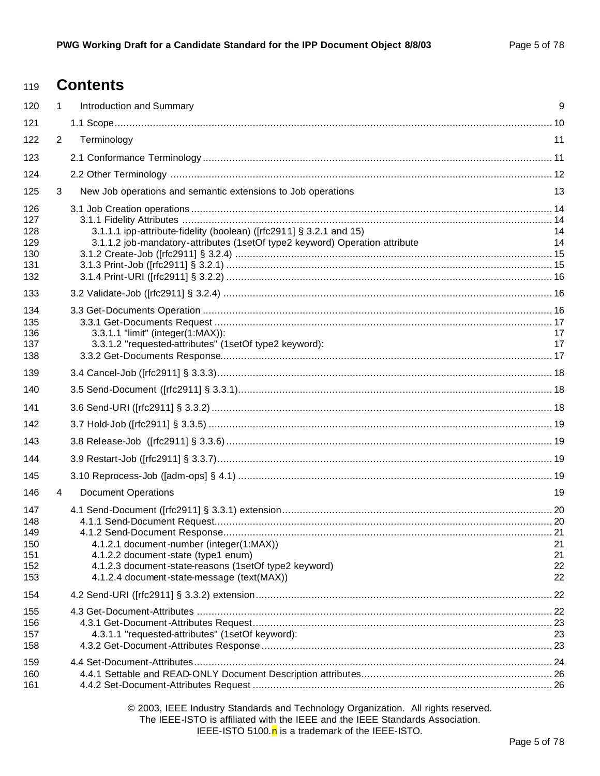# **Contents**

| 120                                           | 1              | Introduction and Summary                                                                                                                                                               | 9                    |
|-----------------------------------------------|----------------|----------------------------------------------------------------------------------------------------------------------------------------------------------------------------------------|----------------------|
| 121                                           |                |                                                                                                                                                                                        |                      |
| 122                                           | $\overline{2}$ | Terminology                                                                                                                                                                            | 11                   |
| 123                                           |                |                                                                                                                                                                                        |                      |
| 124                                           |                |                                                                                                                                                                                        |                      |
| 125                                           | 3              | New Job operations and semantic extensions to Job operations                                                                                                                           | 13                   |
| 126<br>127<br>128<br>129<br>130<br>131<br>132 |                | 3.1.1.1 ipp-attribute-fidelity (boolean) ([rfc2911] § 3.2.1 and 15)<br>3.1.1.2 job-mandatory-attributes (1setOf type2 keyword) Operation attribute                                     | 14<br>14             |
| 133                                           |                |                                                                                                                                                                                        |                      |
| 134<br>135<br>136<br>137<br>138               |                | 3.3.1.1 "limit" (integer(1:MAX)):<br>3.3.1.2 "requested-attributes" (1setOf type2 keyword):                                                                                            | 17<br>17             |
| 139                                           |                |                                                                                                                                                                                        |                      |
| 140                                           |                |                                                                                                                                                                                        |                      |
| 141                                           |                |                                                                                                                                                                                        |                      |
| 142                                           |                |                                                                                                                                                                                        |                      |
| 143                                           |                |                                                                                                                                                                                        |                      |
| 144                                           |                |                                                                                                                                                                                        |                      |
| 145                                           |                |                                                                                                                                                                                        |                      |
| 146                                           | 4              | <b>Document Operations</b>                                                                                                                                                             | 19                   |
| 147<br>148<br>149<br>150<br>151<br>152<br>153 |                | 4.1.2.1 document-number (integer(1:MAX))<br>4.1.2.2 document-state (type1 enum)<br>4.1.2.3 document-state-reasons (1setOf type2 keyword)<br>4.1.2.4 document-state-message (text(MAX)) | 21<br>21<br>22<br>22 |
| 154                                           |                |                                                                                                                                                                                        | .22                  |
| 155<br>156<br>157<br>158                      |                | 4.3.1.1 "requested-attributes" (1setOf keyword):                                                                                                                                       | 23                   |
| 159<br>160<br>161                             |                |                                                                                                                                                                                        |                      |

© 2003, IEEE Industry Standards and Technology Organization. All rights reserved. The IEEE-ISTO is affiliated with the IEEE and the IEEE Standards Association. IEEE-ISTO 5100. $n$  is a trademark of the IEEE-ISTO.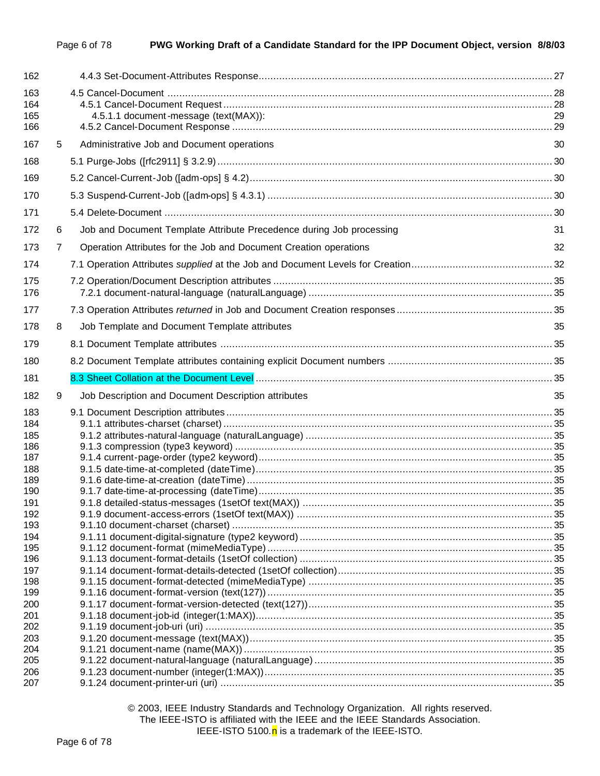| 162                      |   |                                                                      |    |
|--------------------------|---|----------------------------------------------------------------------|----|
| 163<br>164<br>165<br>166 |   | 4.5.1.1 document-message (text(MAX)):                                | 29 |
| 167                      | 5 | Administrative Job and Document operations                           | 30 |
| 168                      |   |                                                                      |    |
| 169                      |   |                                                                      |    |
| 170                      |   |                                                                      |    |
| 171                      |   |                                                                      |    |
| 172                      | 6 | Job and Document Template Attribute Precedence during Job processing | 31 |
| 173                      | 7 | Operation Attributes for the Job and Document Creation operations    | 32 |
| 174                      |   |                                                                      |    |
|                          |   |                                                                      |    |
| 175<br>176               |   |                                                                      |    |
| 177                      |   |                                                                      |    |
| 178                      | 8 | Job Template and Document Template attributes                        | 35 |
| 179                      |   |                                                                      |    |
| 180                      |   |                                                                      |    |
| 181                      |   |                                                                      |    |
| 182                      | 9 | Job Description and Document Description attributes                  | 35 |
| 183<br>184<br>185        |   |                                                                      |    |
| 186                      |   |                                                                      |    |
| 187<br>188               |   |                                                                      |    |
| 189                      |   |                                                                      |    |
| 190                      |   |                                                                      |    |
| 191                      |   |                                                                      |    |
| 192<br>193               |   |                                                                      |    |
| 194                      |   |                                                                      |    |
| 195                      |   |                                                                      |    |
| 196                      |   |                                                                      |    |
| 197                      |   |                                                                      |    |
| 198                      |   |                                                                      |    |
| 199                      |   |                                                                      |    |
| 200                      |   |                                                                      |    |
| 201<br>202               |   |                                                                      |    |
| 203                      |   |                                                                      |    |
| 204                      |   |                                                                      |    |
| 205                      |   |                                                                      |    |
| 206                      |   |                                                                      |    |
| 207                      |   |                                                                      |    |

© 2003, IEEE Industry Standards and Technology Organization. All rights reserved. The IEEE-ISTO is affiliated with the IEEE and the IEEE Standards Association. IEEE-ISTO 5100. $n$  is a trademark of the IEEE-ISTO.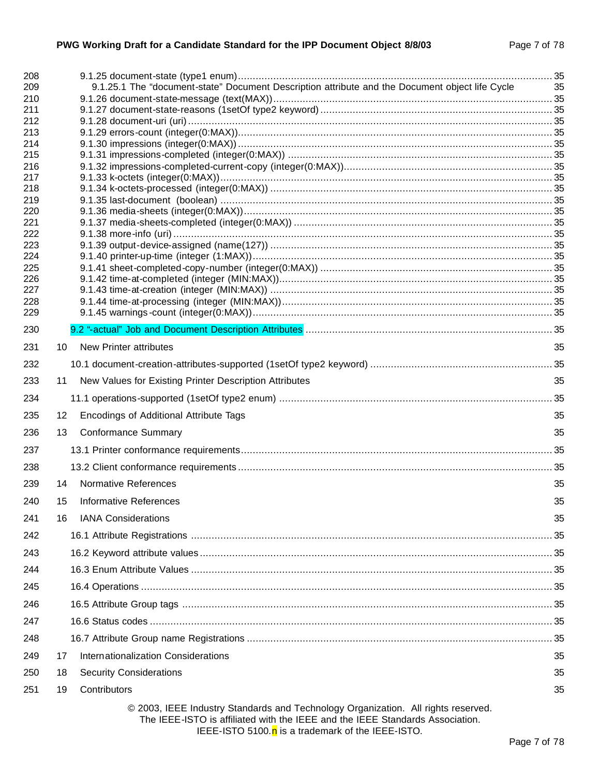| 208<br>209 |    | 9.1.25.1 The "document-state" Document Description attribute and the Document object life Cycle                                                                    | -35 |
|------------|----|--------------------------------------------------------------------------------------------------------------------------------------------------------------------|-----|
| 210        |    |                                                                                                                                                                    |     |
| 211        |    |                                                                                                                                                                    |     |
| 212        |    |                                                                                                                                                                    |     |
| 213        |    |                                                                                                                                                                    |     |
| 214        |    |                                                                                                                                                                    |     |
| 215<br>216 |    |                                                                                                                                                                    |     |
| 217        |    |                                                                                                                                                                    |     |
| 218        |    |                                                                                                                                                                    |     |
| 219        |    |                                                                                                                                                                    |     |
| 220        |    |                                                                                                                                                                    |     |
| 221<br>222 |    |                                                                                                                                                                    |     |
| 223        |    |                                                                                                                                                                    |     |
| 224        |    |                                                                                                                                                                    |     |
| 225        |    |                                                                                                                                                                    |     |
| 226        |    |                                                                                                                                                                    |     |
| 227<br>228 |    |                                                                                                                                                                    |     |
| 229        |    |                                                                                                                                                                    |     |
| 230        |    |                                                                                                                                                                    |     |
| 231        | 10 | <b>New Printer attributes</b>                                                                                                                                      | 35  |
| 232        |    |                                                                                                                                                                    |     |
| 233        | 11 | New Values for Existing Printer Description Attributes                                                                                                             | 35  |
| 234        |    |                                                                                                                                                                    |     |
| 235        | 12 | Encodings of Additional Attribute Tags                                                                                                                             | 35  |
| 236        | 13 | <b>Conformance Summary</b>                                                                                                                                         | 35  |
| 237        |    |                                                                                                                                                                    |     |
| 238        |    |                                                                                                                                                                    |     |
| 239        | 14 | <b>Normative References</b>                                                                                                                                        | 35  |
| 240        | 15 | <b>Informative References</b>                                                                                                                                      | 35  |
| 241        | 16 | <b>IANA Considerations</b>                                                                                                                                         | 35  |
| 242        |    |                                                                                                                                                                    |     |
| 243        |    |                                                                                                                                                                    |     |
| 244        |    |                                                                                                                                                                    |     |
| 245        |    |                                                                                                                                                                    |     |
| 246        |    |                                                                                                                                                                    |     |
| 247        |    |                                                                                                                                                                    |     |
| 248        |    |                                                                                                                                                                    |     |
| 249        | 17 | Internationalization Considerations                                                                                                                                | 35  |
| 250        | 18 | <b>Security Considerations</b>                                                                                                                                     | 35  |
| 251        | 19 | Contributors                                                                                                                                                       | 35  |
|            |    | © 2003, IEEE Industry Standards and Technology Organization. All rights reserved.<br>The IEEE-ISTO is affiliated with the IEEE and the IEEE Standards Association. |     |

IEEE-ISTO 5100. $n$  is a trademark of the IEEE-ISTO.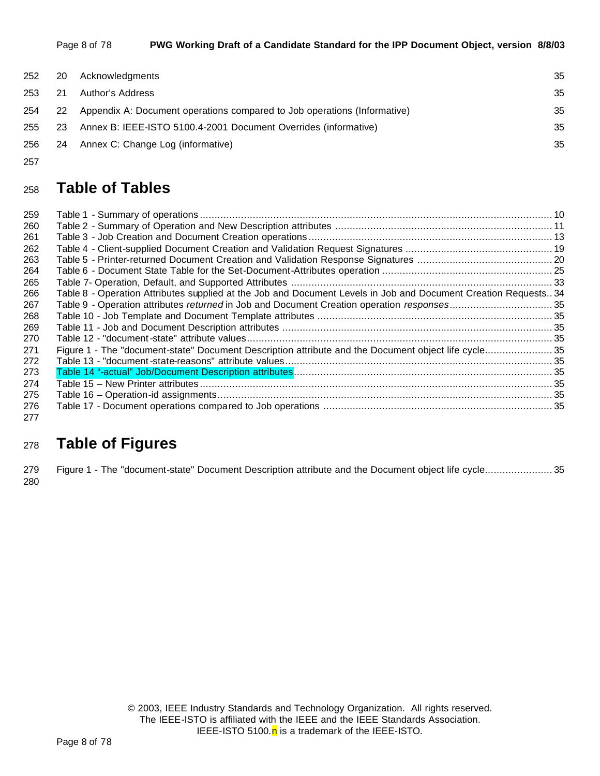| Page 8 of 78 | PWG Working Draft of a Candidate Standard for the IPP Document Object, version 8/8/03 |
|--------------|---------------------------------------------------------------------------------------|
|--------------|---------------------------------------------------------------------------------------|

| 252 | 20   | Acknowledgments                                                          | 35 |
|-----|------|--------------------------------------------------------------------------|----|
| 253 | 21   | Author's Address                                                         | 35 |
| 254 | 22   | Appendix A: Document operations compared to Job operations (Informative) | 35 |
| 255 | 23   | Annex B: IEEE-ISTO 5100.4-2001 Document Overrides (informative)          | 35 |
| 256 | - 24 | Annex C: Change Log (informative)                                        | 35 |

# **Table of Tables**

| 259 |                                                                                                                 |  |
|-----|-----------------------------------------------------------------------------------------------------------------|--|
| 260 |                                                                                                                 |  |
| 261 |                                                                                                                 |  |
| 262 |                                                                                                                 |  |
| 263 |                                                                                                                 |  |
| 264 |                                                                                                                 |  |
| 265 |                                                                                                                 |  |
| 266 | Table 8 - Operation Attributes supplied at the Job and Document Levels in Job and Document Creation Requests 34 |  |
| 267 | Table 9 - Operation attributes returned in Job and Document Creation operation responses35                      |  |
| 268 |                                                                                                                 |  |
| 269 |                                                                                                                 |  |
| 270 |                                                                                                                 |  |
| 271 | Figure 1 - The "document-state" Document Description attribute and the Document object life cycle35             |  |
| 272 |                                                                                                                 |  |
| 273 |                                                                                                                 |  |
| 274 |                                                                                                                 |  |
| 275 |                                                                                                                 |  |
| 276 |                                                                                                                 |  |
| 277 |                                                                                                                 |  |

# **Table of Figures**

 Figure 1 - The "document-state" Document Description attribute and the Document object life cycle....................... 35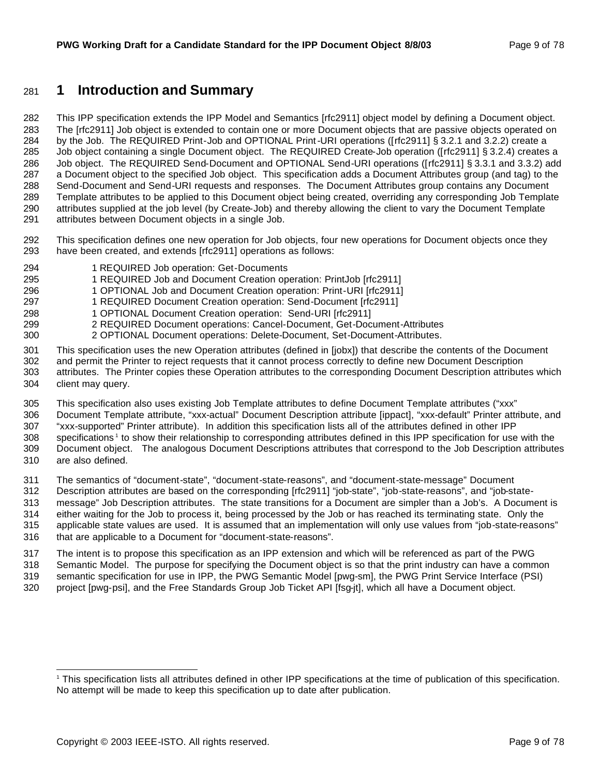# **1 Introduction and Summary**

 This IPP specification extends the IPP Model and Semantics [rfc2911] object model by defining a Document object. The [rfc2911] Job object is extended to contain one or more Document objects that are passive objects operated on by the Job. The REQUIRED Print-Job and OPTIONAL Print-URI operations ([rfc2911] § 3.2.1 and 3.2.2) create a Job object containing a single Document object. The REQUIRED Create-Job operation ([rfc2911] § 3.2.4) creates a Job object. The REQUIRED Send-Document and OPTIONAL Send-URI operations ([rfc2911] § 3.3.1 and 3.3.2) add a Document object to the specified Job object. This specification adds a Document Attributes group (and tag) to the Send-Document and Send-URI requests and responses. The Document Attributes group contains any Document Template attributes to be applied to this Document object being created, overriding any corresponding Job Template attributes supplied at the job level (by Create-Job) and thereby allowing the client to vary the Document Template attributes between Document objects in a single Job.

- This specification defines one new operation for Job objects, four new operations for Document objects once they have been created, and extends [rfc2911] operations as follows:
- 1 REQUIRED Job operation: Get-Documents
- 1 REQUIRED Job and Document Creation operation: PrintJob [rfc2911]
- 1 OPTIONAL Job and Document Creation operation: Print-URI [rfc2911]
- 1 REQUIRED Document Creation operation: Send-Document [rfc2911]
- 1 OPTIONAL Document Creation operation: Send-URI [rfc2911]
- 2 REQUIRED Document operations: Cancel-Document, Get-Document-Attributes
- 2 OPTIONAL Document operations: Delete-Document, Set-Document-Attributes.
- This specification uses the new Operation attributes (defined in [jobx]) that describe the contents of the Document and permit the Printer to reject requests that it cannot process correctly to define new Document Description
- attributes. The Printer copies these Operation attributes to the corresponding Document Description attributes which client may query.
- This specification also uses existing Job Template attributes to define Document Template attributes ("xxx"
- Document Template attribute, "xxx-actual" Document Description attribute [ippact], "xxx-default" Printer attribute, and
- "xxx-supported" Printer attribute). In addition this specification lists all of the attributes defined in other IPP 308 specifications<sup>1</sup> to show their relationship to corresponding attributes defined in this IPP specification for use with the Document object. The analogous Document Descriptions attributes that correspond to the Job Description attributes
- are also defined.

- The semantics of "document-state", "document-state-reasons", and "document-state-message" Document
- Description attributes are based on the corresponding [rfc2911] "job-state", "job-state-reasons", and "job-state- message" Job Description attributes. The state transitions for a Document are simpler than a Job's. A Document is either waiting for the Job to process it, being processed by the Job or has reached its terminating state. Only the applicable state values are used. It is assumed that an implementation will only use values from "job-state-reasons"
- that are applicable to a Document for "document-state-reasons".
- The intent is to propose this specification as an IPP extension and which will be referenced as part of the PWG Semantic Model. The purpose for specifying the Document object is so that the print industry can have a common semantic specification for use in IPP, the PWG Semantic Model [pwg-sm], the PWG Print Service Interface (PSI)
- project [pwg-psi], and the Free Standards Group Job Ticket API [fsg-jt], which all have a Document object.

 This specification lists all attributes defined in other IPP specifications at the time of publication of this specification. No attempt will be made to keep this specification up to date after publication.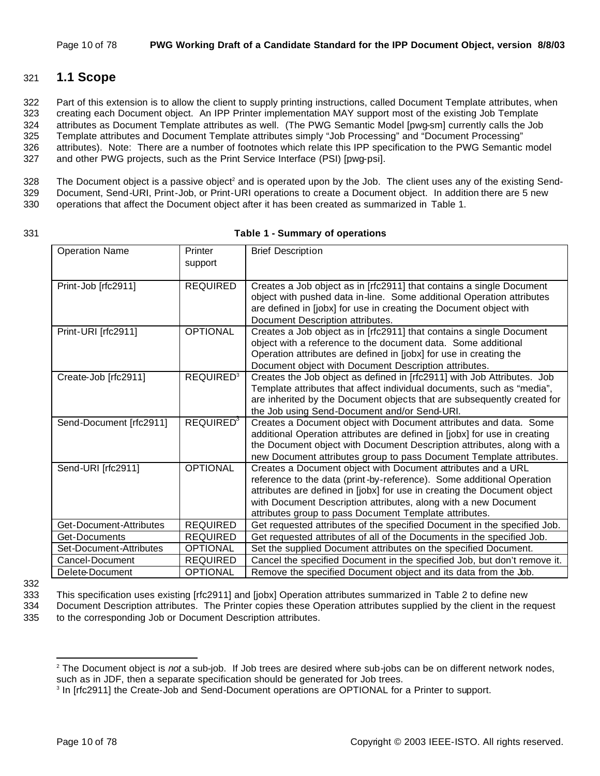# 321 **1.1 Scope**

 Part of this extension is to allow the client to supply printing instructions, called Document Template attributes, when creating each Document object. An IPP Printer implementation MAY support most of the existing Job Template attributes as Document Template attributes as well. (The PWG Semantic Model [pwg-sm] currently calls the Job Template attributes and Document Template attributes simply "Job Processing" and "Document Processing" attributes). Note: There are a number of footnotes which relate this IPP specification to the PWG Semantic model and other PWG projects, such as the Print Service Interface (PSI) [pwg-psi].

328 The Document object is a passive object<sup>2</sup> and is operated upon by the Job. The client uses any of the existing Send-329 Document, Send-URI, Print-Job, or Print-URI operations to create a Document object. In addition there are 5 new 330 operations that affect the Document object after it has been created as summarized in Table 1.

#### 331 **Table 1 - Summary of operations**

| <b>Operation Name</b>   | Printer<br>support           | <b>Brief Description</b>                                                                                                                                                                                                                                                                                                                       |
|-------------------------|------------------------------|------------------------------------------------------------------------------------------------------------------------------------------------------------------------------------------------------------------------------------------------------------------------------------------------------------------------------------------------|
| Print-Job [rfc2911]     | <b>REQUIRED</b>              | Creates a Job object as in [rfc2911] that contains a single Document<br>object with pushed data in-line. Some additional Operation attributes<br>are defined in [jobx] for use in creating the Document object with<br>Document Description attributes.                                                                                        |
| Print-URI [rfc2911]     | <b>OPTIONAL</b>              | Creates a Job object as in [rfc2911] that contains a single Document<br>object with a reference to the document data. Some additional<br>Operation attributes are defined in [jobx] for use in creating the<br>Document object with Document Description attributes.                                                                           |
| Create-Job [rfc2911]    | REQUIRED <sup>3</sup>        | Creates the Job object as defined in [rfc2911] with Job Attributes. Job<br>Template attributes that affect individual documents, such as "media",<br>are inherited by the Document objects that are subsequently created for<br>the Job using Send-Document and/or Send-URI.                                                                   |
| Send-Document [rfc2911] | <b>REQUIRED</b> <sup>3</sup> | Creates a Document object with Document attributes and data. Some<br>additional Operation attributes are defined in [jobx] for use in creating<br>the Document object with Document Description attributes, along with a<br>new Document attributes group to pass Document Template attributes.                                                |
| Send-URI [rfc2911]      | <b>OPTIONAL</b>              | Creates a Document object with Document attributes and a URL<br>reference to the data (print-by-reference). Some additional Operation<br>attributes are defined in [jobx] for use in creating the Document object<br>with Document Description attributes, along with a new Document<br>attributes group to pass Document Template attributes. |
| Get-Document-Attributes | <b>REQUIRED</b>              | Get requested attributes of the specified Document in the specified Job.                                                                                                                                                                                                                                                                       |
| Get-Documents           | <b>REQUIRED</b>              | Get requested attributes of all of the Documents in the specified Job.                                                                                                                                                                                                                                                                         |
| Set-Document-Attributes | <b>OPTIONAL</b>              | Set the supplied Document attributes on the specified Document.                                                                                                                                                                                                                                                                                |
| Cancel-Document         | <b>REQUIRED</b>              | Cancel the specified Document in the specified Job, but don't remove it.                                                                                                                                                                                                                                                                       |
| Delete-Document         | <b>OPTIONAL</b>              | Remove the specified Document object and its data from the Job.                                                                                                                                                                                                                                                                                |

332

333 This specification uses existing [rfc2911] and [jobx] Operation attributes summarized in Table 2 to define new

334 Document Description attributes. The Printer copies these Operation attributes supplied by the client in the request 335 to the corresponding Job or Document Description attributes.

<sup>2</sup> The Document object is *not* a sub-job. If Job trees are desired where sub-jobs can be on different network nodes, such as in JDF, then a separate specification should be generated for Job trees.

<sup>&</sup>lt;sup>3</sup> In [rfc2911] the Create-Job and Send-Document operations are OPTIONAL for a Printer to support.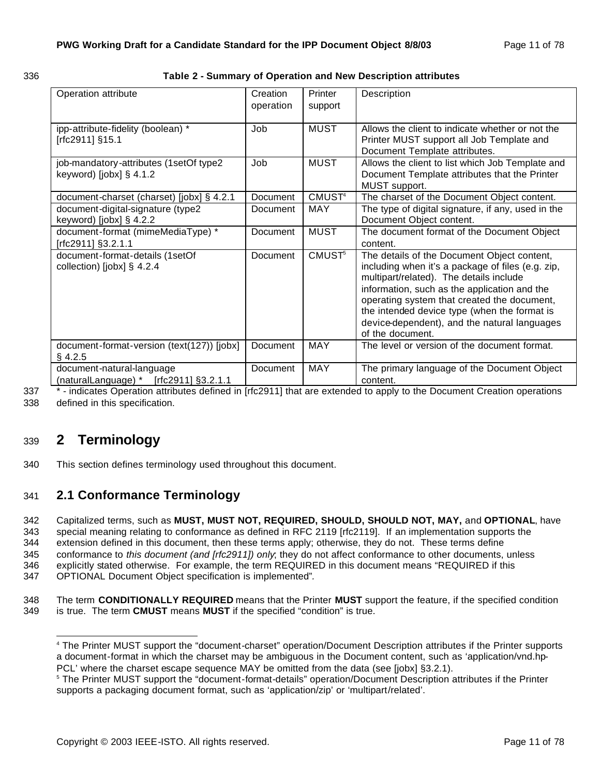| <br>. .<br>٦<br>- - - |  |
|-----------------------|--|

#### 336 **Table 2 - Summary of Operation and New Description attributes**

| Operation attribute                                                   | Creation        | Printer            | Description                                                                                                                                                                                                                                                                                                                                                    |
|-----------------------------------------------------------------------|-----------------|--------------------|----------------------------------------------------------------------------------------------------------------------------------------------------------------------------------------------------------------------------------------------------------------------------------------------------------------------------------------------------------------|
|                                                                       | operation       | support            |                                                                                                                                                                                                                                                                                                                                                                |
| ipp-attribute-fidelity (boolean) *<br>[rfc2911] §15.1                 | Job             | <b>MUST</b>        | Allows the client to indicate whether or not the<br>Printer MUST support all Job Template and<br>Document Template attributes.                                                                                                                                                                                                                                 |
| job-mandatory-attributes (1setOf type2<br>keyword) [ $j$ obx] § 4.1.2 | Job             | <b>MUST</b>        | Allows the client to list which Job Template and<br>Document Template attributes that the Printer<br>MUST support.                                                                                                                                                                                                                                             |
| document-charset (charset) [jobx] § 4.2.1                             | Document        | CMUST <sup>4</sup> | The charset of the Document Object content.                                                                                                                                                                                                                                                                                                                    |
| document-digital-signature (type2<br>keyword) [ $j$ obx] § 4.2.2      | Document        | <b>MAY</b>         | The type of digital signature, if any, used in the<br>Document Object content.                                                                                                                                                                                                                                                                                 |
| document-format (mimeMediaType) *<br>[rfc2911] §3.2.1.1               | <b>Document</b> | <b>MUST</b>        | The document format of the Document Object<br>content.                                                                                                                                                                                                                                                                                                         |
| document-format-details (1setOf<br>collection) [jobx] $\S$ 4.2.4      | Document        | CMUST <sup>5</sup> | The details of the Document Object content,<br>including when it's a package of files (e.g. zip,<br>multipart/related). The details include<br>information, such as the application and the<br>operating system that created the document,<br>the intended device type (when the format is<br>device-dependent), and the natural languages<br>of the document. |
| document-format-version (text(127)) [jobx]<br>$§$ 4.2.5               | Document        | <b>MAY</b>         | The level or version of the document format.                                                                                                                                                                                                                                                                                                                   |
| document-natural-language<br>(naturalLanguage) * $[rfc2911]$ §3.2.1.1 | <b>Document</b> | <b>MAY</b>         | The primary language of the Document Object<br>content.                                                                                                                                                                                                                                                                                                        |

337 \* - indicates Operation attributes defined in [rfc2911] that are extended to apply to the Document Creation operations 338 defined in this specification.

# <sup>339</sup> **2 Terminology**

340 This section defines terminology used throughout this document.

# 341 **2.1 Conformance Terminology**

 Capitalized terms, such as **MUST, MUST NOT, REQUIRED, SHOULD, SHOULD NOT, MAY,** and **OPTIONAL**, have special meaning relating to conformance as defined in RFC 2119 [rfc2119]. If an implementation supports the extension defined in this document, then these terms apply; otherwise, they do not. These terms define conformance to *this document (and [rfc2911]) only*; they do not affect conformance to other documents, unless explicitly stated otherwise. For example, the term REQUIRED in this document means "REQUIRED if this OPTIONAL Document Object specification is implemented"*.*

348 The term **CONDITIONALLY REQUIRED** means that the Printer **MUST** support the feature, if the specified condition 349 is true. The term **CMUST** means **MUST** if the specified "condition" is true.

 4 The Printer MUST support the "document-charset" operation/Document Description attributes if the Printer supports a document-format in which the charset may be ambiguous in the Document content, such as 'application/vnd.hp-PCL' where the charset escape sequence MAY be omitted from the data (see [jobx] §3.2.1).

<sup>5</sup> The Printer MUST support the "document-format-details" operation/Document Description attributes if the Printer supports a packaging document format, such as 'application/zip' or 'multipart/related'.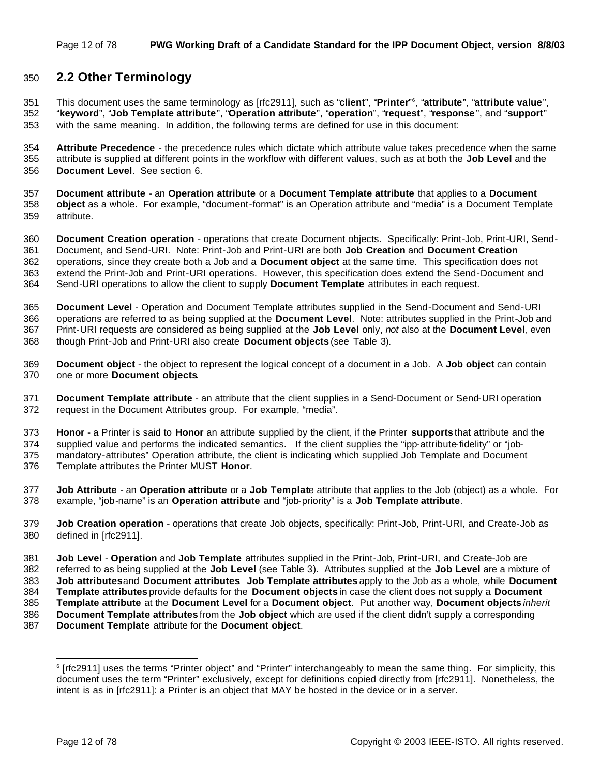# **2.2 Other Terminology**

This document uses the same terminology as [rfc2911], such as "**client**", "**Printer**" <sup>6</sup> , "**attribute**", "**attribute value**", "**keyword**", "**Job Template attribute**", "**Operation attribute**", "**operation**", "**request**", "**response** ", and "**support**" with the same meaning. In addition, the following terms are defined for use in this document:

 **Attribute Precedence** - the precedence rules which dictate which attribute value takes precedence when the same attribute is supplied at different points in the workflow with different values, such as at both the **Job Level** and the **Document Level**. See section 6.

 **Document attribute** - an **Operation attribute** or a **Document Template attribute** that applies to a **Document object** as a whole. For example, "document-format" is an Operation attribute and "media" is a Document Template attribute.

 **Document Creation operation** - operations that create Document objects. Specifically: Print-Job, Print-URI, Send- Document, and Send-URI. Note: Print-Job and Print-URI are both **Job Creation** and **Document Creation** operations, since they create both a Job and a **Document object** at the same time. This specification does not extend the Print-Job and Print-URI operations. However, this specification does extend the Send-Document and Send-URI operations to allow the client to supply **Document Template** attributes in each request.

 **Document Level** - Operation and Document Template attributes supplied in the Send-Document and Send-URI operations are referred to as being supplied at the **Document Level**. Note: attributes supplied in the Print-Job and Print-URI requests are considered as being supplied at the **Job Level** only, *not* also at the **Document Level**, even though Print-Job and Print-URI also create **Document objects** (see Table 3).

 **Document object** - the object to represent the logical concept of a document in a Job. A **Job object** can contain one or more **Document objects**.

 **Document Template attribute** - an attribute that the client supplies in a Send-Document or Send-URI operation request in the Document Attributes group. For example, "media".

 **Honor** - a Printer is said to **Honor** an attribute supplied by the client, if the Printer **supports** that attribute and the supplied value and performs the indicated semantics. If the client supplies the "ipp-attribute-fidelity" or "job-mandatory-attributes" Operation attribute, the client is indicating which supplied Job Template and Document

Template attributes the Printer MUST **Honor**.

 **Job Attribute** - an **Operation attribute** or a **Job Templat**e attribute that applies to the Job (object) as a whole. For example, "job-name" is an **Operation attribute** and "job-priority" is a **Job Template attribute**.

 **Job Creation operation** - operations that create Job objects, specifically: Print-Job, Print-URI, and Create-Job as defined in [rfc2911].

 **Job Level** - **Operation** and **Job Template** attributes supplied in the Print-Job, Print-URI, and Create-Job are referred to as being supplied at the **Job Level** (see Table 3). Attributes supplied at the **Job Level** are a mixture of **Job attributes** and **Document attributes**. **Job Template attributes** apply to the Job as a whole, while **Document Template attributes** provide defaults for the **Document objects** in case the client does not supply a **Document Template attribute** at the **Document Level** for a **Document object**. Put another way, **Document objects** *inherit* **Document Template attributes** from the **Job object** which are used if the client didn't supply a corresponding

**Document Template** attribute for the **Document object**.

 [rfc2911] uses the terms "Printer object" and "Printer" interchangeably to mean the same thing. For simplicity, this document uses the term "Printer" exclusively, except for definitions copied directly from [rfc2911]. Nonetheless, the intent is as in [rfc2911]: a Printer is an object that MAY be hosted in the device or in a server.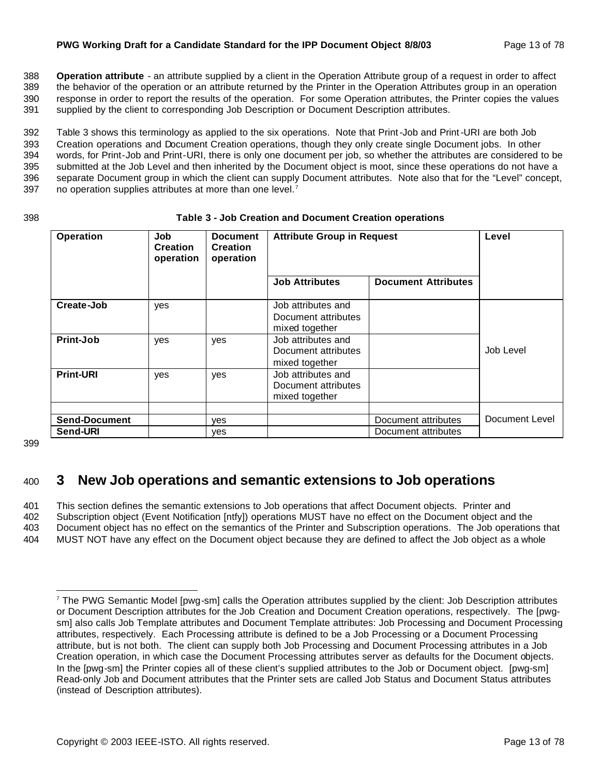#### **PWG Working Draft for a Candidate Standard for the IPP Document Object 8/8/03** Page 13 of 78

 **Operation attribute** - an attribute supplied by a client in the Operation Attribute group of a request in order to affect the behavior of the operation or an attribute returned by the Printer in the Operation Attributes group in an operation response in order to report the results of the operation. For some Operation attributes, the Printer copies the values supplied by the client to corresponding Job Description or Document Description attributes.

 Table 3 shows this terminology as applied to the six operations. Note that Print-Job and Print-URI are both Job Creation operations and Document Creation operations, though they only create single Document jobs. In other words, for Print-Job and Print-URI, there is only one document per job, so whether the attributes are considered to be submitted at the Job Level and then inherited by the Document object is moot, since these operations do not have a separate Document group in which the client can supply Document attributes. Note also that for the "Level" concept, 397 no operation supplies attributes at more than one level. $<sup>7</sup>$ </sup>

| 398 | Table 3 - Job Creation and Document Creation operations |  |
|-----|---------------------------------------------------------|--|
|     |                                                         |  |

| <b>Operation</b>                 | Job<br><b>Creation</b><br>operation | <b>Document</b><br><b>Creation</b><br>operation | <b>Attribute Group in Request</b>                           |                                            | Level          |
|----------------------------------|-------------------------------------|-------------------------------------------------|-------------------------------------------------------------|--------------------------------------------|----------------|
|                                  |                                     |                                                 | <b>Job Attributes</b>                                       | <b>Document Attributes</b>                 |                |
| Create-Job                       | yes                                 |                                                 | Job attributes and<br>Document attributes<br>mixed together |                                            |                |
| Print-Job                        | yes                                 | yes                                             | Job attributes and<br>Document attributes<br>mixed together |                                            | Job Level      |
| <b>Print-URI</b>                 | yes                                 | yes                                             | Job attributes and<br>Document attributes<br>mixed together |                                            |                |
| <b>Send-Document</b><br>Send-URI |                                     | yes<br><b>ves</b>                               |                                                             | Document attributes<br>Document attributes | Document Level |

399

# <sup>400</sup> **3 New Job operations and semantic extensions to Job operations**

 This section defines the semantic extensions to Job operations that affect Document objects. Printer and Subscription object (Event Notification [ntfy]) operations MUST have no effect on the Document object and the Document object has no effect on the semantics of the Printer and Subscription operations. The Job operations that MUST NOT have any effect on the Document object because they are defined to affect the Job object as a whole

<sup>7</sup> The PWG Semantic Model [pwg-sm] calls the Operation attributes supplied by the client: Job Description attributes or Document Description attributes for the Job Creation and Document Creation operations, respectively. The [pwgsm] also calls Job Template attributes and Document Template attributes: Job Processing and Document Processing attributes, respectively. Each Processing attribute is defined to be a Job Processing or a Document Processing attribute, but is not both. The client can supply both Job Processing and Document Processing attributes in a Job Creation operation, in which case the Document Processing attributes server as defaults for the Document objects. In the [pwg-sm] the Printer copies all of these client's supplied attributes to the Job or Document object. [pwg-sm] Read-only Job and Document attributes that the Printer sets are called Job Status and Document Status attributes (instead of Description attributes).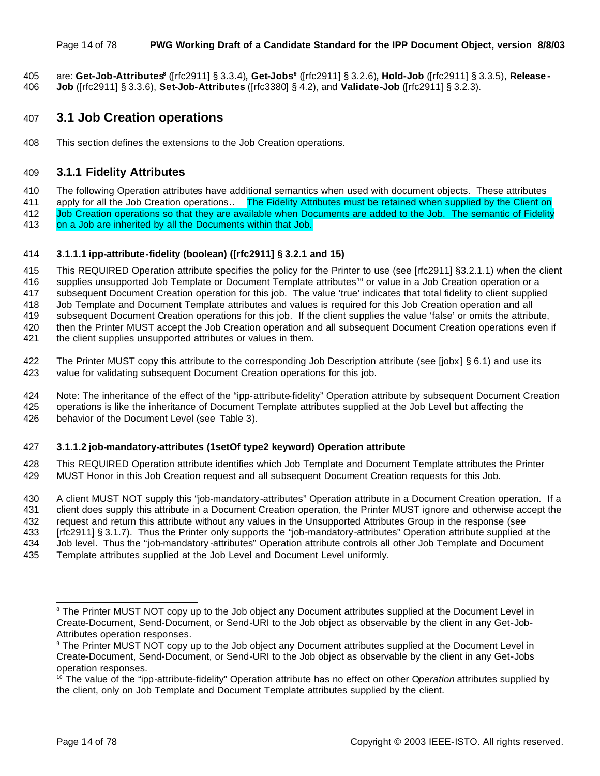#### Page 14 of 78 **PWG Working Draft of a Candidate Standard for the IPP Document Object, version 8/8/03**

are: **Get-Job-Attributes<sup>8</sup>** ([rfc2911] § 3.3.4)**, Get-Jobs<sup>9</sup>** ([rfc2911] § 3.2.6)**, Hold-Job** ([rfc2911] § 3.3.5), **Release - Job** ([rfc2911] § 3.3.6), **Set-Job-Attributes** ([rfc3380] § 4.2), and **Validate-Job** ([rfc2911] § 3.2.3).

### **3.1 Job Creation operations**

This section defines the extensions to the Job Creation operations.

#### **3.1.1 Fidelity Attributes**

The following Operation attributes have additional semantics when used with document objects. These attributes

411 apply for all the Job Creation operations.. The Fidelity Attributes must be retained when supplied by the Client on Job Creation operations so that they are available when Documents are added to the Job. The semantic of Fidelity on a Job are inherited by all the Documents within that Job.

#### **3.1.1.1 ipp-attribute-fidelity (boolean) ([rfc2911] § 3.2.1 and 15)**

 This REQUIRED Operation attribute specifies the policy for the Printer to use (see [rfc2911] §3.2.1.1) when the client 416 supplies unsupported Job Template or Document Template attributes <sup>10</sup> or value in a Job Creation operation or a subsequent Document Creation operation for this job. The value 'true' indicates that total fidelity to client supplied Job Template and Document Template attributes and values is required for this Job Creation operation and all subsequent Document Creation operations for this job. If the client supplies the value 'false' or omits the attribute, then the Printer MUST accept the Job Creation operation and all subsequent Document Creation operations even if the client supplies unsupported attributes or values in them.

- 
- The Printer MUST copy this attribute to the corresponding Job Description attribute (see [jobx] § 6.1) and use its value for validating subsequent Document Creation operations for this job.
- Note: The inheritance of the effect of the "ipp-attribute-fidelity" Operation attribute by subsequent Document Creation operations is like the inheritance of Document Template attributes supplied at the Job Level but affecting the behavior of the Document Level (see Table 3).

#### **3.1.1.2 job-mandatory-attributes (1setOf type2 keyword) Operation attribute**

 This REQUIRED Operation attribute identifies which Job Template and Document Template attributes the Printer MUST Honor in this Job Creation request and all subsequent Document Creation requests for this Job.

 A client MUST NOT supply this "job-mandatory-attributes" Operation attribute in a Document Creation operation. If a client does supply this attribute in a Document Creation operation, the Printer MUST ignore and otherwise accept the request and return this attribute without any values in the Unsupported Attributes Group in the response (see [rfc2911] § 3.1.7). Thus the Printer only supports the "job-mandatory-attributes" Operation attribute supplied at the Job level. Thus the "job-mandatory -attributes" Operation attribute controls all other Job Template and Document

Template attributes supplied at the Job Level and Document Level uniformly.

<sup>&</sup>lt;sup>8</sup> The Printer MUST NOT copy up to the Job object any Document attributes supplied at the Document Level in Create-Document, Send-Document, or Send-URI to the Job object as observable by the client in any Get-Job-Attributes operation responses.

 The Printer MUST NOT copy up to the Job object any Document attributes supplied at the Document Level in Create-Document, Send-Document, or Send-URI to the Job object as observable by the client in any Get-Jobs operation responses.

<sup>&</sup>lt;sup>10</sup> The value of the "ipp-attribute-fidelity" Operation attribute has no effect on other Operation attributes supplied by the client, only on Job Template and Document Template attributes supplied by the client.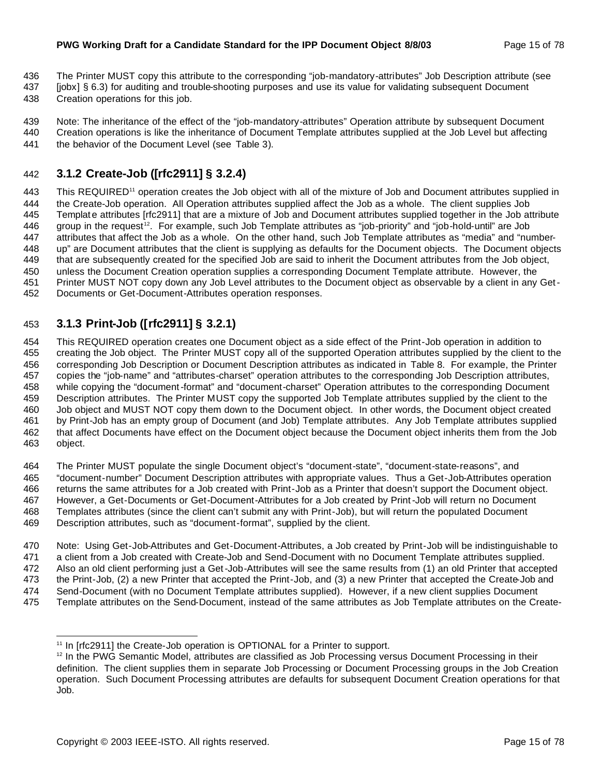- The Printer MUST copy this attribute to the corresponding "job-mandatory-attributes" Job Description attribute (see
- [jobx] § 6.3) for auditing and trouble-shooting purposes and use its value for validating subsequent Document
- Creation operations for this job.
- Note: The inheritance of the effect of the "job-mandatory-attributes" Operation attribute by subsequent Document Creation operations is like the inheritance of Document Template attributes supplied at the Job Level but affecting
- 441 the behavior of the Document Level (see Table 3).

# **3.1.2 Create-Job ([rfc2911] § 3.2.4)**

443 This REQUIRED<sup>11</sup> operation creates the Job object with all of the mixture of Job and Document attributes supplied in the Create-Job operation. All Operation attributes supplied affect the Job as a whole. The client supplies Job 445 Template attributes [rfc2911] that are a mixture of Job and Document attributes supplied together in the Job attribute 446 group in the request<sup>12</sup>. For example, such Job Template attributes as "job-priority" and "job-hold-until" are Job attributes that affect the Job as a whole. On the other hand, such Job Template attributes as "media" and "number- up" are Document attributes that the client is supplying as defaults for the Document objects. The Document objects that are subsequently created for the specified Job are said to inherit the Document attributes from the Job object, unless the Document Creation operation supplies a corresponding Document Template attribute. However, the Printer MUST NOT copy down any Job Level attributes to the Document object as observable by a client in any Get-Documents or Get-Document-Attributes operation responses.

# **3.1.3 Print-Job ([rfc2911] § 3.2.1)**

 This REQUIRED operation creates one Document object as a side effect of the Print-Job operation in addition to creating the Job object. The Printer MUST copy all of the supported Operation attributes supplied by the client to the corresponding Job Description or Document Description attributes as indicated in Table 8. For example, the Printer copies the "job-name" and "attributes-charset" operation attributes to the corresponding Job Description attributes, while copying the "document-format" and "document-charset" Operation attributes to the corresponding Document Description attributes. The Printer MUST copy the supported Job Template attributes supplied by the client to the Job object and MUST NOT copy them down to the Document object. In other words, the Document object created by Print-Job has an empty group of Document (and Job) Template attributes. Any Job Template attributes supplied that affect Documents have effect on the Document object because the Document object inherits them from the Job object.

 The Printer MUST populate the single Document object's "document-state", "document-state-reasons", and "document-number" Document Description attributes with appropriate values. Thus a Get-Job-Attributes operation returns the same attributes for a Job created with Print-Job as a Printer that doesn't support the Document object. However, a Get-Documents or Get-Document-Attributes for a Job created by Print-Job will return no Document Templates attributes (since the client can't submit any with Print-Job), but will return the populated Document Description attributes, such as "document-format", supplied by the client.

 Note: Using Get-Job-Attributes and Get-Document-Attributes, a Job created by Print-Job will be indistinguishable to a client from a Job created with Create-Job and Send-Document with no Document Template attributes supplied. Also an old client performing just a Get-Job-Attributes will see the same results from (1) an old Printer that accepted the Print-Job, (2) a new Printer that accepted the Print-Job, and (3) a new Printer that accepted the Create-Job and Send-Document (with no Document Template attributes supplied). However, if a new client supplies Document Template attributes on the Send-Document, instead of the same attributes as Job Template attributes on the Create-

<sup>&</sup>lt;sup>11</sup> In [rfc2911] the Create-Job operation is OPTIONAL for a Printer to support.

<sup>&</sup>lt;sup>12</sup> In the PWG Semantic Model, attributes are classified as Job Processing versus Document Processing in their definition. The client supplies them in separate Job Processing or Document Processing groups in the Job Creation operation. Such Document Processing attributes are defaults for subsequent Document Creation operations for that Job.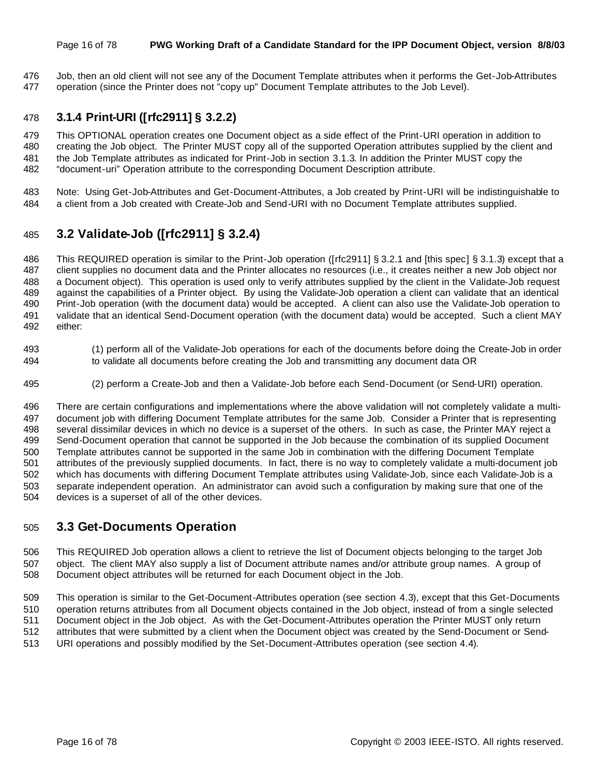#### Page 16 of 78 **PWG Working Draft of a Candidate Standard for the IPP Document Object, version 8/8/03**

 Job, then an old client will not see any of the Document Template attributes when it performs the Get-Job-Attributes operation (since the Printer does not "copy up" Document Template attributes to the Job Level).

#### **3.1.4 Print-URI ([rfc2911] § 3.2.2)**

 This OPTIONAL operation creates one Document object as a side effect of the Print-URI operation in addition to creating the Job object. The Printer MUST copy all of the supported Operation attributes supplied by the client and the Job Template attributes as indicated for Print-Job in section 3.1.3. In addition the Printer MUST copy the "document-uri" Operation attribute to the corresponding Document Description attribute.

 Note: Using Get-Job-Attributes and Get-Document-Attributes, a Job created by Print-URI will be indistinguishable to a client from a Job created with Create-Job and Send-URI with no Document Template attributes supplied.

# **3.2 Validate-Job ([rfc2911] § 3.2.4)**

 This REQUIRED operation is similar to the Print-Job operation ([rfc2911] § 3.2.1 and [this spec] § 3.1.3) except that a client supplies no document data and the Printer allocates no resources (i.e., it creates neither a new Job object nor a Document object). This operation is used only to verify attributes supplied by the client in the Validate-Job request against the capabilities of a Printer object. By using the Validate-Job operation a client can validate that an identical Print-Job operation (with the document data) would be accepted. A client can also use the Validate-Job operation to validate that an identical Send-Document operation (with the document data) would be accepted. Such a client MAY either:

- (1) perform all of the Validate-Job operations for each of the documents before doing the Create-Job in order to validate all documents before creating the Job and transmitting any document data OR
- (2) perform a Create-Job and then a Validate-Job before each Send-Document (or Send-URI) operation.

 There are certain configurations and implementations where the above validation will not completely validate a multi- document job with differing Document Template attributes for the same Job. Consider a Printer that is representing several dissimilar devices in which no device is a superset of the others. In such as case, the Printer MAY reject a Send-Document operation that cannot be supported in the Job because the combination of its supplied Document Template attributes cannot be supported in the same Job in combination with the differing Document Template attributes of the previously supplied documents. In fact, there is no way to completely validate a multi-document job which has documents with differing Document Template attributes using Validate-Job, since each Validate-Job is a separate independent operation. An administrator can avoid such a configuration by making sure that one of the devices is a superset of all of the other devices.

## **3.3 Get-Documents Operation**

 This REQUIRED Job operation allows a client to retrieve the list of Document objects belonging to the target Job object. The client MAY also supply a list of Document attribute names and/or attribute group names. A group of Document object attributes will be returned for each Document object in the Job.

 This operation is similar to the Get-Document-Attributes operation (see section 4.3), except that this Get-Documents operation returns attributes from all Document objects contained in the Job object, instead of from a single selected Document object in the Job object. As with the Get-Document-Attributes operation the Printer MUST only return attributes that were submitted by a client when the Document object was created by the Send-Document or Send-URI operations and possibly modified by the Set-Document-Attributes operation (see section 4.4).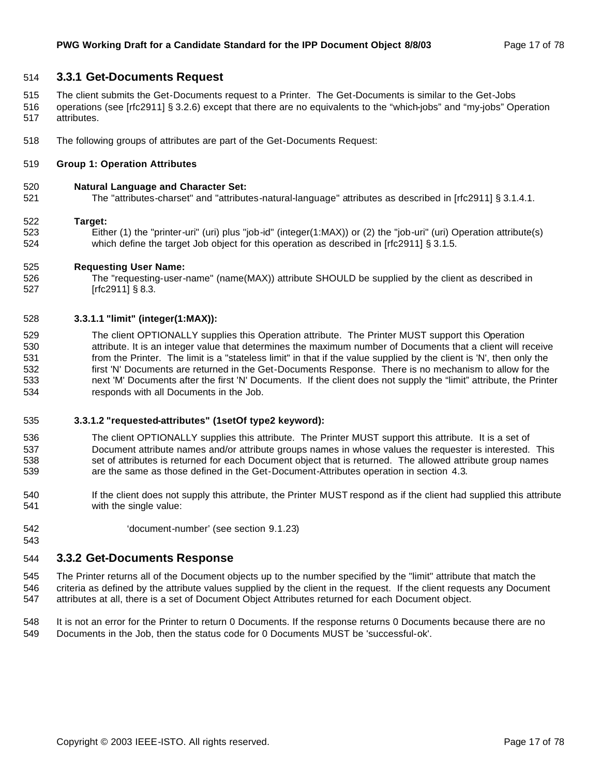#### **3.3.1 Get-Documents Request**

- The client submits the Get-Documents request to a Printer. The Get-Documents is similar to the Get-Jobs
- operations (see [rfc2911] § 3.2.6) except that there are no equivalents to the "which-jobs" and "my-jobs" Operation attributes.
- The following groups of attributes are part of the Get-Documents Request:

#### **Group 1: Operation Attributes**

#### **Natural Language and Character Set:**

The "attributes-charset" and "attributes-natural-language" attributes as described in [rfc2911] § 3.1.4.1.

#### **Target:**

 Either (1) the "printer-uri" (uri) plus "job-id" (integer(1:MAX)) or (2) the "job-uri" (uri) Operation attribute(s) 524 which define the target Job object for this operation as described in [rfc2911] § 3.1.5.

#### **Requesting User Name:**

 The "requesting-user-name" (name(MAX)) attribute SHOULD be supplied by the client as described in [rfc2911] § 8.3.

#### **3.3.1.1 "limit" (integer(1:MAX)):**

 The client OPTIONALLY supplies this Operation attribute. The Printer MUST support this Operation attribute. It is an integer value that determines the maximum number of Documents that a client will receive from the Printer. The limit is a "stateless limit" in that if the value supplied by the client is 'N', then only the first 'N' Documents are returned in the Get-Documents Response. There is no mechanism to allow for the next 'M' Documents after the first 'N' Documents. If the client does not supply the "limit" attribute, the Printer responds with all Documents in the Job.

#### **3.3.1.2 "requested-attributes" (1setOf type2 keyword):**

- The client OPTIONALLY supplies this attribute. The Printer MUST support this attribute. It is a set of Document attribute names and/or attribute groups names in whose values the requester is interested. This 538 set of attributes is returned for each Document object that is returned. The allowed attribute group names are the same as those defined in the Get-Document-Attributes operation in section 4.3.
- If the client does not supply this attribute, the Printer MUST respond as if the client had supplied this attribute with the single value:
- 'document-number' (see section 9.1.23)

#### **3.3.2 Get-Documents Response**

 The Printer returns all of the Document objects up to the number specified by the "limit" attribute that match the criteria as defined by the attribute values supplied by the client in the request. If the client requests any Document attributes at all, there is a set of Document Object Attributes returned for each Document object.

 It is not an error for the Printer to return 0 Documents. If the response returns 0 Documents because there are no Documents in the Job, then the status code for 0 Documents MUST be 'successful-ok'.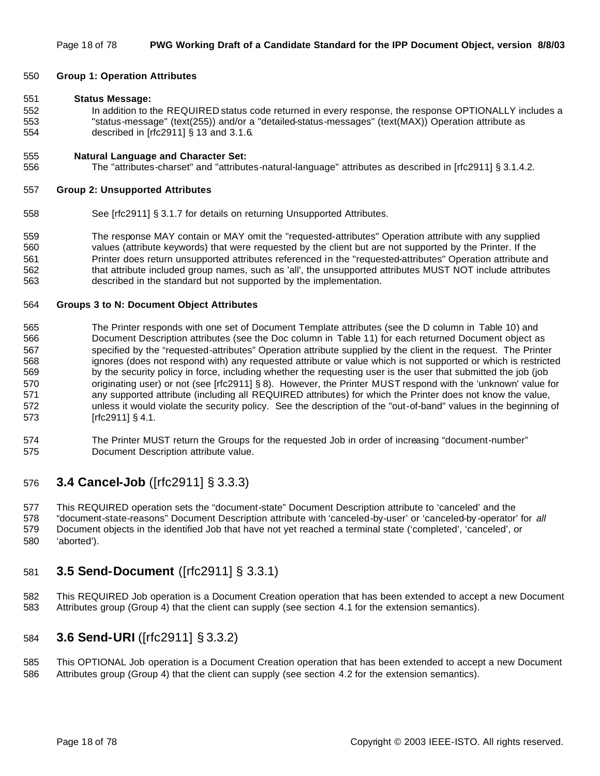#### **Group 1: Operation Attributes**

#### **Status Message:**

 In addition to the REQUIRED status code returned in every response, the response OPTIONALLY includes a "status-message" (text(255)) and/or a "detailed-status-messages" (text(MAX)) Operation attribute as described in [rfc2911] § 13 and 3.1.6.

#### **Natural Language and Character Set:**

The "attributes-charset" and "attributes-natural-language" attributes as described in [rfc2911] § 3.1.4.2.

#### **Group 2: Unsupported Attributes**

See [rfc2911] § 3.1.7 for details on returning Unsupported Attributes.

 The response MAY contain or MAY omit the "requested-attributes" Operation attribute with any supplied values (attribute keywords) that were requested by the client but are not supported by the Printer. If the Printer does return unsupported attributes referenced in the "requested-attributes" Operation attribute and that attribute included group names, such as 'all', the unsupported attributes MUST NOT include attributes described in the standard but not supported by the implementation.

#### **Groups 3 to N: Document Object Attributes**

- The Printer responds with one set of Document Template attributes (see the D column in Table 10) and Document Description attributes (see the Doc column in Table 11) for each returned Document object as specified by the "requested-attributes" Operation attribute supplied by the client in the request. The Printer ignores (does not respond with) any requested attribute or value which is not supported or which is restricted by the security policy in force, including whether the requesting user is the user that submitted the job (job 570 originating user) or not (see [rfc2911] § 8). However, the Printer MUST respond with the 'unknown' value for any supported attribute (including all REQUIRED attributes) for which the Printer does not know the value, unless it would violate the security policy. See the description of the "out-of-band" values in the beginning of [rfc2911] § 4.1.
- The Printer MUST return the Groups for the requested Job in order of increasing "document-number" Document Description attribute value.

## **3.4 Cancel-Job** ([rfc2911] § 3.3.3)

 This REQUIRED operation sets the "document-state" Document Description attribute to 'canceled' and the "document-state-reasons" Document Description attribute with 'canceled-by-user' or 'canceled-by -operator' for *all* Document objects in the identified Job that have not yet reached a terminal state ('completed', 'canceled', or 'aborted').

# **3.5 Send-Document** ([rfc2911] § 3.3.1)

 This REQUIRED Job operation is a Document Creation operation that has been extended to accept a new Document Attributes group (Group 4) that the client can supply (see section 4.1 for the extension semantics).

## **3.6 Send-URI** ([rfc2911] § 3.3.2)

 This OPTIONAL Job operation is a Document Creation operation that has been extended to accept a new Document Attributes group (Group 4) that the client can supply (see section 4.2 for the extension semantics).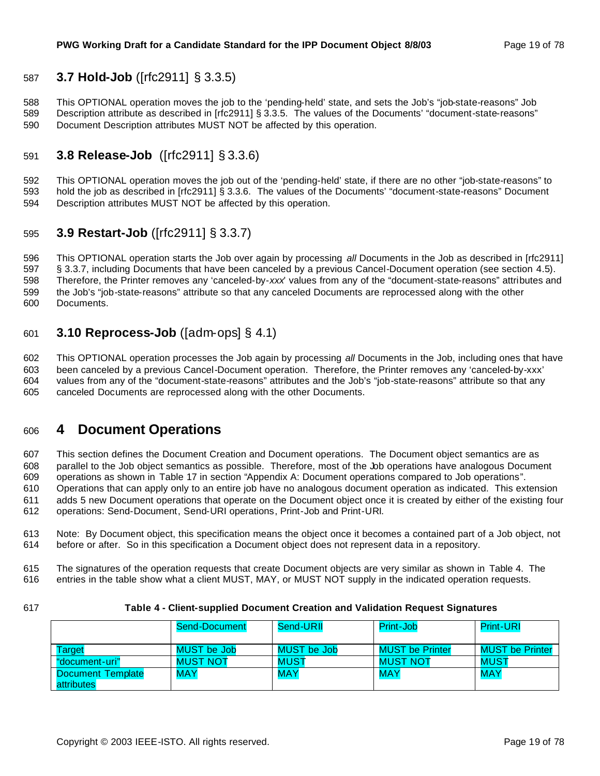# **3.7 Hold-Job** ([rfc2911] § 3.3.5)

 This OPTIONAL operation moves the job to the 'pending-held' state, and sets the Job's "job-state-reasons" Job Description attribute as described in [rfc2911] § 3.3.5. The values of the Documents' "document-state-reasons" Document Description attributes MUST NOT be affected by this operation.

# **3.8 Release-Job** ([rfc2911] § 3.3.6)

 This OPTIONAL operation moves the job out of the 'pending-held' state, if there are no other "job-state-reasons" to hold the job as described in [rfc2911] § 3.3.6. The values of the Documents' "document-state-reasons" Document Description attributes MUST NOT be affected by this operation.

# **3.9 Restart-Job** ([rfc2911] § 3.3.7)

 This OPTIONAL operation starts the Job over again by processing *all* Documents in the Job as described in [rfc2911] § 3.3.7, including Documents that have been canceled by a previous Cancel-Document operation (see section 4.5). Therefore, the Printer removes any 'canceled-by-*xxx*' values from any of the "document-state-reasons" attributes and the Job's "job-state-reasons" attribute so that any canceled Documents are reprocessed along with the other Documents.

# **3.10 Reprocess-Job** ([adm-ops] § 4.1)

 This OPTIONAL operation processes the Job again by processing *all* Documents in the Job, including ones that have been canceled by a previous Cancel-Document operation. Therefore, the Printer removes any 'canceled-by-xxx' values from any of the "document-state-reasons" attributes and the Job's "job-state-reasons" attribute so that any canceled Documents are reprocessed along with the other Documents.

# **4 Document Operations**

 This section defines the Document Creation and Document operations. The Document object semantics are as parallel to the Job object semantics as possible. Therefore, most of the Job operations have analogous Document operations as shown in Table 17 in section "Appendix A: Document operations compared to Job operations". Operations that can apply only to an entire job have no analogous document operation as indicated. This extension adds 5 new Document operations that operate on the Document object once it is created by either of the existing four operations: Send-Document, Send-URI operations, Print-Job and Print-URI.

 Note: By Document object, this specification means the object once it becomes a contained part of a Job object, not before or after. So in this specification a Document object does not represent data in a repository.

 The signatures of the operation requests that create Document objects are very similar as shown in Table 4. The entries in the table show what a client MUST, MAY, or MUST NOT supply in the indicated operation requests.

#### **Table 4 - Client-supplied Document Creation and Validation Request Signatures**

|                          | Send-Document      | Send-URII   | Print-Job              | <b>Print-URI</b>       |
|--------------------------|--------------------|-------------|------------------------|------------------------|
|                          |                    |             |                        |                        |
| Target                   | <b>MUST</b> be Job | MUST be Job | <b>MUST be Printer</b> | <b>MUST be Printer</b> |
| "document-uri"           | <b>MUST NOT</b>    | <b>MUST</b> | <b>MUST NOT</b>        | MUST                   |
| <b>Document Template</b> | <b>MAY</b>         | <b>MAY</b>  | <b>MAY</b>             | <b>MAY</b>             |
| attributes               |                    |             |                        |                        |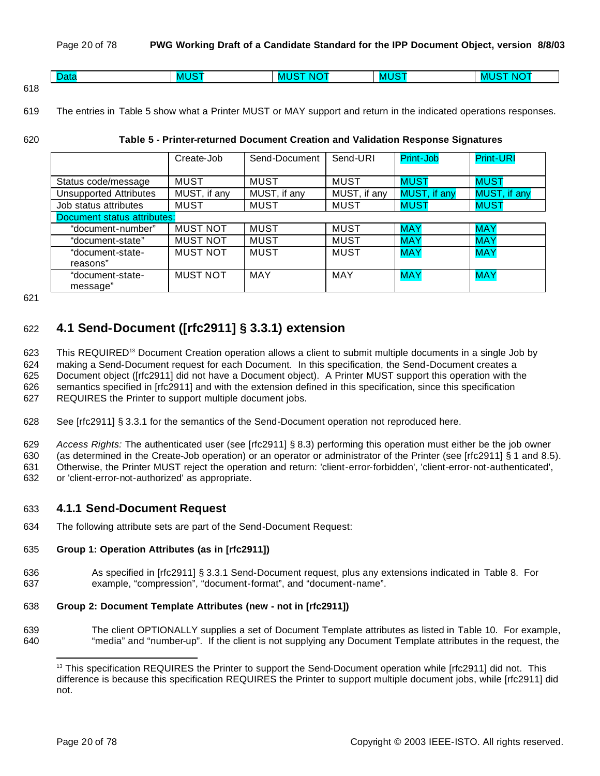|      | $\sim$<br>.<br>Jalo | $\mathbf{M}$ is the $\mathbf{M}$<br>MI | ---<br>NK<br>- IVA 1 | .<br>- IVAN | --<br>ND.<br>-M |
|------|---------------------|----------------------------------------|----------------------|-------------|-----------------|
| 24 O |                     |                                        |                      |             |                 |

<sup>618</sup>

619 The entries in Table 5 show what a Printer MUST or MAY support and return in the indicated operations responses.

#### 620 **Table 5 - Printer-returned Document Creation and Validation Response Signatures**

|                                    | Create-Job      | Send-Document | Send-URI     | Print-Job    | <b>Print-URI</b> |
|------------------------------------|-----------------|---------------|--------------|--------------|------------------|
|                                    |                 |               |              |              |                  |
| Status code/message                | <b>MUST</b>     | <b>MUST</b>   | <b>MUST</b>  | <b>MUST</b>  | <b>MUST</b>      |
| <b>Unsupported Attributes</b>      | MUST, if any    | MUST, if any  | MUST, if any | MUST, if any | MUST, if any     |
| Job status attributes              | <b>MUST</b>     | <b>MUST</b>   | <b>MUST</b>  | <b>MUST</b>  | <b>MUST</b>      |
| <b>Document status attributes:</b> |                 |               |              |              |                  |
| "document-number"                  | <b>MUST NOT</b> | <b>MUST</b>   | <b>MUST</b>  | <b>MAY</b>   | <b>MAY</b>       |
| "document-state"                   | <b>MUST NOT</b> | <b>MUST</b>   | <b>MUST</b>  | <b>MAY</b>   | <b>MAY</b>       |
| "document-state-                   | <b>MUST NOT</b> | <b>MUST</b>   | <b>MUST</b>  | <b>MAY</b>   | <b>MAY</b>       |
| reasons"                           |                 |               |              |              |                  |
| "document-state-                   | <b>MUST NOT</b> | <b>MAY</b>    | <b>MAY</b>   | <b>MAY</b>   | <b>MAY</b>       |
| message"                           |                 |               |              |              |                  |

621

# 622 **4.1 Send-Document ([rfc2911] § 3.3.1) extension**

623 This REQUIRED<sup>13</sup> Document Creation operation allows a client to submit multiple documents in a single Job by making a Send-Document request for each Document. In this specification, the Send-Document creates a Document object ([rfc2911] did not have a Document object). A Printer MUST support this operation with the semantics specified in [rfc2911] and with the extension defined in this specification, since this specification REQUIRES the Printer to support multiple document jobs.

- 628 See [rfc2911] § 3.3.1 for the semantics of the Send-Document operation not reproduced here.
- 629 *Access Rights:* The authenticated user (see [rfc2911] § 8.3) performing this operation must either be the job owner

630 (as determined in the Create-Job operation) or an operator or administrator of the Printer (see [rfc2911] § 1 and 8.5).

631 Otherwise, the Printer MUST reject the operation and return: 'client-error-forbidden', 'client-error-not-authenticated', 632 or 'client-error-not-authorized' as appropriate.

## 633 **4.1.1 Send-Document Request**

634 The following attribute sets are part of the Send-Document Request:

#### 635 **Group 1: Operation Attributes (as in [rfc2911])**

636 As specified in [rfc2911] § 3.3.1 Send-Document request, plus any extensions indicated in Table 8. For 637 example, "compression", "document-format", and "document-name".

#### 638 **Group 2: Document Template Attributes (new - not in [rfc2911])**

639 The client OPTIONALLY supplies a set of Document Template attributes as listed in Table 10. For example, 640 "media" and "number-up". If the client is not supplying any Document Template attributes in the request, the

<sup>&</sup>lt;sup>13</sup> This specification REQUIRES the Printer to support the Send-Document operation while [rfc2911] did not. This difference is because this specification REQUIRES the Printer to support multiple document jobs, while [rfc2911] did not.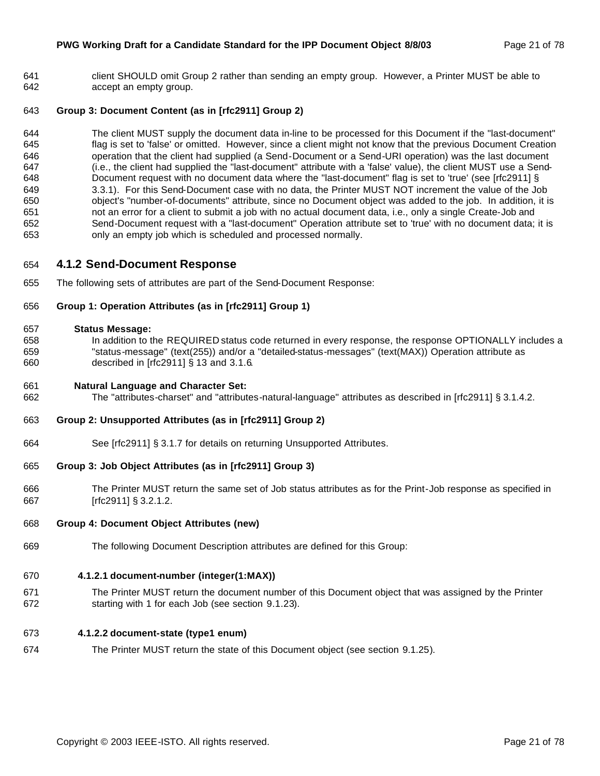#### **PWG Working Draft for a Candidate Standard for the IPP Document Object 8/8/03** Page 21 of 78

 client SHOULD omit Group 2 rather than sending an empty group. However, a Printer MUST be able to accept an empty group.

#### **Group 3: Document Content (as in [rfc2911] Group 2)**

 The client MUST supply the document data in-line to be processed for this Document if the "last-document" flag is set to 'false' or omitted. However, since a client might not know that the previous Document Creation 646 operation that the client had supplied (a Send-Document or a Send-URI operation) was the last document (i.e., the client had supplied the "last-document" attribute with a 'false' value), the client MUST use a Send- Document request with no document data where the "last-document" flag is set to 'true' (see [rfc2911] § 3.3.1). For this Send-Document case with no data, the Printer MUST NOT increment the value of the Job object's "number-of-documents" attribute, since no Document object was added to the job. In addition, it is not an error for a client to submit a job with no actual document data, i.e., only a single Create-Job and Send-Document request with a "last-document" Operation attribute set to 'true' with no document data; it is only an empty job which is scheduled and processed normally.

#### **4.1.2 Send-Document Response**

The following sets of attributes are part of the Send-Document Response:

#### **Group 1: Operation Attributes (as in [rfc2911] Group 1)**

#### **Status Message:**

 In addition to the REQUIRED status code returned in every response, the response OPTIONALLY includes a "status-message" (text(255)) and/or a "detailed-status-messages" (text(MAX)) Operation attribute as described in [rfc2911] § 13 and 3.1.6.

#### **Natural Language and Character Set:**

The "attributes-charset" and "attributes-natural-language" attributes as described in [rfc2911] § 3.1.4.2.

#### **Group 2: Unsupported Attributes (as in [rfc2911] Group 2)**

See [rfc2911] § 3.1.7 for details on returning Unsupported Attributes.

#### **Group 3: Job Object Attributes (as in [rfc2911] Group 3)**

 The Printer MUST return the same set of Job status attributes as for the Print-Job response as specified in [rfc2911] § 3.2.1.2.

#### **Group 4: Document Object Attributes (new)**

The following Document Description attributes are defined for this Group:

#### **4.1.2.1 document-number (integer(1:MAX))**

 The Printer MUST return the document number of this Document object that was assigned by the Printer starting with 1 for each Job (see section 9.1.23).

#### **4.1.2.2 document-state (type1 enum)**

The Printer MUST return the state of this Document object (see section 9.1.25).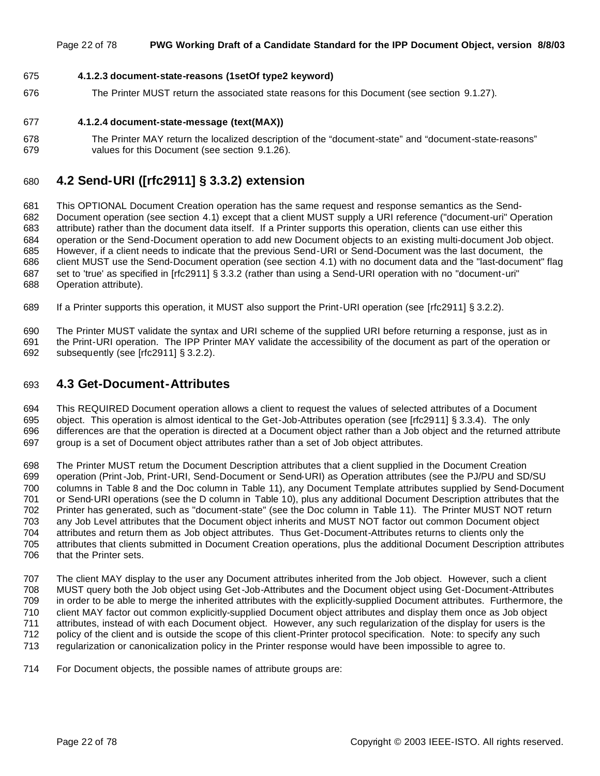#### Page 22 of 78 **PWG Working Draft of a Candidate Standard for the IPP Document Object, version 8/8/03**

#### **4.1.2.3 document-state-reasons (1setOf type2 keyword)**

The Printer MUST return the associated state reasons for this Document (see section 9.1.27).

#### **4.1.2.4 document-state-message (text(MAX))**

 The Printer MAY return the localized description of the "document-state" and "document-state-reasons" values for this Document (see section 9.1.26).

# **4.2 Send-URI ([rfc2911] § 3.3.2) extension**

 This OPTIONAL Document Creation operation has the same request and response semantics as the Send- Document operation (see section 4.1) except that a client MUST supply a URI reference ("document-uri" Operation attribute) rather than the document data itself. If a Printer supports this operation, clients can use either this operation or the Send-Document operation to add new Document objects to an existing multi-document Job object. However, if a client needs to indicate that the previous Send-URI or Send-Document was the last document, the client MUST use the Send-Document operation (see section 4.1) with no document data and the "last-document" flag set to 'true' as specified in [rfc2911] § 3.3.2 (rather than using a Send-URI operation with no "document-uri" Operation attribute).

If a Printer supports this operation, it MUST also support the Print-URI operation (see [rfc2911] § 3.2.2).

 The Printer MUST validate the syntax and URI scheme of the supplied URI before returning a response, just as in the Print-URI operation. The IPP Printer MAY validate the accessibility of the document as part of the operation or subsequently (see [rfc2911] § 3.2.2).

### **4.3 Get-Document-Attributes**

 This REQUIRED Document operation allows a client to request the values of selected attributes of a Document object. This operation is almost identical to the Get-Job-Attributes operation (see [rfc2911] § 3.3.4). The only differences are that the operation is directed at a Document object rather than a Job object and the returned attribute group is a set of Document object attributes rather than a set of Job object attributes.

 The Printer MUST return the Document Description attributes that a client supplied in the Document Creation operation (Print-Job, Print-URI, Send-Document or Send-URI) as Operation attributes (see the PJ/PU and SD/SU columns in Table 8 and the Doc column in Table 11), any Document Template attributes supplied by Send-Document or Send-URI operations (see the D column in Table 10), plus any additional Document Description attributes that the Printer has generated, such as "document-state" (see the Doc column in Table 11). The Printer MUST NOT return any Job Level attributes that the Document object inherits and MUST NOT factor out common Document object attributes and return them as Job object attributes. Thus Get-Document-Attributes returns to clients only the attributes that clients submitted in Document Creation operations, plus the additional Document Description attributes that the Printer sets.

 The client MAY display to the user any Document attributes inherited from the Job object. However, such a client MUST query both the Job object using Get-Job-Attributes and the Document object using Get-Document-Attributes in order to be able to merge the inherited attributes with the explicitly-supplied Document attributes. Furthermore, the client MAY factor out common explicitly-supplied Document object attributes and display them once as Job object attributes, instead of with each Document object. However, any such regularization of the display for users is the policy of the client and is outside the scope of this client-Printer protocol specification. Note: to specify any such regularization or canonicalization policy in the Printer response would have been impossible to agree to.

For Document objects, the possible names of attribute groups are: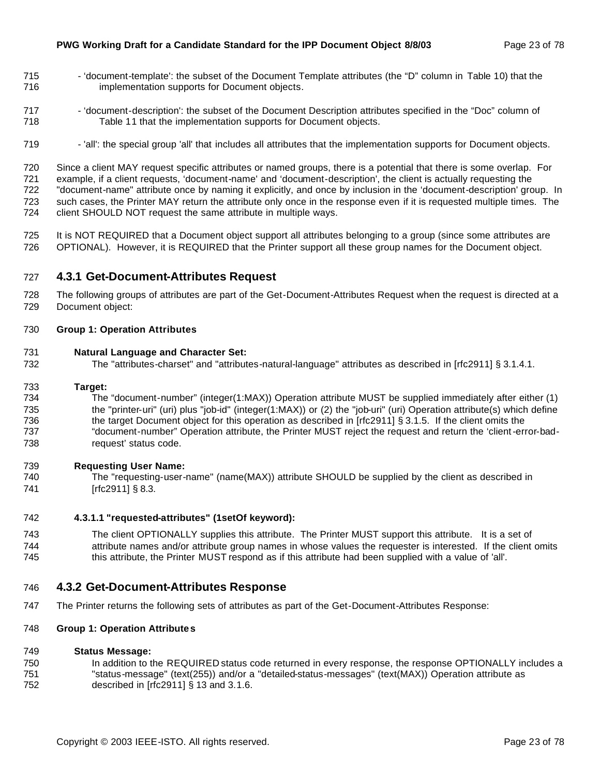- 715 'document-template': the subset of the Document Template attributes (the "D" column in Table 10) that the implementation supports for Document objects.
- 'document-description': the subset of the Document Description attributes specified in the "Doc" column of Table 11 that the implementation supports for Document objects.
- 719 'all': the special group 'all' that includes all attributes that the implementation supports for Document objects.

 Since a client MAY request specific attributes or named groups, there is a potential that there is some overlap. For example, if a client requests, 'document-name' and 'document-description', the client is actually requesting the "document-name" attribute once by naming it explicitly, and once by inclusion in the 'document-description' group. In such cases, the Printer MAY return the attribute only once in the response even if it is requested multiple times. The client SHOULD NOT request the same attribute in multiple ways.

 It is NOT REQUIRED that a Document object support all attributes belonging to a group (since some attributes are OPTIONAL). However, it is REQUIRED that the Printer support all these group names for the Document object.

## **4.3.1 Get-Document-Attributes Request**

 The following groups of attributes are part of the Get-Document-Attributes Request when the request is directed at a Document object:

#### **Group 1: Operation Attributes**

#### **Natural Language and Character Set:**

The "attributes-charset" and "attributes-natural-language" attributes as described in [rfc2911] § 3.1.4.1.

#### **Target:**

 The "document-number" (integer(1:MAX)) Operation attribute MUST be supplied immediately after either (1) the "printer-uri" (uri) plus "job-id" (integer(1:MAX)) or (2) the "job-uri" (uri) Operation attribute(s) which define the target Document object for this operation as described in [rfc2911] § 3.1.5. If the client omits the "document-number" Operation attribute, the Printer MUST reject the request and return the 'client-error-bad-request' status code.

#### **Requesting User Name:**

 The "requesting-user-name" (name(MAX)) attribute SHOULD be supplied by the client as described in 741 [rfc2911] § 8.3.

#### **4.3.1.1 "requested-attributes" (1setOf keyword):**

 The client OPTIONALLY supplies this attribute. The Printer MUST support this attribute. It is a set of attribute names and/or attribute group names in whose values the requester is interested. If the client omits this attribute, the Printer MUST respond as if this attribute had been supplied with a value of 'all'.

#### **4.3.2 Get-Document-Attributes Response**

The Printer returns the following sets of attributes as part of the Get-Document-Attributes Response:

#### **Group 1: Operation Attributes**

#### **Status Message:**

750 In addition to the REQUIRED status code returned in every response, the response OPTIONALLY includes a "status-message" (text(255)) and/or a "detailed-status-messages" (text(MAX)) Operation attribute as described in [rfc2911] § 13 and 3.1.6.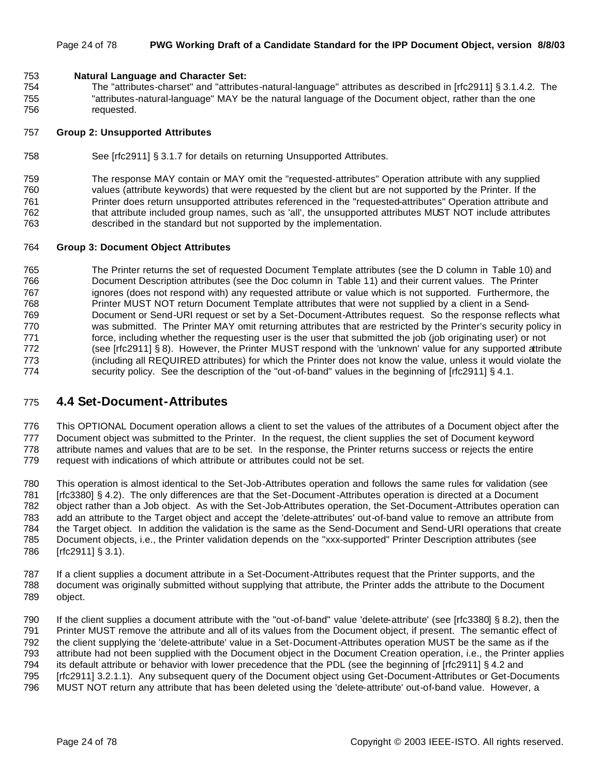#### Page 24 of 78 **PWG Working Draft of a Candidate Standard for the IPP Document Object, version 8/8/03**

#### **Natural Language and Character Set:**

 The "attributes-charset" and "attributes-natural-language" attributes as described in [rfc2911] § 3.1.4.2. The "attributes-natural-language" MAY be the natural language of the Document object, rather than the one requested.

#### **Group 2: Unsupported Attributes**

See [rfc2911] § 3.1.7 for details on returning Unsupported Attributes.

 The response MAY contain or MAY omit the "requested-attributes" Operation attribute with any supplied values (attribute keywords) that were requested by the client but are not supported by the Printer. If the Printer does return unsupported attributes referenced in the "requested-attributes" Operation attribute and that attribute included group names, such as 'all', the unsupported attributes MUST NOT include attributes described in the standard but not supported by the implementation.

#### **Group 3: Document Object Attributes**

 The Printer returns the set of requested Document Template attributes (see the D column in Table 10) and Document Description attributes (see the Doc column in Table 11) and their current values. The Printer 767 ignores (does not respond with) any requested attribute or value which is not supported. Furthermore, the Printer MUST NOT return Document Template attributes that were not supplied by a client in a Send- Document or Send-URI request or set by a Set-Document-Attributes request. So the response reflects what was submitted. The Printer MAY omit returning attributes that are restricted by the Printer's security policy in 771 force, including whether the requesting user is the user that submitted the job (job originating user) or not (see [rfc2911] § 8). However, the Printer MUST respond with the 'unknown' value for any supported attribute (including all REQUIRED attributes) for which the Printer does not know the value, unless it would violate the 774 security policy. See the description of the "out-of-band" values in the beginning of [rfc2911] § 4.1.

#### **4.4 Set-Document-Attributes**

 This OPTIONAL Document operation allows a client to set the values of the attributes of a Document object after the Document object was submitted to the Printer. In the request, the client supplies the set of Document keyword attribute names and values that are to be set. In the response, the Printer returns success or rejects the entire request with indications of which attribute or attributes could not be set.

 This operation is almost identical to the Set-Job-Attributes operation and follows the same rules for validation (see [rfc3380] § 4.2). The only differences are that the Set-Document-Attributes operation is directed at a Document object rather than a Job object. As with the Set-Job-Attributes operation, the Set-Document-Attributes operation can add an attribute to the Target object and accept the 'delete-attributes' out-of-band value to remove an attribute from the Target object. In addition the validation is the same as the Send-Document and Send-URI operations that create Document objects, i.e., the Printer validation depends on the "xxx-supported" Printer Description attributes (see [rfc2911] § 3.1).

 If a client supplies a document attribute in a Set-Document-Attributes request that the Printer supports, and the document was originally submitted without supplying that attribute, the Printer adds the attribute to the Document object.

 If the client supplies a document attribute with the "out-of-band" value 'delete-attribute' (see [rfc3380] § 8.2), then the Printer MUST remove the attribute and all of its values from the Document object, if present. The semantic effect of the client supplying the 'delete-attribute' value in a Set-Document-Attributes operation MUST be the same as if the attribute had not been supplied with the Document object in the Document Creation operation, i.e., the Printer applies its default attribute or behavior with lower precedence that the PDL (see the beginning of [rfc2911] § 4.2 and [rfc2911] 3.2.1.1). Any subsequent query of the Document object using Get-Document-Attributes or Get-Documents MUST NOT return any attribute that has been deleted using the 'delete-attribute' out-of-band value. However, a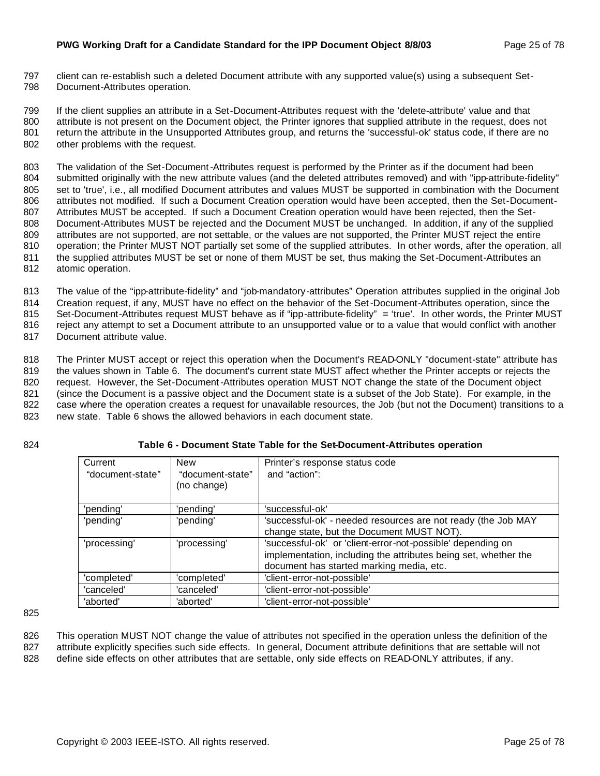797 client can re-establish such a deleted Document attribute with any supported value(s) using a subsequent Set-798 Document-Attributes operation.

 If the client supplies an attribute in a Set-Document-Attributes request with the 'delete-attribute' value and that attribute is not present on the Document object, the Printer ignores that supplied attribute in the request, does not return the attribute in the Unsupported Attributes group, and returns the 'successful-ok' status code, if there are no other problems with the request.

 The validation of the Set-Document-Attributes request is performed by the Printer as if the document had been submitted originally with the new attribute values (and the deleted attributes removed) and with "ipp-attribute-fidelity" set to 'true', i.e., all modified Document attributes and values MUST be supported in combination with the Document attributes not modified. If such a Document Creation operation would have been accepted, then the Set-Document- Attributes MUST be accepted. If such a Document Creation operation would have been rejected, then the Set- Document-Attributes MUST be rejected and the Document MUST be unchanged. In addition, if any of the supplied attributes are not supported, are not settable, or the values are not supported, the Printer MUST reject the entire operation; the Printer MUST NOT partially set some of the supplied attributes. In other words, after the operation, all the supplied attributes MUST be set or none of them MUST be set, thus making the Set-Document-Attributes an atomic operation.

 The value of the "ipp-attribute-fidelity" and "job-mandatory-attributes" Operation attributes supplied in the original Job Creation request, if any, MUST have no effect on the behavior of the Set-Document-Attributes operation, since the Set-Document-Attributes request MUST behave as if "ipp-attribute-fidelity" = 'true'. In other words, the Printer MUST reject any attempt to set a Document attribute to an unsupported value or to a value that would conflict with another

817 Document attribute value.

818 The Printer MUST accept or reject this operation when the Document's READ-ONLY "document-state" attribute has 819 the values shown in Table 6. The document's current state MUST affect whether the Printer accepts or rejects the

820 request. However, the Set-Document-Attributes operation MUST NOT change the state of the Document object

821 (since the Document is a passive object and the Document state is a subset of the Job State). For example, in the

822 case where the operation creates a request for unavailable resources, the Job (but not the Document) transitions to a

823 new state. Table 6 shows the allowed behaviors in each document state.

#### 824 **Table 6 - Document State Table for the Set-Document-Attributes operation**

| Current          | <b>New</b>       | Printer's response status code                                  |
|------------------|------------------|-----------------------------------------------------------------|
| "document-state" | "document-state" | and "action":                                                   |
|                  | (no change)      |                                                                 |
|                  |                  |                                                                 |
| 'pending'        | 'pending'        | 'successful-ok'                                                 |
| 'pending'        | 'pending'        | 'successful-ok' - needed resources are not ready (the Job MAY   |
|                  |                  | change state, but the Document MUST NOT).                       |
| 'processing'     | 'processing'     | 'successful-ok' or 'client-error-not-possible' depending on     |
|                  |                  | implementation, including the attributes being set, whether the |
|                  |                  | document has started marking media, etc.                        |
| 'completed'      | 'completed'      | 'client-error-not-possible'                                     |
| 'canceled'       | 'canceled'       | 'client-error-not-possible'                                     |
| 'aborted'        | 'aborted'        | 'client-error-not-possible'                                     |

825

826 This operation MUST NOT change the value of attributes not specified in the operation unless the definition of the 827 attribute explicitly specifies such side effects. In general, Document attribute definitions that are settable will not 828 define side effects on other attributes that are settable, only side effects on READ-ONLY attributes, if any.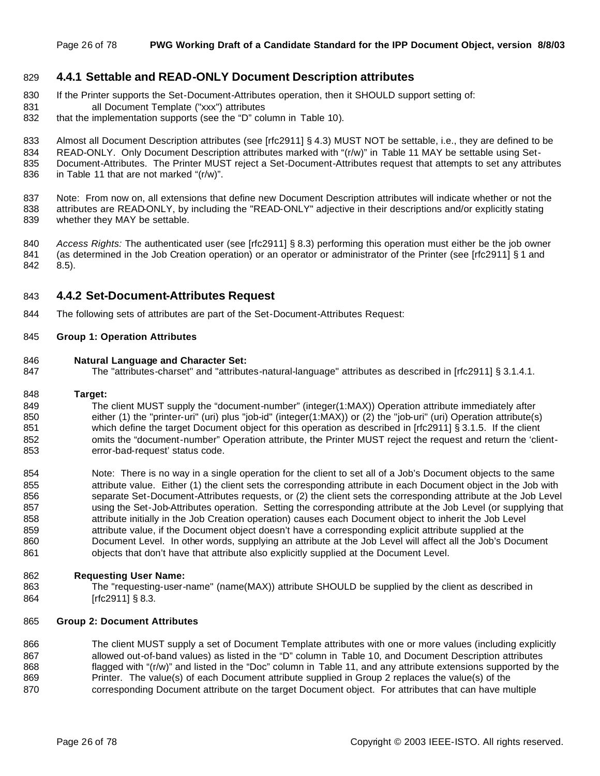#### **4.4.1 Settable and READ-ONLY Document Description attributes**

- If the Printer supports the Set-Document-Attributes operation, then it SHOULD support setting of:
- all Document Template ("xxx") attributes
- 832 that the implementation supports (see the "D" column in Table 10).
- 833 Almost all Document Description attributes (see [rfc2911] § 4.3) MUST NOT be settable, i.e., they are defined to be
- READ-ONLY. Only Document Description attributes marked with "(r/w)" in Table 11 MAY be settable using Set-
- Document-Attributes. The Printer MUST reject a Set-Document-Attributes request that attempts to set any attributes
- in Table 11 that are not marked "(r/w)".

 Note: From now on, all extensions that define new Document Description attributes will indicate whether or not the 838 attributes are READ-ONLY, by including the "READ-ONLY" adjective in their descriptions and/or explicitly stating whether they MAY be settable.

 *Access Rights:* The authenticated user (see [rfc2911] § 8.3) performing this operation must either be the job owner 841 (as determined in the Job Creation operation) or an operator or administrator of the Printer (see [rfc2911] § 1 and 8.5).

#### **4.4.2 Set-Document-Attributes Request**

The following sets of attributes are part of the Set-Document-Attributes Request:

#### **Group 1: Operation Attributes**

#### **Natural Language and Character Set:**

The "attributes-charset" and "attributes-natural-language" attributes as described in [rfc2911] § 3.1.4.1.

#### **Target:**

 The client MUST supply the "document-number" (integer(1:MAX)) Operation attribute immediately after 850 either (1) the "printer-uri" (uri) plus "job-id" (integer(1:MAX)) or (2) the "job-uri" (uri) Operation attribute(s) 851 which define the target Document object for this operation as described in [rfc2911] § 3.1.5. If the client omits the "document-number" Operation attribute, the Printer MUST reject the request and return the 'client-error-bad-request' status code.

 Note: There is no way in a single operation for the client to set all of a Job's Document objects to the same 855 attribute value. Either (1) the client sets the corresponding attribute in each Document object in the Job with separate Set-Document-Attributes requests, or (2) the client sets the corresponding attribute at the Job Level using the Set-Job-Attributes operation. Setting the corresponding attribute at the Job Level (or supplying that 858 attribute initially in the Job Creation operation) causes each Document object to inherit the Job Level attribute value, if the Document object doesn't have a corresponding explicit attribute supplied at the Document Level. In other words, supplying an attribute at the Job Level will affect all the Job's Document 861 objects that don't have that attribute also explicitly supplied at the Document Level.

#### **Requesting User Name:**

 The "requesting-user-name" (name(MAX)) attribute SHOULD be supplied by the client as described in [rfc2911] § 8.3.

#### **Group 2: Document Attributes**

866 The client MUST supply a set of Document Template attributes with one or more values (including explicitly 867 allowed out-of-band values) as listed in the "D" column in Table 10, and Document Description attributes flagged with "(r/w)" and listed in the "Doc" column in Table 11, and any attribute extensions supported by the Printer. The value(s) of each Document attribute supplied in Group 2 replaces the value(s) of the 870 corresponding Document attribute on the target Document object. For attributes that can have multiple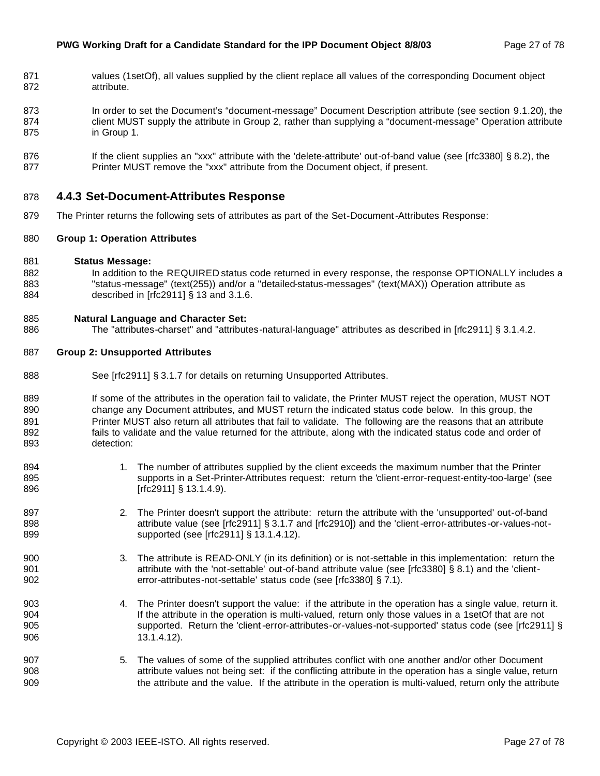- 871 values (1setOf), all values supplied by the client replace all values of the corresponding Document object attribute.
- In order to set the Document's "document-message" Document Description attribute (see section 9.1.20), the 874 client MUST supply the attribute in Group 2, rather than supplying a "document-message" Operation attribute in Group 1.
- 876 If the client supplies an "xxx" attribute with the 'delete-attribute' out-of-band value (see [rfc3380] § 8.2), the 877 Printer MUST remove the "xxx" attribute from the Document object, if present.

#### **4.4.3 Set-Document-Attributes Response**

The Printer returns the following sets of attributes as part of the Set-Document-Attributes Response:

#### **Group 1: Operation Attributes**

- **Status Message:**
- 882 In addition to the REQUIRED status code returned in every response, the response OPTIONALLY includes a "status-message" (text(255)) and/or a "detailed-status-messages" (text(MAX)) Operation attribute as described in [rfc2911] § 13 and 3.1.6.

#### **Natural Language and Character Set:**

886 The "attributes-charset" and "attributes-natural-language" attributes as described in [rfc2911] § 3.1.4.2.

#### **Group 2: Unsupported Attributes**

- 888 See [rfc2911] § 3.1.7 for details on returning Unsupported Attributes.
- 889 If some of the attributes in the operation fail to validate, the Printer MUST reject the operation, MUST NOT change any Document attributes, and MUST return the indicated status code below. In this group, the 891 Printer MUST also return all attributes that fail to validate. The following are the reasons that an attribute fails to validate and the value returned for the attribute, along with the indicated status code and order of detection:
- 894 1. The number of attributes supplied by the client exceeds the maximum number that the Printer supports in a Set-Printer-Attributes request: return the 'client-error-request-entity-too-large' (see 896 [rfc2911] § 13.1.4.9).
- 897 2. The Printer doesn't support the attribute: return the attribute with the 'unsupported' out-of-band 898 attribute value (see [rfc2911] § 3.1.7 and [rfc2910]) and the 'client-error-attributes-or-values-not-supported (see [rfc2911] § 13.1.4.12).
- 3. The attribute is READ-ONLY (in its definition) or is not-settable in this implementation: return the attribute with the 'not-settable' out-of-band attribute value (see [rfc3380] § 8.1) and the 'client-error-attributes-not-settable' status code (see [rfc3380] § 7.1).
- 4. The Printer doesn't support the value: if the attribute in the operation has a single value, return it. If the attribute in the operation is multi-valued, return only those values in a 1setOf that are not supported. Return the 'client-error-attributes-or-values-not-supported' status code (see [rfc2911] § 13.1.4.12).
- 5. The values of some of the supplied attributes conflict with one another and/or other Document attribute values not being set: if the conflicting attribute in the operation has a single value, return the attribute and the value. If the attribute in the operation is multi-valued, return only the attribute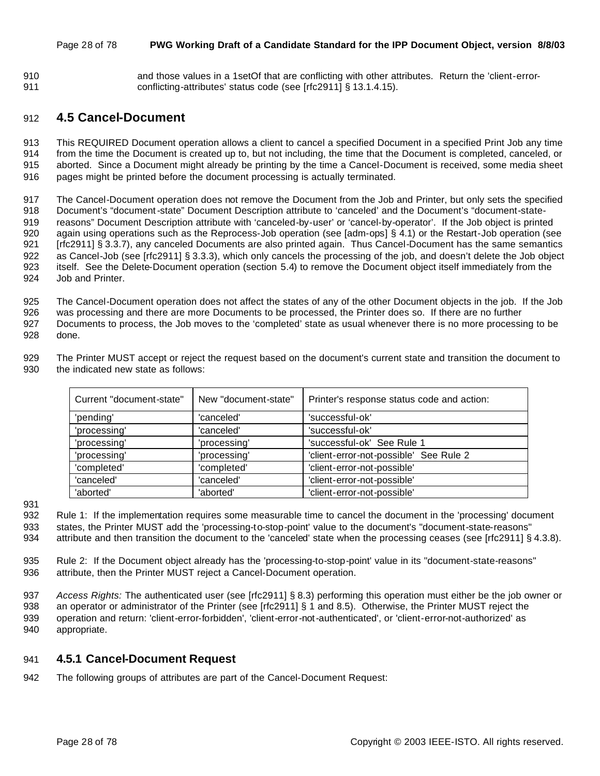#### Page 28 of 78 **PWG Working Draft of a Candidate Standard for the IPP Document Object, version 8/8/03**

 and those values in a 1setOf that are conflicting with other attributes. Return the 'client-error-conflicting-attributes' status code (see [rfc2911] § 13.1.4.15).

# **4.5 Cancel-Document**

 This REQUIRED Document operation allows a client to cancel a specified Document in a specified Print Job any time from the time the Document is created up to, but not including, the time that the Document is completed, canceled, or aborted. Since a Document might already be printing by the time a Cancel-Document is received, some media sheet pages might be printed before the document processing is actually terminated.

 The Cancel-Document operation does not remove the Document from the Job and Printer, but only sets the specified Document's "document-state" Document Description attribute to 'canceled' and the Document's "document-state- reasons" Document Description attribute with 'canceled-by-user' or 'cancel-by-operator'. If the Job object is printed again using operations such as the Reprocess-Job operation (see [adm-ops] § 4.1) or the Restart-Job operation (see [rfc2911] § 3.3.7), any canceled Documents are also printed again. Thus Cancel-Document has the same semantics as Cancel-Job (see [rfc2911] § 3.3.3), which only cancels the processing of the job, and doesn't delete the Job object itself. See the Delete-Document operation (section 5.4) to remove the Document object itself immediately from the Job and Printer.

 The Cancel-Document operation does not affect the states of any of the other Document objects in the job. If the Job was processing and there are more Documents to be processed, the Printer does so. If there are no further Documents to process, the Job moves to the 'completed' state as usual whenever there is no more processing to be done.

 The Printer MUST accept or reject the request based on the document's current state and transition the document to the indicated new state as follows:

| Current "document-state" | New "document-state" | Printer's response status code and action: |
|--------------------------|----------------------|--------------------------------------------|
| 'pending'                | 'canceled'           | 'successful-ok'                            |
| 'processing'             | 'canceled'           | 'successful-ok'                            |
| 'processing'             | 'processing'         | 'successful-ok' See Rule 1                 |
| 'processing'             | 'processing'         | 'client-error-not-possible' See Rule 2     |
| 'completed'              | 'completed'          | 'client-error-not-possible'                |
| 'canceled'               | 'canceled'           | 'client-error-not-possible'                |
| 'aborted'                | 'aborted'            | 'client-error-not-possible'                |

 Rule 1: If the implementation requires some measurable time to cancel the document in the 'processing' document states, the Printer MUST add the 'processing-to-stop-point' value to the document's "document-state-reasons" 934 attribute and then transition the document to the 'canceled' state when the processing ceases (see [rfc2911] § 4.3.8).

 Rule 2: If the Document object already has the 'processing-to-stop-point' value in its "document-state-reasons" attribute, then the Printer MUST reject a Cancel-Document operation.

 *Access Rights:* The authenticated user (see [rfc2911] § 8.3) performing this operation must either be the job owner or an operator or administrator of the Printer (see [rfc2911] § 1 and 8.5). Otherwise, the Printer MUST reject the operation and return: 'client-error-forbidden', 'client-error-not-authenticated', or 'client-error-not-authorized' as appropriate.

## **4.5.1 Cancel-Document Request**

The following groups of attributes are part of the Cancel-Document Request: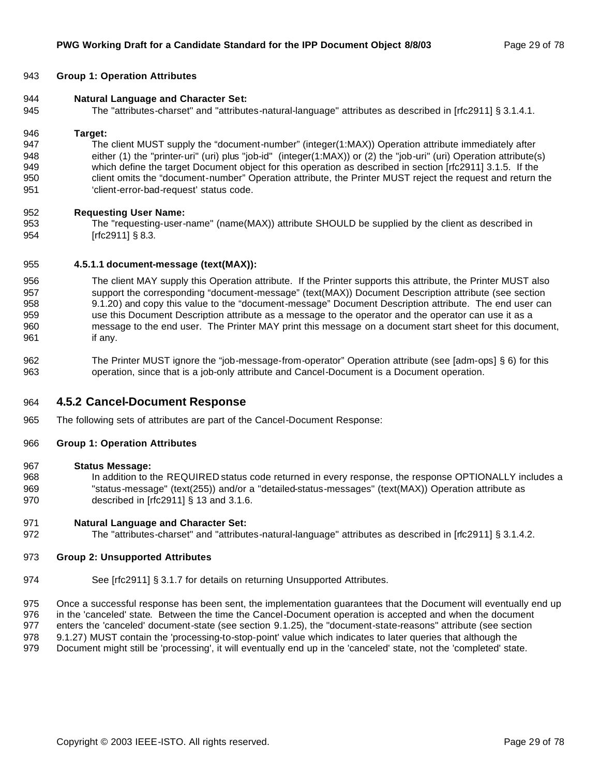#### **Group 1: Operation Attributes**

- **Natural Language and Character Set:**
- The "attributes-charset" and "attributes-natural-language" attributes as described in [rfc2911] § 3.1.4.1.

#### **Target:**

 The client MUST supply the "document-number" (integer(1:MAX)) Operation attribute immediately after 948 either (1) the "printer-uri" (uri) plus "job-id" (integer(1:MAX)) or (2) the "job-uri" (uri) Operation attribute(s) which define the target Document object for this operation as described in section [rfc2911] 3.1.5. If the client omits the "document-number" Operation attribute, the Printer MUST reject the request and return the 'client-error-bad-request' status code.

#### **Requesting User Name:**

 The "requesting-user-name" (name(MAX)) attribute SHOULD be supplied by the client as described in [rfc2911] § 8.3.

#### **4.5.1.1 document-message (text(MAX)):**

- The client MAY supply this Operation attribute. If the Printer supports this attribute, the Printer MUST also support the corresponding "document-message" (text(MAX)) Document Description attribute (see section 9.1.20) and copy this value to the "document-message" Document Description attribute. The end user can use this Document Description attribute as a message to the operator and the operator can use it as a message to the end user. The Printer MAY print this message on a document start sheet for this document, if any.
- The Printer MUST ignore the "job-message-from-operator" Operation attribute (see [adm-ops] § 6) for this operation, since that is a job-only attribute and Cancel-Document is a Document operation.

#### **4.5.2 Cancel-Document Response**

The following sets of attributes are part of the Cancel-Document Response:

#### **Group 1: Operation Attributes**

#### **Status Message:**

 In addition to the REQUIRED status code returned in every response, the response OPTIONALLY includes a "status-message" (text(255)) and/or a "detailed-status-messages" (text(MAX)) Operation attribute as described in [rfc2911] § 13 and 3.1.6.

#### **Natural Language and Character Set:**

The "attributes-charset" and "attributes-natural-language" attributes as described in [rfc2911] § 3.1.4.2.

#### **Group 2: Unsupported Attributes**

974 See [rfc2911] § 3.1.7 for details on returning Unsupported Attributes.

 Once a successful response has been sent, the implementation guarantees that the Document will eventually end up in the 'canceled' state. Between the time the Cancel-Document operation is accepted and when the document enters the 'canceled' document-state (see section 9.1.25), the "document-state-reasons" attribute (see section 9.1.27) MUST contain the 'processing-to-stop-point' value which indicates to later queries that although the

Document might still be 'processing', it will eventually end up in the 'canceled' state, not the 'completed' state.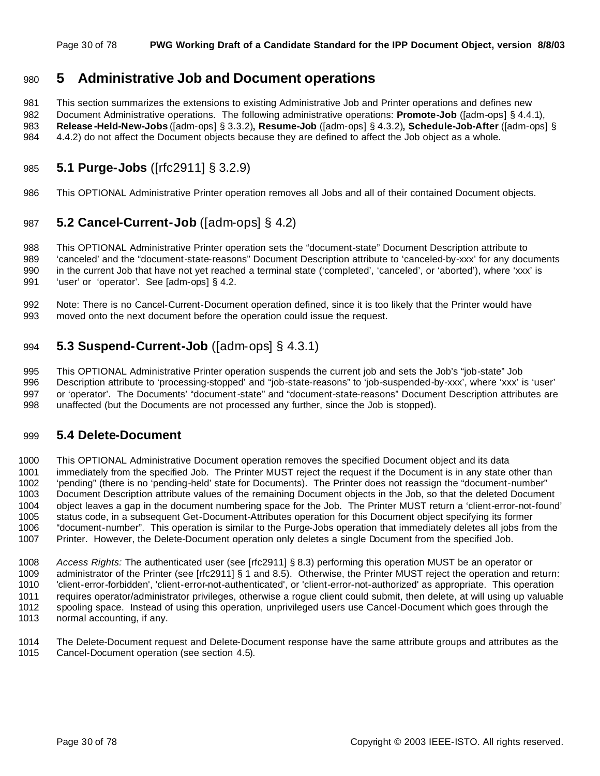# **5 Administrative Job and Document operations**

 This section summarizes the extensions to existing Administrative Job and Printer operations and defines new Document Administrative operations. The following administrative operations: **Promote-Job** ([adm-ops] § 4.4.1), **Release -Held-New-Jobs** ([adm-ops] § 3.3.2)**, Resume-Job** ([adm-ops] § 4.3.2)**, Schedule-Job-After** ([adm-ops] § 4.4.2) do not affect the Document objects because they are defined to affect the Job object as a whole.

# **5.1 Purge-Jobs** ([rfc2911] § 3.2.9)

This OPTIONAL Administrative Printer operation removes all Jobs and all of their contained Document objects.

# **5.2 Cancel-Current-Job** ([adm-ops] § 4.2)

 This OPTIONAL Administrative Printer operation sets the "document-state" Document Description attribute to 'canceled' and the "document-state-reasons" Document Description attribute to 'canceled-by-xxx' for any documents 990 in the current Job that have not yet reached a terminal state ('completed', 'canceled', or 'aborted'), where 'xxx' is 'user' or 'operator'. See [adm-ops] § 4.2.

 Note: There is no Cancel-Current-Document operation defined, since it is too likely that the Printer would have moved onto the next document before the operation could issue the request.

# **5.3 Suspend-Current-Job** ([adm-ops] § 4.3.1)

 This OPTIONAL Administrative Printer operation suspends the current job and sets the Job's "job-state" Job Description attribute to 'processing-stopped' and "job-state-reasons" to 'job-suspended-by-xxx', where 'xxx' is 'user' or 'operator'. The Documents' "document-state" and "document-state-reasons" Document Description attributes are unaffected (but the Documents are not processed any further, since the Job is stopped).

## **5.4 Delete-Document**

 This OPTIONAL Administrative Document operation removes the specified Document object and its data immediately from the specified Job. The Printer MUST reject the request if the Document is in any state other than 'pending" (there is no 'pending-held' state for Documents). The Printer does not reassign the "document-number" Document Description attribute values of the remaining Document objects in the Job, so that the deleted Document object leaves a gap in the document numbering space for the Job. The Printer MUST return a 'client-error-not-found' status code, in a subsequent Get-Document-Attributes operation for this Document object specifying its former "document-number". This operation is similar to the Purge-Jobs operation that immediately deletes all jobs from the Printer. However, the Delete-Document operation only deletes a single Document from the specified Job.

 *Access Rights:* The authenticated user (see [rfc2911] § 8.3) performing this operation MUST be an operator or administrator of the Printer (see [rfc2911] § 1 and 8.5). Otherwise, the Printer MUST reject the operation and return: 'client-error-forbidden', 'client-error-not-authenticated', or 'client-error-not-authorized' as appropriate. This operation requires operator/administrator privileges, otherwise a rogue client could submit, then delete, at will using up valuable spooling space. Instead of using this operation, unprivileged users use Cancel-Document which goes through the normal accounting, if any.

 The Delete-Document request and Delete-Document response have the same attribute groups and attributes as the Cancel-Document operation (see section 4.5).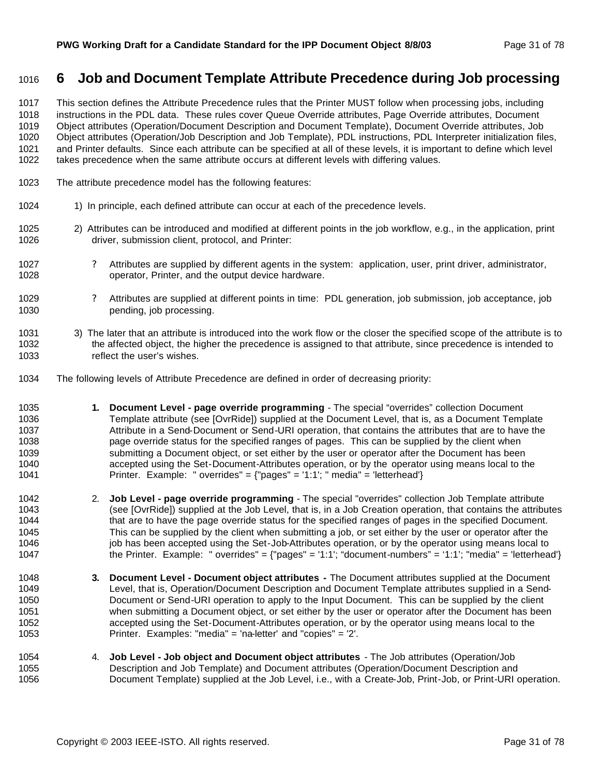# **6 Job and Document Template Attribute Precedence during Job processing**

 This section defines the Attribute Precedence rules that the Printer MUST follow when processing jobs, including instructions in the PDL data. These rules cover Queue Override attributes, Page Override attributes, Document Object attributes (Operation/Document Description and Document Template), Document Override attributes, Job Object attributes (Operation/Job Description and Job Template), PDL instructions, PDL Interpreter initialization files, and Printer defaults. Since each attribute can be specified at all of these levels, it is important to define which level takes precedence when the same attribute occurs at different levels with differing values.

- The attribute precedence model has the following features:
- 1024 1) In principle, each defined attribute can occur at each of the precedence levels.
- 2) Attributes can be introduced and modified at different points in the job workflow, e.g., in the application, print driver, submission client, protocol, and Printer:
- 1027 24ttributes are supplied by different agents in the system: application, user, print driver, administrator, operator, Printer, and the output device hardware.
- ? Attributes are supplied at different points in time: PDL generation, job submission, job acceptance, job pending, job processing.
- 3) The later that an attribute is introduced into the work flow or the closer the specified scope of the attribute is to the affected object, the higher the precedence is assigned to that attribute, since precedence is intended to reflect the user's wishes.
- The following levels of Attribute Precedence are defined in order of decreasing priority:
- **1. Document Level page override programming** The special "overrides" collection Document Template attribute (see [OvrRide]) supplied at the Document Level, that is, as a Document Template Attribute in a Send-Document or Send-URI operation, that contains the attributes that are to have the page override status for the specified ranges of pages. This can be supplied by the client when submitting a Document object, or set either by the user or operator after the Document has been accepted using the Set-Document-Attributes operation, or by the operator using means local to the Printer. Example: " overrides" = {"pages" = '1:1'; " media" = 'letterhead'}
- 2. **Job Level page override programming** The special "overrides" collection Job Template attribute (see [OvrRide]) supplied at the Job Level, that is, in a Job Creation operation, that contains the attributes 1044 that are to have the page override status for the specified ranges of pages in the specified Document. This can be supplied by the client when submitting a job, or set either by the user or operator after the 1046 in job has been accepted using the Set-Job-Attributes operation, or by the operator using means local to 1047 the Printer. Example: " overrides" = {"pages" = '1:1'; "document-numbers" = '1:1'; "media" = 'letterhead'}
- **3. Document Level Document object attributes -** The Document attributes supplied at the Document Level, that is, Operation/Document Description and Document Template attributes supplied in a Send- Document or Send-URI operation to apply to the Input Document. This can be supplied by the client when submitting a Document object, or set either by the user or operator after the Document has been accepted using the Set-Document-Attributes operation, or by the operator using means local to the Printer. Examples: "media" = 'na-letter' and "copies" = '2'.
- 4. **Job Level Job object and Document object attributes**  The Job attributes (Operation/Job Description and Job Template) and Document attributes (Operation/Document Description and Document Template) supplied at the Job Level, i.e., with a Create-Job, Print-Job, or Print-URI operation.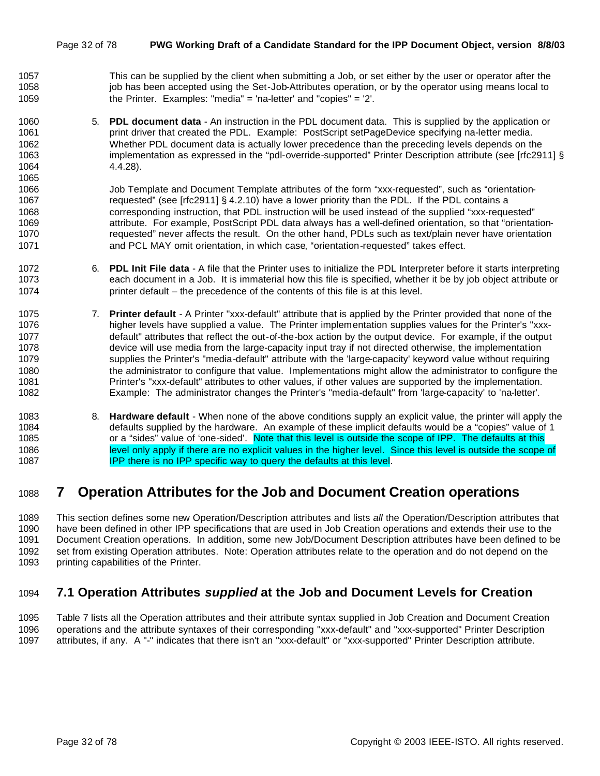- This can be supplied by the client when submitting a Job, or set either by the user or operator after the 1058 job has been accepted using the Set-Job-Attributes operation, or by the operator using means local to the Printer. Examples: "media" = 'na-letter' and "copies" = '2'.
- 5. **PDL document data**  An instruction in the PDL document data. This is supplied by the application or **print driver that created the PDL.** Example: PostScript setPageDevice specifying na-letter media. Whether PDL document data is actually lower precedence than the preceding levels depends on the implementation as expressed in the "pdl-override-supported" Printer Description attribute (see [rfc2911] § 4.4.28).

1066 Job Template and Document Template attributes of the form "xxx-requested", such as "orientation- requested" (see [rfc2911] § 4.2.10) have a lower priority than the PDL. If the PDL contains a corresponding instruction, that PDL instruction will be used instead of the supplied "xxx-requested" attribute. For example, PostScript PDL data always has a well-defined orientation, so that "orientation- requested" never affects the result. On the other hand, PDLs such as text/plain never have orientation and PCL MAY omit orientation, in which case, "orientation-requested" takes effect.

- 6. **PDL Init File data**  A file that the Printer uses to initialize the PDL Interpreter before it starts interpreting each document in a Job. It is immaterial how this file is specified, whether it be by job object attribute or printer default – the precedence of the contents of this file is at this level.
- 7. **Printer default**  A Printer "xxx-default" attribute that is applied by the Printer provided that none of the higher levels have supplied a value. The Printer implementation supplies values for the Printer's "xxx- default" attributes that reflect the out-of-the-box action by the output device. For example, if the output device will use media from the large-capacity input tray if not directed otherwise, the implementation supplies the Printer's "media-default" attribute with the 'large-capacity' keyword value without requiring the administrator to configure that value. Implementations might allow the administrator to configure the Printer's "xxx-default" attributes to other values, if other values are supported by the implementation. Example: The administrator changes the Printer's "media-default" from 'large-capacity' to 'na-letter'.
- 8. **Hardware default**  When none of the above conditions supply an explicit value, the printer will apply the defaults supplied by the hardware. An example of these implicit defaults would be a "copies" value of 1 1085 or a "sides" value of 'one-sided'. Note that this level is outside the scope of IPP. The defaults at this level only apply if there are no explicit values in the higher level. Since this level is outside the scope of **IPP there is no IPP specific way to query the defaults at this level.**

# **7 Operation Attributes for the Job and Document Creation operations**

 This section defines some new Operation/Description attributes and lists *all* the Operation/Description attributes that have been defined in other IPP specifications that are used in Job Creation operations and extends their use to the Document Creation operations. In addition, some new Job/Document Description attributes have been defined to be set from existing Operation attributes. Note: Operation attributes relate to the operation and do not depend on the printing capabilities of the Printer.

# **7.1 Operation Attributes** *supplied* **at the Job and Document Levels for Creation**

 Table 7 lists all the Operation attributes and their attribute syntax supplied in Job Creation and Document Creation operations and the attribute syntaxes of their corresponding "xxx-default" and "xxx-supported" Printer Description attributes, if any. A "-" indicates that there isn't an "xxx-default" or "xxx-supported" Printer Description attribute.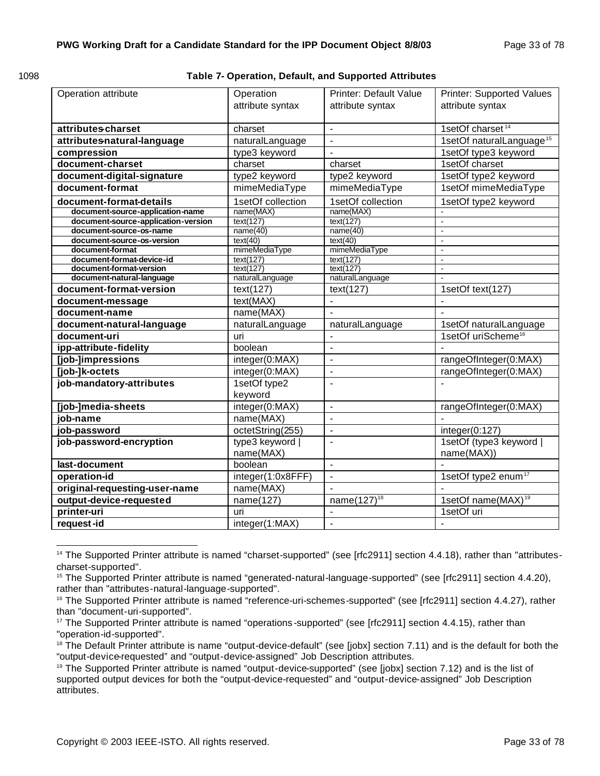**Table 7- Operation, Default, and Supported Attributes** 

| Operation attribute                                            | Operation<br>attribute syntax | <b>Printer: Default Value</b><br>attribute syntax | <b>Printer: Supported Values</b><br>attribute syntax |  |
|----------------------------------------------------------------|-------------------------------|---------------------------------------------------|------------------------------------------------------|--|
| attributescharset                                              | charset                       | $\overline{a}$                                    | 1setOf charset <sup>14</sup>                         |  |
| attributes natural-language                                    | naturalLanguage               | $\overline{a}$                                    | 1setOf naturalLanguage <sup>15</sup>                 |  |
| compression                                                    | type3 keyword                 | $\overline{a}$                                    | 1setOf type3 keyword                                 |  |
| document-charset                                               | charset                       | charset                                           | 1setOf charset                                       |  |
| document-digital-signature                                     | type2 keyword                 | type2 keyword                                     | 1setOf type2 keyword                                 |  |
| document-format                                                | mimeMediaType                 | mimeMediaType                                     | 1setOf mimeMediaType                                 |  |
|                                                                |                               |                                                   |                                                      |  |
| document-format-details                                        | 1setOf collection             | 1setOf collection                                 | 1setOf type2 keyword                                 |  |
| document-source-application-name                               | name(MAX)                     | name(MAX)                                         |                                                      |  |
| document-source-application-version<br>document-source-os-name | text(127)<br>name(40)         | text(127)<br>name(40)                             | ÷,<br>$\overline{a}$                                 |  |
| document-source-os-version                                     | text(40)                      | text(40)                                          | $\overline{a}$                                       |  |
| document-format                                                | mimeMediaType                 | mimeMediaType                                     | $\overline{a}$                                       |  |
| document-format-device-id                                      | text(127)                     | text(127)                                         | $\blacksquare$                                       |  |
| document-format-version                                        | text(127)                     | text(127)                                         | $\overline{a}$                                       |  |
| document-natural-language                                      | naturalLanguage               | naturalLanguage                                   | $\overline{a}$                                       |  |
| document-format-version                                        | text(127)                     | text(127)                                         | 1setOf text(127)                                     |  |
| document-message                                               | text(MAX)                     | $\overline{a}$                                    |                                                      |  |
| document-name                                                  | name(MAX)                     |                                                   |                                                      |  |
| document-natural-language                                      | naturalLanguage               | naturalLanguage                                   | 1setOf naturalLanguage                               |  |
| document-uri                                                   | uri                           | $\overline{a}$                                    | 1setOf uriScheme <sup>16</sup>                       |  |
| ipp-attribute-fidelity                                         | boolean                       | $\overline{a}$                                    |                                                      |  |
| [job-]impressions                                              | integer(0:MAX)                | $\blacksquare$                                    | rangeOfInteger(0:MAX)                                |  |
| [job-]k-octets                                                 | integer(0:MAX)                | $\overline{a}$                                    | rangeOfInteger(0:MAX)                                |  |
| job-mandatory-attributes                                       | 1setOf type2                  | $\overline{a}$                                    | $\overline{a}$                                       |  |
|                                                                | keyword                       |                                                   |                                                      |  |
| [job-]media-sheets                                             | integer(0:MAX)                | $\overline{\phantom{a}}$                          | rangeOfInteger(0:MAX)                                |  |
| job-name                                                       | name(MAX)                     | $\overline{a}$                                    |                                                      |  |
| job-password                                                   | octetString(255)              | $\overline{a}$                                    | integer(0:127)                                       |  |
| job-password-encryption                                        | type3 keyword                 | $\overline{\phantom{a}}$                          | 1setOf (type3 keyword                                |  |
|                                                                | name(MAX)                     |                                                   | name(MAX))                                           |  |
| last-document                                                  | boolean                       | $\blacksquare$                                    | $\overline{a}$                                       |  |
| operation-id                                                   | integer(1:0x8FFF)             | $\blacksquare$                                    | 1setOf type2 enum <sup>17</sup>                      |  |
| original-requesting-user-name                                  | name(MAX)                     | $\overline{a}$                                    |                                                      |  |
| output-device-requested                                        | name $(12\overline{7})$       | name $(127)^{18}$                                 | 1setOf name(MAX) <sup>19</sup>                       |  |
| printer-uri                                                    | uri                           | $\overline{a}$                                    | 1setOf uri                                           |  |
| request-id                                                     | integer(1:MAX)                | $\frac{1}{2}$                                     | $\overline{a}$                                       |  |

 <sup>14</sup> The Supported Printer attribute is named "charset-supported" (see [rfc2911] section 4.4.18), rather than "attributescharset-supported".

<sup>15</sup> The Supported Printer attribute is named "generated-natural-language-supported" (see [rfc2911] section 4.4.20), rather than "attributes-natural-language-supported".

<sup>&</sup>lt;sup>16</sup> The Supported Printer attribute is named "reference-uri-schemes-supported" (see [rfc2911] section 4.4.27), rather than "document-uri-supported".

<sup>&</sup>lt;sup>17</sup> The Supported Printer attribute is named "operations-supported" (see [rfc2911] section 4.4.15), rather than "operation-id-supported".

<sup>&</sup>lt;sup>18</sup> The Default Printer attribute is name "output-device-default" (see [jobx] section 7.11) and is the default for both the "output-device-requested" and "output-device-assigned" Job Description attributes.

<sup>&</sup>lt;sup>19</sup> The Supported Printer attribute is named "output-device-supported" (see [jobx] section 7.12) and is the list of supported output devices for both the "output-device-requested" and "output-device-assigned" Job Description attributes.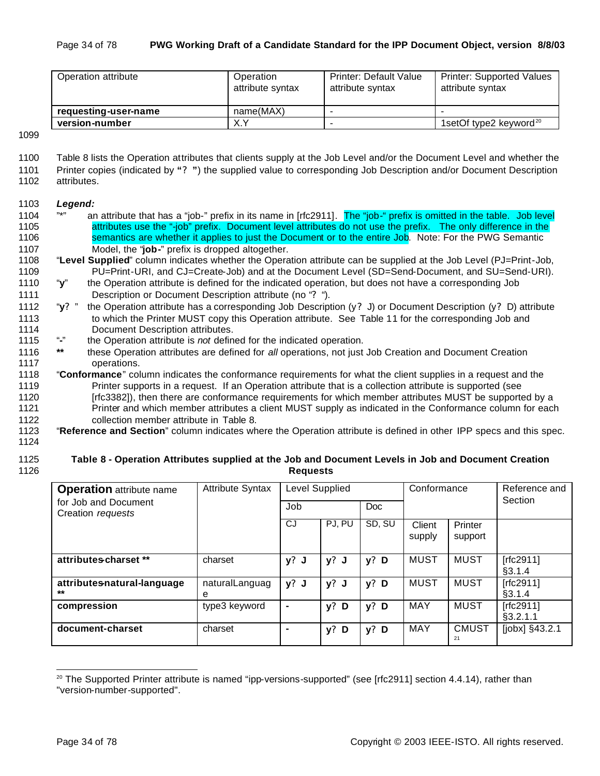| Operation attribute  | Operation<br>attribute syntax | <b>Printer: Default Value</b><br>attribute syntax | <b>Printer: Supported Values</b><br>attribute syntax |
|----------------------|-------------------------------|---------------------------------------------------|------------------------------------------------------|
| requesting-user-name | name(MAX)                     | $\overline{\phantom{a}}$                          |                                                      |
| version-number       | X.Y                           | $\overline{\phantom{a}}$                          | 1setOf type2 keyword <sup>20</sup>                   |

- 1100 Table 8 lists the Operation attributes that clients supply at the Job Level and/or the Document Level and whether the 1101 Printer copies (indicated by **"? "**) the supplied value to corresponding Job Description and/or Document Description 1102 attributes.
- 

#### 1103 *Legend:*

- 1104 "\*" an attribute that has a "job-" prefix in its name in [rfc2911]. The "job-" prefix is omitted in the table. Job level 1105 attributes use the "-job" prefix. Document level attributes do not use the prefix. The only difference in the 1106 semantics are whether it applies to just the Document or to the entire Job. Note: For the PWG Semantic 1107 Model, the "**job-**" prefix is dropped altogether.
- 1108 "**Level Supplied**" column indicates whether the Operation attribute can be supplied at the Job Level (PJ=Print-Job, 1109 PU=Print-URI, and CJ=Create-Job) and at the Document Level (SD=Send-Document, and SU=Send-URI).
- 1110 "**y**" the Operation attribute is defined for the indicated operation, but does not have a corresponding Job 1111 Description or Document Description attribute (no "**?** ").
- 1112 "**y?** " the Operation attribute has a corresponding Job Description (y**?** J) or Document Description (y**?** D) attribute 1113 to which the Printer MUST copy this Operation attribute. See Table 11 for the corresponding Job and 1114 Document Description attributes.<br>1115 "-" the Operation attribute is not define
- 1115 "**-**" the Operation attribute is *not* defined for the indicated operation.
- 1116 **\*\*** these Operation attributes are defined for *all* operations, not just Job Creation and Document Creation 1117 operations.
- 1118 "**Conformance**" column indicates the conformance requirements for what the client supplies in a request and the 1119 Printer supports in a request. If an Operation attribute that is a collection attribute is supported (see 1120 [rfc3382]), then there are conformance requirements for which member attributes MUST be supported by a 1121 Printer and which member attributes a client MUST supply as indicated in the Conformance column for each
- 1122 collection member attribute in Table 8.
- 1123 "**Reference and Section**" column indicates where the Operation attribute is defined in other IPP specs and this spec.
- 1124

#### 1125 **Table 8 - Operation Attributes supplied at the Job and Document Levels in Job and Document Creation**  1126 **Requests**

| <b>Operation</b> attribute name           | <b>Attribute Syntax</b> | Level Supplied |         |            | Conformance      |                    | Reference and<br>Section |
|-------------------------------------------|-------------------------|----------------|---------|------------|------------------|--------------------|--------------------------|
| for Job and Document<br>Creation requests |                         | Job            |         | <b>Doc</b> |                  |                    |                          |
|                                           |                         | CJ             | PJ. PU  | SD, SU     | Client<br>supply | Printer<br>support |                          |
| attributes-charset **                     | charset                 | y? J           | $y?$ J  | $y?$ D     | <b>MUST</b>      | <b>MUST</b>        | [rfc2911]<br>§3.1.4      |
| attributes-natural-language<br>$***$      | naturalLanguag<br>е     | $y?$ J         | $y?$ J  | $y?$ D     | <b>MUST</b>      | <b>MUST</b>        | $[rfc2911]$<br>§3.1.4    |
| compression                               | type3 keyword           | $\blacksquare$ | y?<br>D | $y?$ D     | MAY              | <b>MUST</b>        | [rfc2911]<br>§3.2.1.1    |
| document-charset                          | charset                 | $\blacksquare$ | y?<br>D | $y?$ D     | <b>MAY</b>       | <b>CMUST</b><br>21 | $[jobx]$ §43.2.1         |

 $20$  The Supported Printer attribute is named "ipp-versions-supported" (see [rfc2911] section 4.4.14), rather than "version-number-supported".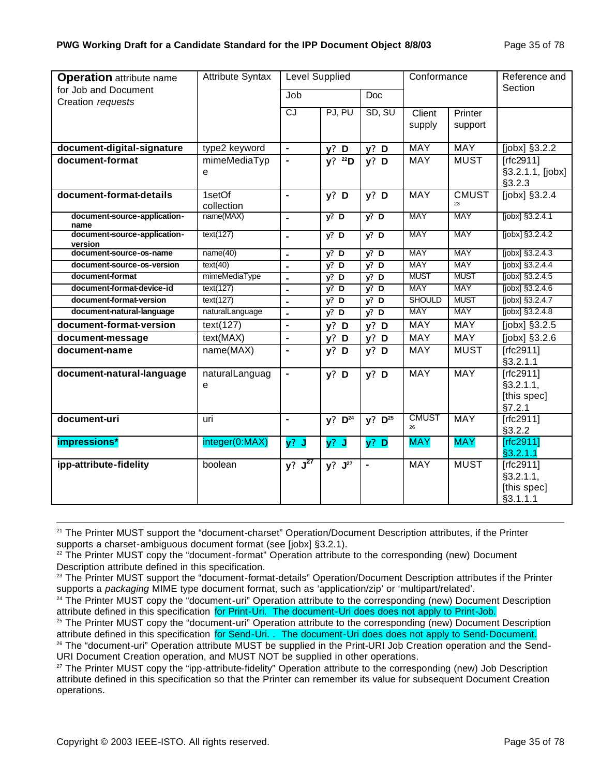| <b>Operation</b> attribute name    | <b>Attribute Syntax</b> | Level Supplied |                      |                | Conformance        |              | Reference and                     |
|------------------------------------|-------------------------|----------------|----------------------|----------------|--------------------|--------------|-----------------------------------|
| for Job and Document               |                         | Job            |                      | <b>Doc</b>     |                    |              | Section                           |
| Creation requests                  |                         | CJ             | PJ, PU               | SD, SU         | Client             | Printer      |                                   |
|                                    |                         |                |                      |                | supply             | support      |                                   |
|                                    |                         |                |                      |                |                    |              |                                   |
| document-digital-signature         | type2 keyword           | $\blacksquare$ | $y?$ D               | $y?$ D         | <b>MAY</b>         | <b>MAY</b>   | $[jobx]$ §3.2.2                   |
| document-format                    | mimeMediaTyp            | $\blacksquare$ | $y?$ <sup>22</sup> D | $y?$ D         | MAY                | <b>MUST</b>  | $[rfc2911]$                       |
|                                    | e                       |                |                      |                |                    |              | §3.2.1.1, [jobx]                  |
|                                    |                         |                |                      |                |                    |              | §3.2.3                            |
| document-format-details            | 1setOf                  | $\blacksquare$ | $y?$ D               | $y?$ D         | <b>MAY</b>         | <b>CMUST</b> | [jobx] §3.2.4                     |
| document-source-application-       | collection<br>name(MAX) |                | $y$ ? D              | $y$ ? D        | <b>MAY</b>         | <b>MAY</b>   | [jobx] §3.2.4.1                   |
| name                               |                         | $\blacksquare$ |                      |                |                    |              |                                   |
| document-source-application-       | text(127)               | $\blacksquare$ | $y$ ? D              | $y'$ D         | <b>MAY</b>         | <b>MAY</b>   | [jobx] §3.2.4.2                   |
| version<br>document-source-os-name | name(40)                | $\blacksquare$ | $y?$ D               | $y?$ D         | <b>MAY</b>         | <b>MAY</b>   | [jobx] §3.2.4.3                   |
| document-source-os-version         | text(40)                | $\blacksquare$ | $y$ ? D              | $y$ ? D        | <b>MAY</b>         | <b>MAY</b>   | $[jobx]$ §3.2.4.4                 |
| document-format                    | mimeMediaType           | $\blacksquare$ | $y$ ? D              | $y$ ? D        | <b>MUST</b>        | <b>MUST</b>  | $[jobx]$ §3.2.4.5                 |
| document-format-device-id          | text(127)               | $\blacksquare$ | $y$ ? D              | $y?$ D         | <b>MAY</b>         | <b>MAY</b>   | $[jobx]$ §3.2.4.6                 |
| document-format-version            | text(127)               | $\blacksquare$ | $y$ ? D              | $y?$ D         | <b>SHOULD</b>      | <b>MUST</b>  | [jobx] §3.2.4.7                   |
| document-natural-language          | naturalLanguage         | $\blacksquare$ | y? D                 | $y?$ D         | <b>MAY</b>         | <b>MAY</b>   | [jobx] §3.2.4.8                   |
| document-format-version            | text(127)               | $\blacksquare$ | $y?$ D               | $y?$ D         | <b>MAY</b>         | <b>MAY</b>   | [jobx] §3.2.5                     |
| document-message                   | text(MAX)               | $\blacksquare$ | $y?$ D               | $y?$ D         | <b>MAY</b>         | <b>MAY</b>   | $\overline{\text{[jobx]}}$ §3.2.6 |
| document-name                      | name(MAX)               |                | $y?$ D               | $y?$ D         | MAY                | <b>MUST</b>  | $[rfc2911]$                       |
|                                    |                         |                |                      |                |                    |              | §3.2.1.1                          |
| document-natural-language          | naturalLanguag          |                | $y?$ D               | $y?$ D         | <b>MAY</b>         | MAY          | $[rfc2911]$                       |
|                                    | e                       |                |                      |                |                    |              | §3.2.1.1,                         |
|                                    |                         |                |                      |                |                    |              | [this spec]                       |
|                                    |                         |                |                      |                |                    |              | §7.2.1                            |
| document-uri                       | uri                     | $\blacksquare$ | $y?$ $D^{24}$        | $y?$ $D^{25}$  | <b>CMUST</b><br>26 | <b>MAY</b>   | $[rfc2911]$<br>§3.2.2             |
| impressions*                       | integer(0:MAX)          | $y?$ J         | $y?$ J               | $y?$ D         | <b>MAY</b>         | <b>MAY</b>   | [rfc2911]                         |
|                                    |                         |                |                      |                |                    |              | §3.2.1.1                          |
| ipp-attribute-fidelity             | boolean                 | $y? \int^{27}$ | y? J <sup>27</sup>   | $\blacksquare$ | <b>MAY</b>         | <b>MUST</b>  | $[rfc2911]$                       |
|                                    |                         |                |                      |                |                    |              | §3.2.1.1,                         |
|                                    |                         |                |                      |                |                    |              | [this spec]                       |
|                                    |                         |                |                      |                |                    |              | §3.1.1.1                          |

<sup>&</sup>lt;sup>21</sup> The Printer MUST support the "document-charset" Operation/Document Description attributes, if the Printer supports a charset-ambiguous document format (see [jobx] §3.2.1).

<sup>&</sup>lt;sup>22</sup> The Printer MUST copy the "document-format" Operation attribute to the corresponding (new) Document Description attribute defined in this specification.

<sup>&</sup>lt;sup>23</sup> The Printer MUST support the "document-format-details" Operation/Document Description attributes if the Printer supports a *packaging* MIME type document format, such as 'application/zip' or 'multipart/related'.

<sup>&</sup>lt;sup>24</sup> The Printer MUST copy the "document-uri" Operation attribute to the corresponding (new) Document Description attribute defined in this specification for Print-Uri. The document-Uri does does not apply to Print-Job.

<sup>&</sup>lt;sup>25</sup> The Printer MUST copy the "document-uri" Operation attribute to the corresponding (new) Document Description attribute defined in this specification for Send-Uri. . The document-Uri does does not apply to Send-Document.

<sup>&</sup>lt;sup>26</sup> The "document-uri" Operation attribute MUST be supplied in the Print-URI Job Creation operation and the Send-URI Document Creation operation, and MUST NOT be supplied in other operations.

<sup>&</sup>lt;sup>27</sup> The Printer MUST copy the "ipp-attribute-fidelity" Operation attribute to the corresponding (new) Job Description attribute defined in this specification so that the Printer can remember its value for subsequent Document Creation operations.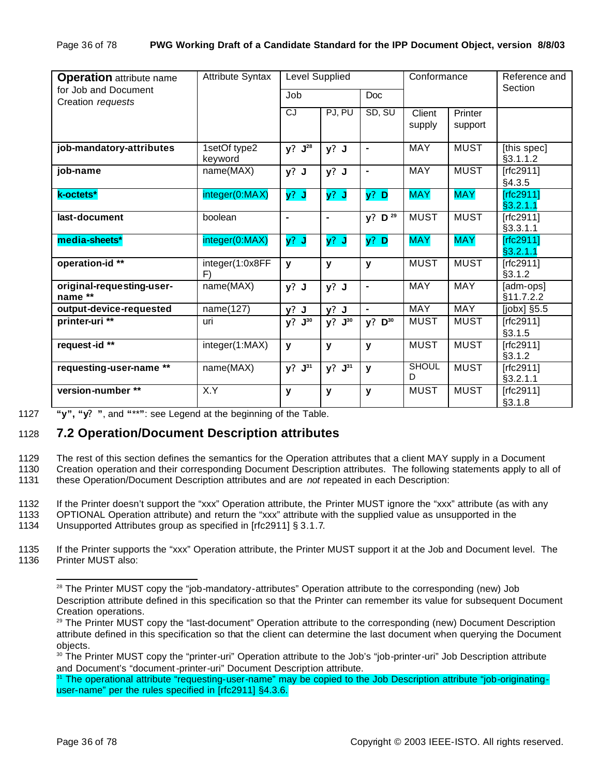| <b>Operation</b> attribute name           | <b>Attribute Syntax</b> | Level Supplied |                |                      | Conformance       |                    | Reference and<br>Section  |
|-------------------------------------------|-------------------------|----------------|----------------|----------------------|-------------------|--------------------|---------------------------|
| for Job and Document<br>Creation requests |                         | Job            |                | Doc                  |                   |                    |                           |
|                                           |                         | CJ             | PJ, PU         | SD, SU               | Client<br>supply  | Printer<br>support |                           |
| job-mandatory-attributes                  | 1setOf type2<br>keyword | $y? J^{28}$    | $y?$ J         | $\blacksquare$       | <b>MAY</b>        | <b>MUST</b>        | [this spec]<br>§3.1.1.2   |
| job-name                                  | name(MAX)               | $y?$ J         | $y?$ J         | $\blacksquare$       | <b>MAY</b>        | <b>MUST</b>        | $[rfc2911]$<br>§4.3.5     |
| k-octets*                                 | integer(0:MAX)          | $y?$ J         | $y?$ J         | $y?$ D               | <b>MAY</b>        | <b>MAY</b>         | [rfc2911]<br>§3.2.1.1     |
| last-document                             | boolean                 | ۰              | $\blacksquare$ | $y?$ D <sup>29</sup> | <b>MUST</b>       | <b>MUST</b>        | [ $rfc2911$ ]<br>§3.3.1.1 |
| media-sheets*                             | integer(0:MAX)          | y? J           | $y?$ J         | y? D                 | <b>MAY</b>        | <b>MAY</b>         | [rfc2911]<br>§3.2.1.1     |
| operation-id **                           | integer(1:0x8FF<br>F)   | y              | y              | $\mathbf{y}$         | <b>MUST</b>       | <b>MUST</b>        | [rfc2911]<br>§3.1.2       |
| original-requesting-user-<br>name **      | name(MAX)               | $y?$ J         | $y?$ J         | $\blacksquare$       | MAY               | <b>MAY</b>         | [adm-ops]<br>§11.7.2.2    |
| output-device-requested                   | name(127)               | $y?$ J         | $y?$ J         | $\blacksquare$       | <b>MAY</b>        | <b>MAY</b>         | [jobx] §5.5               |
| printer-uri **                            | uri                     | $J^{30}$<br>y? | y?<br>$J^{30}$ | $y$ ?<br>$D^{30}$    | <b>MUST</b>       | <b>MUST</b>        | $[rfc2911]$<br>§3.1.5     |
| request-id **                             | integer(1:MAX)          | y              | y              | $\mathbf{y}$         | <b>MUST</b>       | <b>MUST</b>        | [rfc2911]<br>§3.1.2       |
| requesting-user-name **                   | name(MAX)               | $y? J^{31}$    | $y? J^{31}$    | $\mathbf{y}$         | <b>SHOUL</b><br>D | <b>MUST</b>        | $[rfc2911]$<br>§3.2.1.1   |
| version-number **                         | X.Y                     | у              | У              | $\mathbf{y}$         | <b>MUST</b>       | <b>MUST</b>        | $[rfc2911]$<br>§3.1.8     |

1127 **"y", "y? "**, and **"**\*\***"**: see Legend at the beginning of the Table.

# 1128 **7.2 Operation/Document Description attributes**

1129 The rest of this section defines the semantics for the Operation attributes that a client MAY supply in a Document

1130 Creation operation and their corresponding Document Description attributes. The following statements apply to all of 1131 these Operation/Document Description attributes and are *not* repeated in each Description:

1132 If the Printer doesn't support the "xxx" Operation attribute, the Printer MUST ignore the "xxx" attribute (as with any

1133 OPTIONAL Operation attribute) and return the "xxx" attribute with the supplied value as unsupported in the

1134 Unsupported Attributes group as specified in [rfc2911] § 3.1.7.

1135 If the Printer supports the "xxx" Operation attribute, the Printer MUST support it at the Job and Document level. The 1136 Printer MUST also:

<sup>&</sup>lt;sup>28</sup> The Printer MUST copy the "job-mandatory-attributes" Operation attribute to the corresponding (new) Job Description attribute defined in this specification so that the Printer can remember its value for subsequent Document Creation operations.

<sup>&</sup>lt;sup>29</sup> The Printer MUST copy the "last-document" Operation attribute to the corresponding (new) Document Description attribute defined in this specification so that the client can determine the last document when querying the Document objects.

<sup>30</sup> The Printer MUST copy the "printer-uri" Operation attribute to the Job's "job-printer-uri" Job Description attribute and Document's "document-printer-uri" Document Description attribute.

<sup>&</sup>lt;sup>31</sup> The operational attribute "requesting-user-name" may be copied to the Job Description attribute "job-originatinguser-name" per the rules specified in [rfc2911] §4.3.6.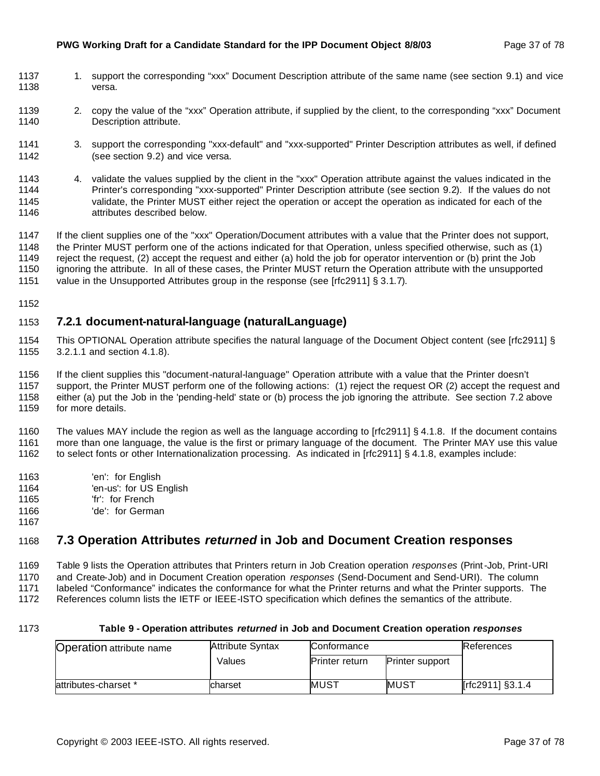#### **PWG Working Draft for a Candidate Standard for the IPP Document Object 8/8/03** Page 37 of 78

- 1137 1. support the corresponding "xxx" Document Description attribute of the same name (see section 9.1) and vice versa.
- 2. copy the value of the "xxx" Operation attribute, if supplied by the client, to the corresponding "xxx" Document Description attribute.
- 3. support the corresponding "xxx-default" and "xxx-supported" Printer Description attributes as well, if defined (see section 9.2) and vice versa.
- 4. validate the values supplied by the client in the "xxx" Operation attribute against the values indicated in the Printer's corresponding "xxx-supported" Printer Description attribute (see section 9.2). If the values do not validate, the Printer MUST either reject the operation or accept the operation as indicated for each of the attributes described below.
- If the client supplies one of the "xxx" Operation/Document attributes with a value that the Printer does not support, the Printer MUST perform one of the actions indicated for that Operation, unless specified otherwise, such as (1) reject the request, (2) accept the request and either (a) hold the job for operator intervention or (b) print the Job ignoring the attribute. In all of these cases, the Printer MUST return the Operation attribute with the unsupported
- 1151 value in the Unsupported Attributes group in the response (see [rfc2911] § 3.1.7).
- 

## **7.2.1 document-natural-language (naturalLanguage)**

- This OPTIONAL Operation attribute specifies the natural language of the Document Object content (see [rfc2911] § 3.2.1.1 and section 4.1.8).
- If the client supplies this "document-natural-language" Operation attribute with a value that the Printer doesn't support, the Printer MUST perform one of the following actions: (1) reject the request OR (2) accept the request and
- either (a) put the Job in the 'pending-held' state or (b) process the job ignoring the attribute. See section 7.2 above
- for more details.

 The values MAY include the region as well as the language according to [rfc2911] § 4.1.8. If the document contains more than one language, the value is the first or primary language of the document. The Printer MAY use this value to select fonts or other Internationalization processing. As indicated in [rfc2911] § 4.1.8, examples include:

- 'en': for English
- 'en-us': for US English
- 'fr': for French
- 'de': for German
- 

## **7.3 Operation Attributes** *returned* **in Job and Document Creation responses**

 Table 9 lists the Operation attributes that Printers return in Job Creation operation *responses* (Print-Job, Print-URI and Create-Job) and in Document Creation operation *responses* (Send-Document and Send-URI). The column labeled "Conformance" indicates the conformance for what the Printer returns and what the Printer supports. The

References column lists the IETF or IEEE-ISTO specification which defines the semantics of the attribute.

#### **Table 9 - Operation attributes** *returned* **in Job and Document Creation operation** *responses*

| <b>Operation attribute name</b> | <b>Attribute Syntax</b> | Conformance           |                        | <b>References</b> |
|---------------------------------|-------------------------|-----------------------|------------------------|-------------------|
|                                 | Values                  | <b>Printer return</b> | <b>Printer support</b> |                   |
| attributes-charset *            | charset                 | MUST                  | IMUST                  | [rfc2911] §3.1.4  |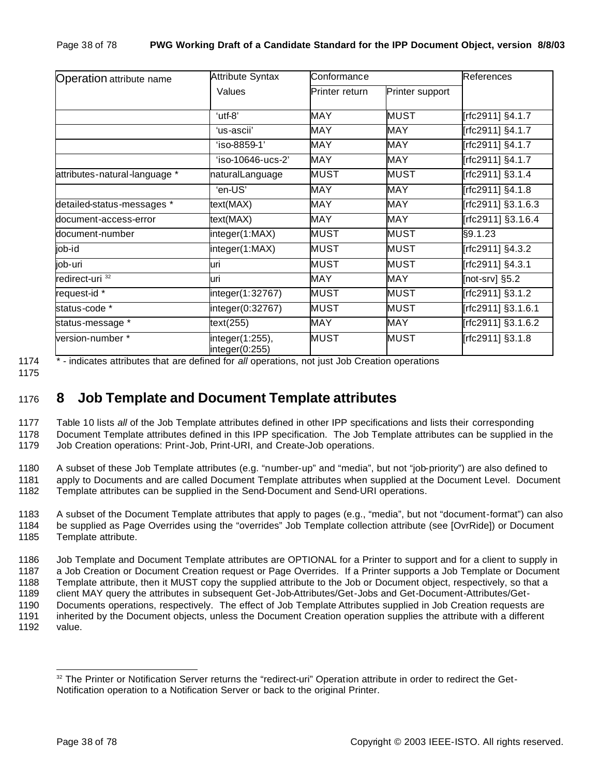| <b>Operation attribute name</b> | <b>Attribute Syntax</b>           | Conformance    |                 | References         |
|---------------------------------|-----------------------------------|----------------|-----------------|--------------------|
|                                 | Values                            | Printer return | Printer support |                    |
|                                 | 'utf-8"                           | MAY            | <b>MUST</b>     | [rfc2911] §4.1.7   |
|                                 | 'us-ascii'                        | <b>MAY</b>     | <b>MAY</b>      | [rfc2911] §4.1.7   |
|                                 | 'iso-8859-1'                      | <b>MAY</b>     | <b>MAY</b>      | [rfc2911] §4.1.7   |
|                                 | $'$ iso-10646-ucs-2'              | <b>MAY</b>     | <b>MAY</b>      | [rfc2911] §4.1.7   |
| attributes-natural-language *   | naturalLanguage                   | <b>MUST</b>    | <b>MUST</b>     | [rfc2911] §3.1.4   |
|                                 | 'en-US'                           | <b>MAY</b>     | <b>MAY</b>      | [rfc2911] §4.1.8   |
| detailed-status-messages *      | text(MAX)                         | <b>MAY</b>     | <b>MAY</b>      | [rfc2911] §3.1.6.3 |
| document-access-error           | text(MAX)                         | <b>MAY</b>     | MAY             | [rfc2911] §3.1.6.4 |
| document-number                 | integer(1:MAX)                    | <b>MUST</b>    | <b>MUST</b>     | §9.1.23            |
| job-id                          | integer(1:MAX)                    | <b>MUST</b>    | <b>MUST</b>     | [rfc2911] §4.3.2   |
| job-uri                         | uri                               | <b>MUST</b>    | <b>MUST</b>     | [rfc2911] §4.3.1   |
| redirect-uri <sup>32</sup>      | luri                              | <b>MAY</b>     | MAY             | [not-srv] §5.2     |
| request-id *                    | integer(1:32767)                  | <b>MUST</b>    | <b>MUST</b>     | [rfc2911] §3.1.2   |
| status-code *                   | integer(0:32767)                  | <b>MUST</b>    | <b>MUST</b>     | [rfc2911] §3.1.6.1 |
| status-message *                | text(255)                         | <b>MAY</b>     | MAY             | [rfc2911] §3.1.6.2 |
| version-number *                | integer(1:255),<br>integer(0:255) | <b>MUST</b>    | <b>MUST</b>     | [rfc2911] §3.1.8   |

1174 \* - indicates attributes that are defined for *all* operations, not just Job Creation operations

1175

# <sup>1176</sup> **8 Job Template and Document Template attributes**

1177 Table 10 lists *all* of the Job Template attributes defined in other IPP specifications and lists their corresponding 1178 Document Template attributes defined in this IPP specification. The Job Template attributes can be supplied in the 1179 Job Creation operations: Print-Job, Print-URI, and Create-Job operations.

1180 A subset of these Job Template attributes (e.g. "number-up" and "media", but not "job-priority") are also defined to 1181 apply to Documents and are called Document Template attributes when supplied at the Document Level. Document 1182 Template attributes can be supplied in the Send-Document and Send-URI operations.

1183 A subset of the Document Template attributes that apply to pages (e.g., "media", but not "document-format") can also 1184 be supplied as Page Overrides using the "overrides" Job Template collection attribute (see [OvrRide]) or Document 1185 Template attribute.

 Job Template and Document Template attributes are OPTIONAL for a Printer to support and for a client to supply in a Job Creation or Document Creation request or Page Overrides. If a Printer supports a Job Template or Document Template attribute, then it MUST copy the supplied attribute to the Job or Document object, respectively, so that a client MAY query the attributes in subsequent Get-Job-Attributes/Get-Jobs and Get-Document-Attributes/Get- Documents operations, respectively. The effect of Job Template Attributes supplied in Job Creation requests are inherited by the Document objects, unless the Document Creation operation supplies the attribute with a different 1192 value.

<sup>&</sup>lt;sup>32</sup> The Printer or Notification Server returns the "redirect-uri" Operation attribute in order to redirect the Get-Notification operation to a Notification Server or back to the original Printer.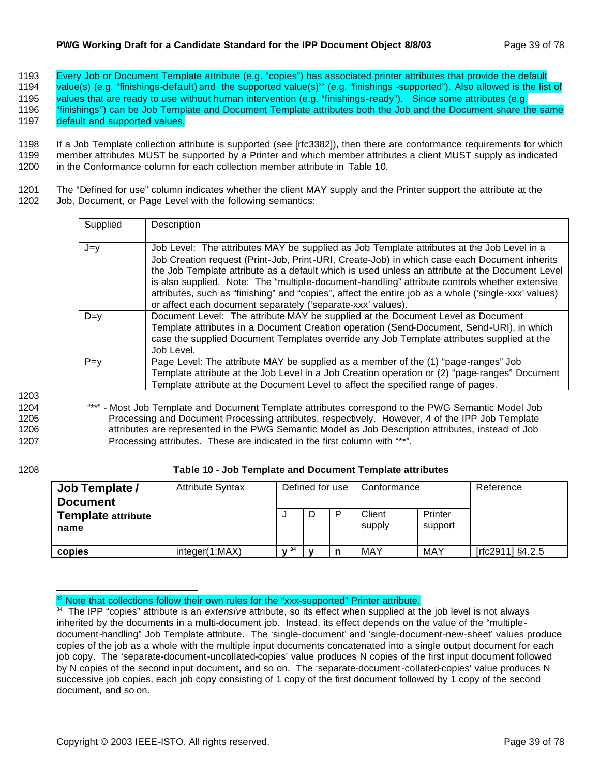#### **PWG Working Draft for a Candidate Standard for the IPP Document Object 8/8/03** Page 39 of 78

1193 Every Job or Document Template attribute (e.g. "copies") has associated printer attributes that provide the default

1194 value(s) (e.g. "finishings-default) and the supported value(s)<sup>33</sup> (e.g. "finishings -supported"). Also allowed is the list of

1195 values that are ready to use without human intervention (e.g. "finishings-ready"). Since some attributes (e.g.

1196 "finishings") can be Job Template and Document Template attributes both the Job and the Document share the same

1197 default and supported values.

1198 If a Job Template collection attribute is supported (see [rfc3382]), then there are conformance requirements for which 1199 member attributes MUST be supported by a Printer and which member attributes a client MUST supply as indicated 1200 in the Conformance column for each collection member attribute in Table 10.

1201 The "Defined for use" column indicates whether the client MAY supply and the Printer support the attribute at the 1202 Job, Document, or Page Level with the following semantics:

| Supplied | Description                                                                                                                                                                                                                                                                                                                                                                                                                                                                                                                                                           |
|----------|-----------------------------------------------------------------------------------------------------------------------------------------------------------------------------------------------------------------------------------------------------------------------------------------------------------------------------------------------------------------------------------------------------------------------------------------------------------------------------------------------------------------------------------------------------------------------|
| $J = V$  | Job Level: The attributes MAY be supplied as Job Template attributes at the Job Level in a<br>Job Creation request (Print-Job, Print-URI, Create-Job) in which case each Document inherits<br>the Job Template attribute as a default which is used unless an attribute at the Document Level<br>is also supplied. Note: The "multiple-document-handling" attribute controls whether extensive<br>attributes, such as "finishing" and "copies", affect the entire job as a whole ('single-xxx' values)<br>or affect each document separately ('separate-xxx' values). |
| $D=v$    | Document Level: The attribute MAY be supplied at the Document Level as Document<br>Template attributes in a Document Creation operation (Send-Document, Send-URI), in which<br>case the supplied Document Templates override any Job Template attributes supplied at the<br>Job Level.                                                                                                                                                                                                                                                                                |
| $P = y$  | Page Level: The attribute MAY be supplied as a member of the (1) "page-ranges" Job<br>Template attribute at the Job Level in a Job Creation operation or (2) "page-ranges" Document<br>Template attribute at the Document Level to affect the specified range of pages.                                                                                                                                                                                                                                                                                               |

1203

 "\*\*" - Most Job Template and Document Template attributes correspond to the PWG Semantic Model Job Processing and Document Processing attributes, respectively. However, 4 of the IPP Job Template attributes are represented in the PWG Semantic Model as Job Description attributes, instead of Job Processing attributes. These are indicated in the first column with "\*\*".

## 1208 **Table 10 - Job Template and Document Template attributes**

| Job Template /<br><b>Document</b> | <b>Attribute Syntax</b> |      | Defined for use | Conformance      |                    | Reference        |
|-----------------------------------|-------------------------|------|-----------------|------------------|--------------------|------------------|
| <b>Template attribute</b><br>name |                         |      |                 | Client<br>supply | Printer<br>support |                  |
| copies                            | interder(1:MAX)         | 1/34 |                 | MAY              | <b>MAY</b>         | [rfc2911] §4.2.5 |

<sup>33</sup> Note that collections follow their own rules for the "xxx-supported" Printer attribute.

<sup>&</sup>lt;sup>34</sup> The IPP "copies" attribute is an *extensive* attribute, so its effect when supplied at the job level is not always inherited by the documents in a multi-document job. Instead, its effect depends on the value of the "multipledocument-handling" Job Template attribute. The 'single-document' and 'single-document-new-sheet' values produce copies of the job as a whole with the multiple input documents concatenated into a single output document for each job copy. The 'separate-document-uncollated-copies' value produces N copies of the first input document followed by N copies of the second input document, and so on. The 'separate-document-collated-copies' value produces N successive job copies, each job copy consisting of 1 copy of the first document followed by 1 copy of the second document, and so on.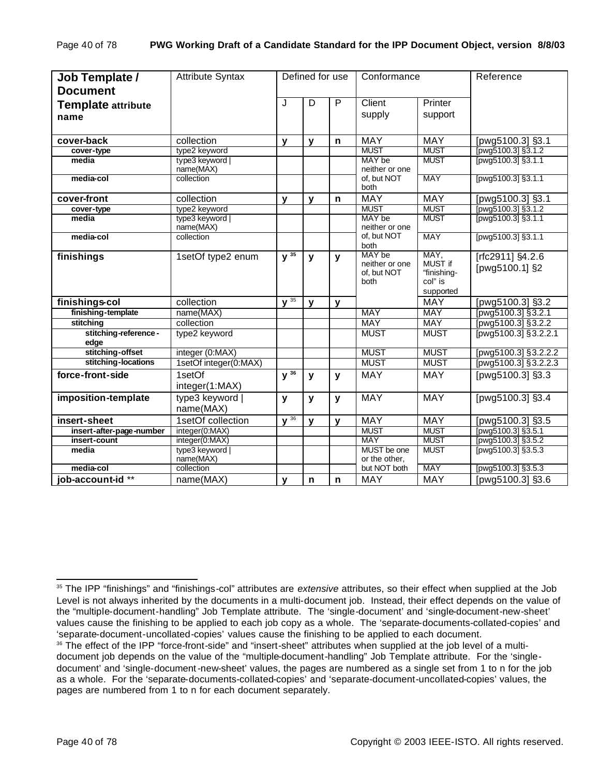| Job Template /<br><b>Document</b> | <b>Attribute Syntax</b>      |                    | Defined for use |              | Conformance                                     |                                                        | Reference                          |
|-----------------------------------|------------------------------|--------------------|-----------------|--------------|-------------------------------------------------|--------------------------------------------------------|------------------------------------|
| <b>Template attribute</b><br>name |                              | J                  | D               | P            | Client<br>supply                                | Printer<br>support                                     |                                    |
| cover-back                        | collection                   | $\mathbf{v}$       | $\mathbf{v}$    | $\mathsf{n}$ | <b>MAY</b>                                      | <b>MAY</b>                                             | [pwg5100.3] §3.1                   |
| cover-type                        | type2 keyword                |                    |                 |              | <b>MUST</b>                                     | <b>MUST</b>                                            | [pwg5100.3] §3.1.2                 |
| media                             | type3 keyword  <br>name(MAX) |                    |                 |              | MAY be<br>neither or one                        | <b>MUST</b>                                            | [pwg5100.3] §3.1.1                 |
| media-col                         | collection                   |                    |                 |              | of, but NOT<br>both                             | <b>MAY</b>                                             | [pwg5100.3] §3.1.1                 |
| cover-front                       | collection                   | $\mathbf{y}$       | y               | n            | <b>MAY</b>                                      | <b>MAY</b>                                             | [pwg5100.3] §3.1                   |
| cover-type                        | type2 keyword                |                    |                 |              | <b>MUST</b>                                     | <b>MUST</b>                                            | [pwg5100.3] §3.1.2                 |
| media                             | type3 keyword<br>name(MAX)   |                    |                 |              | MAY be<br>neither or one                        | <b>MUST</b>                                            | [pwg5100.3] §3.1.1                 |
| media-col                         | collection                   |                    |                 |              | of, but NOT<br>both                             | <b>MAY</b>                                             | [pwg5100.3] §3.1.1                 |
| finishings                        | 1setOf type2 enum            | $V^{35}$           | $\mathbf{y}$    | $\mathbf{y}$ | MAY be<br>neither or one<br>of, but NOT<br>both | MAY,<br>MUST if<br>"finishing-<br>col" is<br>supported | [rfc2911] §4.2.6<br>[pwg5100.1] §2 |
| finishings-col                    | collection                   | $\sqrt{35}$        | $\mathbf{V}$    | $\mathbf{v}$ |                                                 | <b>MAY</b>                                             | [pwg5100.3] §3.2                   |
| finishing-template                | name(MAX)                    |                    |                 |              | <b>MAY</b>                                      | <b>MAY</b>                                             | [pwg5100.3] §3.2.1                 |
| stitching                         | collection                   |                    |                 |              | <b>MAY</b>                                      | <b>MAY</b>                                             | [pwg5100.3] §3.2.2                 |
| stitching-reference-<br>edge      | type2 keyword                |                    |                 |              | <b>MUST</b>                                     | <b>MUST</b>                                            | [pwg5100.3] §3.2.2.1               |
| stitching-offset                  | integer (0:MAX)              |                    |                 |              | <b>MUST</b>                                     | <b>MUST</b>                                            | [pwg5100.3] §3.2.2.2               |
| stitching-locations               | 1setOf integer(0:MAX)        |                    |                 |              | <b>MUST</b>                                     | <b>MUST</b>                                            | [pwg5100.3] §3.2.2.3               |
| force-front-side                  | 1setOf<br>integer(1:MAX)     | $y^{\frac{1}{36}}$ | y               | y            | <b>MAY</b>                                      | <b>MAY</b>                                             | [pwg5100.3] §3.3                   |
| imposition-template               | type3 keyword  <br>name(MAX) | $\mathbf{y}$       | У               | У            | <b>MAY</b>                                      | <b>MAY</b>                                             | [pwg5100.3] $\overline{\$3.4}$     |
| insert-sheet                      | 1setOf collection            | $y^{\frac{36}{}}$  | $\mathbf{v}$    | $\mathbf v$  | <b>MAY</b>                                      | <b>MAY</b>                                             | [pwg5100.3] §3.5                   |
| insert-after-page-number          | integer(0:MAX)               |                    |                 |              | <b>MUST</b>                                     | <b>MUST</b>                                            | [pwg5100.3] §3.5.1                 |
| insert-count                      | integer(0:MAX)               |                    |                 |              | <b>MAY</b>                                      | <b>MUST</b>                                            | [pwg5100.3] §3.5.2                 |
| media                             | type3 keyword  <br>name(MAX) |                    |                 |              | MUST be one<br>or the other,                    | <b>MUST</b>                                            | [pwg5100.3] §3.5.3                 |
| media-col                         | collection                   |                    |                 |              | but NOT both                                    | <b>MAY</b>                                             | [pwg5100.3] §3.5.3                 |
| job-account-id <sup>**</sup>      | name(MAX)                    | $\mathbf{v}$       | $\mathbf n$     | $\mathbf n$  | <b>MAY</b>                                      | <b>MAY</b>                                             | [pwg5100.3] §3.6                   |

<sup>35</sup> The IPP "finishings" and "finishings-col" attributes are *extensive* attributes, so their effect when supplied at the Job Level is not always inherited by the documents in a multi-document job. Instead, their effect depends on the value of the "multiple-document-handling" Job Template attribute. The 'single-document' and 'single-document-new-sheet' values cause the finishing to be applied to each job copy as a whole. The 'separate-documents-collated-copies' and 'separate-document-uncollated-copies' values cause the finishing to be applied to each document.

<sup>&</sup>lt;sup>36</sup> The effect of the IPP "force-front-side" and "insert-sheet" attributes when supplied at the job level of a multidocument job depends on the value of the "multiple-document-handling" Job Template attribute. For the 'singledocument' and 'single-document-new-sheet' values, the pages are numbered as a single set from 1 to n for the job as a whole. For the 'separate-documents-collated-copies' and 'separate-document-uncollated-copies' values, the pages are numbered from 1 to n for each document separately.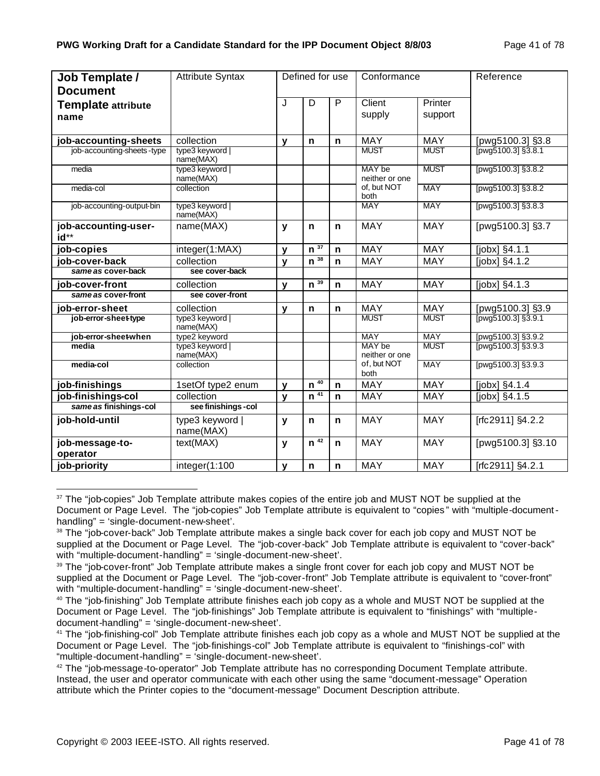| Job Template /               | <b>Attribute Syntax</b>      |   | Defined for use     |              | Conformance              |             | Reference                        |
|------------------------------|------------------------------|---|---------------------|--------------|--------------------------|-------------|----------------------------------|
| <b>Document</b>              |                              |   |                     |              |                          |             |                                  |
| <b>Template attribute</b>    |                              | J | D                   | $\mathsf{P}$ | Client                   | Printer     |                                  |
| name                         |                              |   |                     |              | supply                   | support     |                                  |
|                              |                              |   |                     |              |                          |             |                                  |
| job-accounting-sheets        | collection                   | v | n                   | $\mathbf n$  | <b>MAY</b>               | <b>MAY</b>  | [pwg5100.3] §3.8                 |
| job-accounting-sheets-type   | type3 keyword<br>name(MAX)   |   |                     |              | <b>MUST</b>              | <b>MUST</b> | $\frac{11}{[pwg5100.3]\,§3.8.1}$ |
| media                        | type3 keyword  <br>name(MAX) |   |                     |              | MAY be<br>neither or one | <b>MUST</b> | [pwg5100.3] §3.8.2               |
| media-col                    | collection                   |   |                     |              | of, but NOT<br>both      | <b>MAY</b>  | [pwg5100.3] §3.8.2               |
| job-accounting-output-bin    | type3 keyword  <br>name(MAX) |   |                     |              | <b>MAY</b>               | <b>MAY</b>  | [pwg5100.3] §3.8.3               |
| job-accounting-user-<br>id** | name(MAX)                    | y | $\mathsf{n}$        | $\mathbf n$  | <b>MAY</b>               | <b>MAY</b>  | [pwg5100.3] §3.7                 |
| job-copies                   | integer(1:MAX)               | v | $n^{\overline{37}}$ | $\mathsf{n}$ | MAY                      | <b>MAY</b>  | [jobx] §4.1.1                    |
| job-cover-back               | collection                   | V | $n^{\overline{38}}$ | $\mathsf{n}$ | <b>MAY</b>               | <b>MAY</b>  | [jobx] §4.1.2                    |
| same as cover-back           | see cover-back               |   |                     |              |                          |             |                                  |
| job-cover-front              | collection                   | v | $n^{\overline{39}}$ | $\mathbf n$  | <b>MAY</b>               | <b>MAY</b>  | [jobx] §4.1.3                    |
| same as cover-front          | see cover-front              |   |                     |              |                          |             |                                  |
| job-error-sheet              | collection                   | v | $\mathbf n$         | $\mathbf n$  | MAY                      | <b>MAY</b>  | [pwg5100.3] §3.9                 |
| job-error-sheet-type         | type3 keyword  <br>name(MAX) |   |                     |              | <b>MUST</b>              | <b>MUST</b> | $T_{\text{pwg5100.3}$ \$3.9.1    |
| job-error-sheet-when         | type2 keyword                |   |                     |              | <b>MAY</b>               | <b>MAY</b>  | [pwg5100.3] §3.9.2               |
| media                        | type3 keyword<br>name(MAX)   |   |                     |              | MAY be<br>neither or one | <b>MUST</b> | [pwg5100.3] §3.9.3               |
| media-col                    | collection                   |   |                     |              | of, but NOT<br>both      | <b>MAY</b>  | [pwg5100.3] §3.9.3               |
| job-finishings               | 1setOf type2 enum            | v | 40<br>$\mathsf{n}$  | $\mathbf n$  | <b>MAY</b>               | <b>MAY</b>  | $[jobx]$ §4.1.4                  |
| job-finishings-col           | collection                   | V | $n^{\frac{1}{41}}$  | n            | <b>MAY</b>               | <b>MAY</b>  | [jobx] §4.1.5                    |
| same as finishings-col       | see finishings - col         |   |                     |              |                          |             |                                  |
| job-hold-until               | type3 keyword  <br>name(MAX) | y | n                   | $\mathbf n$  | <b>MAY</b>               | <b>MAY</b>  | [rfc2911] §4.2.2                 |
| job-message-to-<br>operator  | text(MAX)                    | y | $\overline{n^{42}}$ | $\mathbf n$  | <b>MAY</b>               | <b>MAY</b>  | [pwg5100.3] §3.10                |
| job-priority                 | integer(1:100                | v | $\mathbf n$         | $\mathbf n$  | MAY                      | <b>MAY</b>  | [rfc2911] §4.2.1                 |

<sup>&</sup>lt;sup>37</sup> The "job-copies" Job Template attribute makes copies of the entire job and MUST NOT be supplied at the Document or Page Level. The "job-copies" Job Template attribute is equivalent to "copies " with "multiple-documenthandling" = 'single-document-new-sheet'.

<sup>&</sup>lt;sup>38</sup> The "job-cover-back" Job Template attribute makes a single back cover for each job copy and MUST NOT be supplied at the Document or Page Level. The "job-cover-back" Job Template attribute is equivalent to "cover-back" with "multiple-document-handling" = 'single-document-new-sheet'.

<sup>&</sup>lt;sup>39</sup> The "job-cover-front" Job Template attribute makes a single front cover for each job copy and MUST NOT be supplied at the Document or Page Level. The "job-cover-front" Job Template attribute is equivalent to "cover-front" with "multiple-document-handling" = 'single-document-new-sheet'.

 $40$  The "job-finishing" Job Template attribute finishes each job copy as a whole and MUST NOT be supplied at the Document or Page Level. The "job-finishings" Job Template attribute is equivalent to "finishings" with "multipledocument-handling" = 'single-document-new-sheet'.

<sup>&</sup>lt;sup>41</sup> The "job-finishing-col" Job Template attribute finishes each job copy as a whole and MUST NOT be supplied at the Document or Page Level. The "job-finishings-col" Job Template attribute is equivalent to "finishings-col" with "multiple-document-handling" = 'single-document-new-sheet'.

 $42$  The "job-message-to-operator" Job Template attribute has no corresponding Document Template attribute. Instead, the user and operator communicate with each other using the same "document-message" Operation attribute which the Printer copies to the "document-message" Document Description attribute.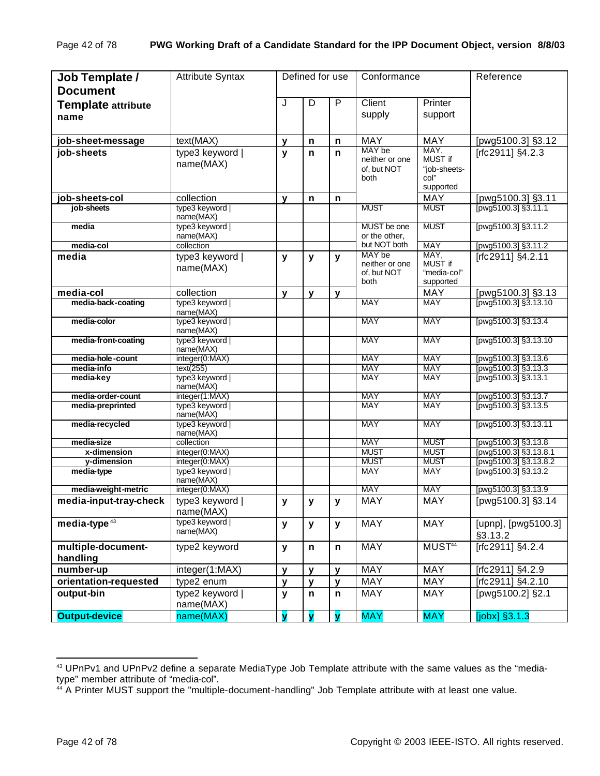| Job Template /<br><b>Document</b> | <b>Attribute Syntax</b>      |              | Defined for use         |                         | Conformance                                     |                                                      | Reference                                    |
|-----------------------------------|------------------------------|--------------|-------------------------|-------------------------|-------------------------------------------------|------------------------------------------------------|----------------------------------------------|
| <b>Template attribute</b><br>name |                              | J            | D                       | P                       | Client<br>supply                                | Printer<br>support                                   |                                              |
| job-sheet-message                 | text(MAX)                    | $\mathbf{v}$ | n                       | n                       | <b>MAY</b>                                      | <b>MAY</b>                                           | [pwg5100.3] §3.12                            |
| job-sheets                        | type3 keyword  <br>name(MAX) | $\mathbf{y}$ | n                       | n                       | MAY be<br>neither or one<br>of. but NOT<br>both | MAY,<br>MUST if<br>"job-sheets-<br>col"<br>supported | [rfc2911] §4.2.3                             |
| job-sheets-col                    | collection                   | $\mathbf{v}$ | n                       | n                       |                                                 | <b>MAY</b>                                           | [pwg5100.3] §3.11                            |
| job-sheets                        | type3 keyword<br>name(MAX)   |              |                         |                         | <b>MUST</b>                                     | <b>MUST</b>                                          | [pwg5100.3] $$3.11.1$                        |
| media                             | type3 keyword<br>name(MAX)   |              |                         |                         | MUST be one<br>or the other,                    | <b>MUST</b>                                          | [pwg5100.3] §3.11.2                          |
| media-col                         | collection                   |              |                         |                         | but NOT both                                    | <b>MAY</b>                                           | [pwg5100.3] §3.11.2                          |
| media                             | type3 keyword<br>name(MAX)   | y            | y                       | у                       | MAY be<br>neither or one<br>of, but NOT<br>both | MAY,<br>MUST if<br>"media-col"<br>supported          | [rfc2911] §4.2.11                            |
| media-col                         | collection                   | $\mathbf{y}$ | y                       | y                       |                                                 | <b>MAY</b>                                           | [pwg5100.3] §3.13                            |
| media-back-coating                | type3 keyword  <br>name(MAX) |              |                         |                         | <b>MAY</b>                                      | <b>MAY</b>                                           | pwg5100.3] §3.13.10                          |
| media-color                       | type3 keyword<br>name(MAX)   |              |                         |                         | <b>MAY</b>                                      | <b>MAY</b>                                           | [pwg5100.3] §3.13.4                          |
| media-front-coating               | type3 keyword  <br>name(MAX) |              |                         |                         | <b>MAY</b>                                      | <b>MAY</b>                                           | [pwg5100.3] §3.13.10                         |
| media-hole-count                  | integer(0:MAX)               |              |                         |                         | <b>MAY</b>                                      | <b>MAY</b>                                           | [pwg5100.3] §3.13.6                          |
| media-info<br>media-key           | text(255)<br>type3 keyword   |              |                         |                         | <b>MAY</b><br><b>MAY</b>                        | <b>MAY</b><br><b>MAY</b>                             | [pwg5100.3] §3.13.3<br>[pwg5100.3] §3.13.1   |
|                                   | name(MAX)                    |              |                         |                         |                                                 |                                                      |                                              |
| media-order-count                 | integer(1:MAX)               |              |                         |                         | <b>MAY</b>                                      | <b>MAY</b>                                           | [pwg5100.3] §3.13.7                          |
| media-preprinted                  | type3 keyword  <br>name(MAX) |              |                         |                         | <b>MAY</b>                                      | <b>MAY</b>                                           | [pwg5100.3] §3.13.5                          |
| media-recycled                    | type3 keyword<br>name(MAX)   |              |                         |                         | <b>MAY</b>                                      | MAY                                                  | [pwg5100.3] §3.13.11                         |
| media-size<br>x-dimension         | collection<br>integer(0:MAX) |              |                         |                         | <b>MAY</b><br><b>MUST</b>                       | <b>MUST</b><br><b>MUST</b>                           | [pwg5100.3] §3.13.8<br>[pwg5100.3] §3.13.8.1 |
| y-dimension                       | integer(0:MAX)               |              |                         |                         | <b>MUST</b>                                     | <b>MUST</b>                                          | pwg5100.3] §3.13.8.2                         |
| media-type                        | type3 keyword<br>name(MAX)   |              |                         |                         | <b>MAY</b>                                      | <b>MAY</b>                                           | [pwg5100.3] §3.13.2                          |
| media-weight-metric               | integer(0:MAX)               |              |                         |                         | <b>MAY</b>                                      | <b>MAY</b>                                           | [pwg5100.3] §3.13.9                          |
| media-input-tray-check            | type3 keyword<br>name(MAX)   | y            | y                       | y                       | <b>MAY</b>                                      | MAY                                                  | [pwg5100.3] §3.14                            |
| media-type $43$                   | type3 keyword  <br>name(MAX) | y            | $\mathbf{y}$            | y                       | MAY                                             | <b>MAY</b>                                           | [upnp], [pwg5100.3]<br>§3.13.2               |
| multiple-document-<br>handling    | type2 keyword                | y            | $\mathsf{n}$            | n                       | <b>MAY</b>                                      | MUST <sup>44</sup>                                   | [rfc2911] §4.2.4                             |
| number-up                         | integer(1:MAX)               | y            | y                       | y                       | MAY                                             | MAY                                                  | [rfc2911] §4.2.9                             |
| orientation-requested             | type2 enum                   | y            | $\mathbf{y}$            | $\mathbf{y}$            | MAY                                             | MAY                                                  | [rfc2911] §4.2.10                            |
| output-bin                        | type2 keyword  <br>name(MAX) | y            | $\mathsf{n}$            | n                       | MAY                                             | MAY                                                  | [pwg5100.2] §2.1                             |
| <b>Output-device</b>              | name(MAX)                    | v            | $\overline{\mathbf{v}}$ | $\overline{\mathbf{v}}$ | <b>MAY</b>                                      | <b>MAY</b>                                           | $[jobx]$ §3.1.3                              |

<sup>43</sup> UPnPv1 and UPnPv2 define a separate MediaType Job Template attribute with the same values as the "mediatype" member attribute of "media-col".

<sup>&</sup>lt;sup>44</sup> A Printer MUST support the "multiple-document-handling" Job Template attribute with at least one value.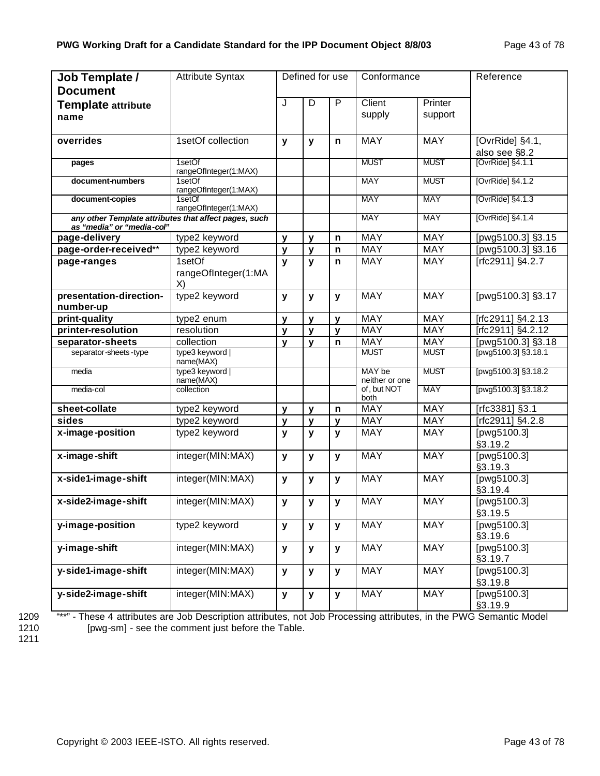| Job Template /<br><b>Document</b>    | <b>Attribute Syntax</b>                               | Defined for use |              | Conformance  |                          | Reference          |                                                      |
|--------------------------------------|-------------------------------------------------------|-----------------|--------------|--------------|--------------------------|--------------------|------------------------------------------------------|
| <b>Template attribute</b><br>name    |                                                       | J               | D            | P            | Client<br>supply         | Printer<br>support |                                                      |
| overrides                            | 1setOf collection                                     | y               | y            | $\mathsf{n}$ | <b>MAY</b>               | <b>MAY</b>         | [OvrRide] §4.1,<br>also see §8.2<br>[OvrRide] §4.1.1 |
| pages                                | 1setOf<br>rangeOfInteger(1:MAX)                       |                 |              |              | <b>MUST</b>              | <b>MUST</b>        |                                                      |
| document-numbers                     | 1setOf<br>rangeOfInteger(1:MAX)                       |                 |              |              | <b>MAY</b>               | <b>MUST</b>        | [OvrRide] §4.1.2                                     |
| document-copies                      | 1setOf<br>rangeOfInteger(1:MAX)                       |                 |              |              | <b>MAY</b>               | <b>MAY</b>         | [OvrRide] §4.1.3                                     |
| as "media" or "media-col"            | any other Template attributes that affect pages, such |                 |              |              | <b>MAY</b>               | <b>MAY</b>         | [OvrRide] §4.1.4                                     |
| page-delivery                        | type2 keyword                                         | y               | y            | $\mathsf{n}$ | <b>MAY</b>               | <b>MAY</b>         | [pwg5100.3] §3.15                                    |
| page-order-received**                | type2 keyword                                         | y               | $\mathbf{y}$ | $\mathsf{n}$ | MAY                      | <b>MAY</b>         | [pwg5100.3] §3.16                                    |
| page-ranges                          | 1setOf<br>rangeOfInteger(1:MA<br>X)                   | y               | $\mathbf{y}$ | n            | MAY                      | <b>MAY</b>         | [rfc2911] §4.2.7                                     |
| presentation-direction-<br>number-up | type2 keyword                                         | y               | y            | $\mathbf{y}$ | <b>MAY</b>               | <b>MAY</b>         | [pwg5100.3] §3.17                                    |
| print-quality                        | type2 enum                                            | $\mathbf{y}$    | $\mathbf{v}$ | $\mathbf{y}$ | <b>MAY</b>               | <b>MAY</b>         | [rfc2911] §4.2.13                                    |
| printer-resolution                   | resolution                                            | $\mathbf{y}$    | $\mathbf{y}$ | $\mathbf{y}$ | MAY                      | <b>MAY</b>         | [rfc2911] §4.2.12                                    |
| separator-sheets                     | collection                                            | y               | $\mathbf{v}$ | n            | MAY                      | <b>MAY</b>         | [pwg5100.3] §3.18                                    |
| separator-sheets-type                | type3 keyword  <br>name(MAX)                          |                 |              |              | <b>MUST</b>              | <b>MUST</b>        | $[$ pwg5100.3] §3.18.1                               |
| media                                | type3 keyword  <br>name(MAX)                          |                 |              |              | MAY be<br>neither or one | <b>MUST</b>        | [pwg5100.3] §3.18.2                                  |
| media-col                            | collection                                            |                 |              |              | of, but NOT<br>both      | MAY                | [pwg5100.3] §3.18.2                                  |
| sheet-collate                        | type2 keyword                                         | y               | y            | n            | <b>MAY</b>               | <b>MAY</b>         | [rfc3381] §3.1                                       |
| sides                                | type2 keyword                                         | y               | y            | $\mathbf{v}$ | MAY                      | <b>MAY</b>         | [rfc2911] §4.2.8                                     |
| x-image-position                     | type2 keyword                                         | $\mathbf{y}$    | y            | y            | <b>MAY</b>               | MAY                | [pwg5100.3]<br>§3.19.2                               |
| x-image-shift                        | integer(MIN:MAX)                                      | $\mathbf{y}$    | y            | y            | <b>MAY</b>               | <b>MAY</b>         | [pwg5100.3]<br>§3.19.3                               |
| x-side1-image-shift                  | integer(MIN:MAX)                                      | $\mathbf{y}$    | y            | $\mathbf{y}$ | <b>MAY</b>               | <b>MAY</b>         | [pwg5100.3]<br>§3.19.4                               |
| x-side2-image-shift                  | integer(MIN:MAX)                                      | y               | y            | y            | <b>MAY</b>               | <b>MAY</b>         | [pwg5100.3]<br>§3.19.5                               |
| y-image-position                     | type2 keyword                                         | y               | y            | $\mathbf{y}$ | MAY                      | <b>MAY</b>         | [pwg5100.3]<br>§3.19.6                               |
| y-image-shift                        | integer(MIN:MAX)                                      | У               | y            | y            | <b>MAY</b>               | <b>MAY</b>         | [pwg5100.3]<br>§3.19.7                               |
| y-side1-image-shift                  | integer(MIN:MAX)                                      | y               | У            | y            | MAY                      | MAY                | [pwg5100.3]<br>§3.19.8                               |
| y-side2-image-shift                  | integer(MIN:MAX)                                      | y               | y            | y            | MAY                      | MAY                | [pwg5100.3]<br>§3.19.9                               |

1209 "\*\*" - These 4 attributes are Job Description attributes, not Job Processing attributes, in the PWG Semantic Model<br>1210 [pwg-sm] - see the comment just before the Table. [pwg-sm] - see the comment just before the Table.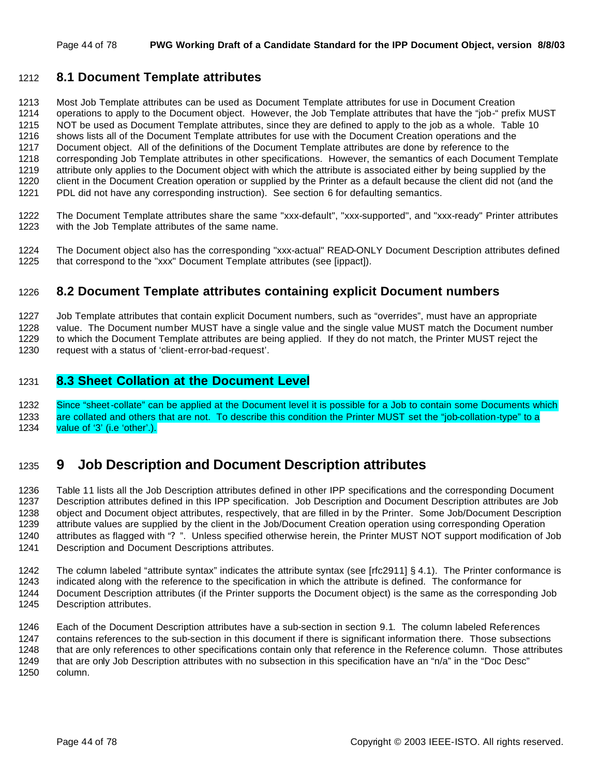## **8.1 Document Template attributes**

 Most Job Template attributes can be used as Document Template attributes for use in Document Creation operations to apply to the Document object. However, the Job Template attributes that have the "job-" prefix MUST NOT be used as Document Template attributes, since they are defined to apply to the job as a whole. Table 10 shows lists all of the Document Template attributes for use with the Document Creation operations and the Document object. All of the definitions of the Document Template attributes are done by reference to the corresponding Job Template attributes in other specifications. However, the semantics of each Document Template attribute only applies to the Document object with which the attribute is associated either by being supplied by the client in the Document Creation operation or supplied by the Printer as a default because the client did not (and the PDL did not have any corresponding instruction). See section 6 for defaulting semantics.

- 1222 The Document Template attributes share the same "xxx-default", "xxx-supported", and "xxx-ready" Printer attributes 1223 with the Job Template attributes with the Job Template attributes of the same name.
- The Document object also has the corresponding "xxx-actual" READ-ONLY Document Description attributes defined that correspond to the "xxx" Document Template attributes (see [ippact]).

## **8.2 Document Template attributes containing explicit Document numbers**

 Job Template attributes that contain explicit Document numbers, such as "overrides", must have an appropriate value. The Document number MUST have a single value and the single value MUST match the Document number to which the Document Template attributes are being applied. If they do not match, the Printer MUST reject the request with a status of 'client-error-bad-request'.

## **8.3 Sheet Collation at the Document Level**

 Since "sheet-collate" can be applied at the Document level it is possible for a Job to contain some Documents which are collated and others that are not. To describe this condition the Printer MUST set the "job-collation-type" to a value of '3' (i.e 'other'.).

# **9 Job Description and Document Description attributes**

 Table 11 lists all the Job Description attributes defined in other IPP specifications and the corresponding Document Description attributes defined in this IPP specification. Job Description and Document Description attributes are Job object and Document object attributes, respectively, that are filled in by the Printer. Some Job/Document Description attribute values are supplied by the client in the Job/Document Creation operation using corresponding Operation attributes as flagged with "? ". Unless specified otherwise herein, the Printer MUST NOT support modification of Job Description and Document Descriptions attributes.

The column labeled "attribute syntax" indicates the attribute syntax (see [rfc2911] § 4.1). The Printer conformance is

- indicated along with the reference to the specification in which the attribute is defined. The conformance for
- Document Description attributes (if the Printer supports the Document object) is the same as the corresponding Job Description attributes.

 Each of the Document Description attributes have a sub-section in section 9.1. The column labeled References contains references to the sub-section in this document if there is significant information there. Those subsections 1248 that are only references to other specifications contain only that reference in the Reference column. Those attributes 1249 that are only Job Description attributes with no subsection in this specification have an "n/a" in the "Doc Desc" column.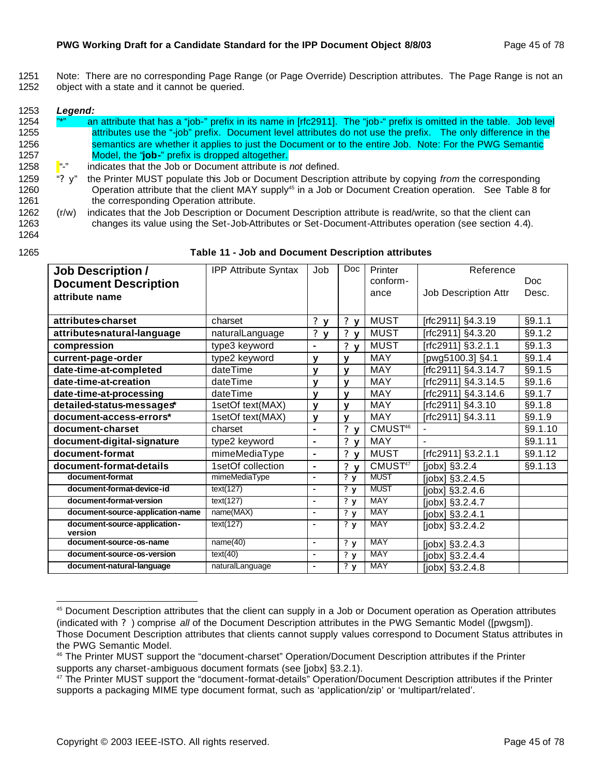1251 Note: There are no corresponding Page Range (or Page Override) Description attributes. The Page Range is not an 1252 object with a state and it cannot be queried.

#### 1253 *Legend:*

- 1254 <sup>"\*"</sup> an attribute that has a "job-" prefix in its name in [rfc2911]. The "job-" prefix is omitted in the table. Job level 1255 attributes use the "-job" prefix. Document level attributes do not use the prefix. The only difference in the 1256 semantics are whether it applies to just the Document or to the entire Job. Note: For the PWG Semantic 1257 Model, the "**job-**" prefix is dropped altogether.
- 1258 "-" indicates that the Job or Document attribute is *not* defined.
- 1259 "? y" the Printer MUST populate this Job or Document Description attribute by copying *from* the corresponding 1260 **Operation attribute that the client MAY supply**<sup>45</sup> in a Job or Document Creation operation. See Table 8 for 1261 the corresponding Operation attribute.
- 1262 (r/w) indicates that the Job Description or Document Description attribute is read/write, so that the client can 1263 changes its value using the Set-Job-Attributes or Set-Document-Attributes operation (see section 4.4).

# 1264

#### 1265 **Table 11 - Job and Document Description attributes**

| <b>Job Description /</b>                | <b>IPP Attribute Syntax</b> | Job                          | Doc                                  | Printer             | Reference            |         |
|-----------------------------------------|-----------------------------|------------------------------|--------------------------------------|---------------------|----------------------|---------|
| <b>Document Description</b>             |                             |                              |                                      | conform-            |                      | Doc.    |
| attribute name                          |                             |                              |                                      | ance                | Job Description Attr | Desc.   |
|                                         |                             |                              |                                      |                     |                      |         |
| attributes-charset                      | charset                     | ? $y$                        | ? $y$                                | <b>MUST</b>         | [rfc2911] §4.3.19    | §9.1.1  |
| attributes-natural-language             | naturalLanguage             | $\mathbf{?}$<br>$\mathbf{v}$ | ? $y$                                | <b>MUST</b>         | [rfc2911] §4.3.20    | §9.1.2  |
| compression                             | type3 keyword               | $\blacksquare$               | ? $y$                                | <b>MUST</b>         | [rfc2911] §3.2.1.1   | §9.1.3  |
| current-page-order                      | type2 keyword               | $\mathbf{v}$                 | $\mathbf v$                          | MAY                 | [pwg5100.3] §4.1     | §9.1.4  |
| date-time-at-completed                  | dateTime                    | $\mathbf{v}$                 | $\mathbf v$                          | <b>MAY</b>          | Trfc2911] §4.3.14.7  | §9.1.5  |
| date-time-at-creation                   | dateTime                    | y                            | v                                    | <b>MAY</b>          | [rfc2911] §4.3.14.5  | §9.1.6  |
| date-time-at-processing                 | dateTime                    | v                            | $\mathbf v$                          | <b>MAY</b>          | [rfc2911] §4.3.14.6  | §9.1.7  |
| detailed-status-messages*               | 1setOf text(MAX)            | $\mathbf{v}$                 | $\mathbf v$                          | MAY                 | [rfc2911] §4.3.10    | §9.1.8  |
| document-access-errors*                 | 1setOf text(MAX)            | $\mathbf{y}$                 | $\mathbf v$                          | MAY                 | [rfc2911] §4.3.11    | §9.1.9  |
| document-charset                        | charset                     | $\blacksquare$               | ? <sub>y</sub>                       | CMUST <sup>46</sup> |                      | §9.1.10 |
| document-digital-signature              | type2 keyword               | $\blacksquare$               | ? <sub>y</sub>                       | MAY                 |                      | §9.1.11 |
| document-format                         | mimeMediaType               | $\blacksquare$               | ? <sub>y</sub>                       | <b>MUST</b>         | [rfc2911] §3.2.1.1   | §9.1.12 |
| document-format-details                 | 1setOf collection           | $\blacksquare$               | ? y                                  | CMUST <sup>47</sup> | $[jobx]$ §3.2.4      | §9.1.13 |
| document-format                         | mimeMediaType               | $\blacksquare$               | $\overline{\mathbf{?} \ \mathbf{y}}$ | <b>MUST</b>         | [jobx] §3.2.4.5      |         |
| document-format-device-id               | text(127)                   | $\blacksquare$               | ?y                                   | <b>MUST</b>         | [jobx] §3.2.4.6      |         |
| document-format-version                 | text(127)                   | $\blacksquare$               | $\overline{\mathbf{?} \ \mathbf{y}}$ | <b>MAY</b>          | $[jobx]$ §3.2.4.7    |         |
| document-source-application-name        | name(MAX)                   | $\blacksquare$               | $\overline{\mathbf{?} \ \mathbf{y}}$ | <b>MAY</b>          | $[jobx]$ §3.2.4.1    |         |
| document-source-application-<br>version | text(127)                   | $\blacksquare$               | 2y                                   | <b>MAY</b>          | [jobx] §3.2.4.2      |         |
| document-source-os-name                 | name(40)                    | $\blacksquare$               | 2y                                   | <b>MAY</b>          | [ $jobx$ ] §3.2.4.3  |         |
| document-source-os-version              | text(40)                    | $\blacksquare$               | $\overline{\mathbf{?} \ \mathbf{y}}$ | <b>MAY</b>          | $[jobx]$ §3.2.4.4    |         |
| document-natural-language               | naturalLanguage             | $\overline{\phantom{a}}$     | $\overline{\mathbf{?} \mathbf{y}}$   | <b>MAY</b>          | $[jobx]$ §3.2.4.8    |         |

<sup>45</sup> Document Description attributes that the client can supply in a Job or Document operation as Operation attributes (indicated with ? ) comprise *all* of the Document Description attributes in the PWG Semantic Model ([pwgsm]). Those Document Description attributes that clients cannot supply values correspond to Document Status attributes in the PWG Semantic Model.

<sup>46</sup> The Printer MUST support the "document-charset" Operation/Document Description attributes if the Printer supports any charset-ambiguous document formats (see [jobx] §3.2.1).

<sup>&</sup>lt;sup>47</sup> The Printer MUST support the "document-format-details" Operation/Document Description attributes if the Printer supports a packaging MIME type document format, such as 'application/zip' or 'multipart/related'.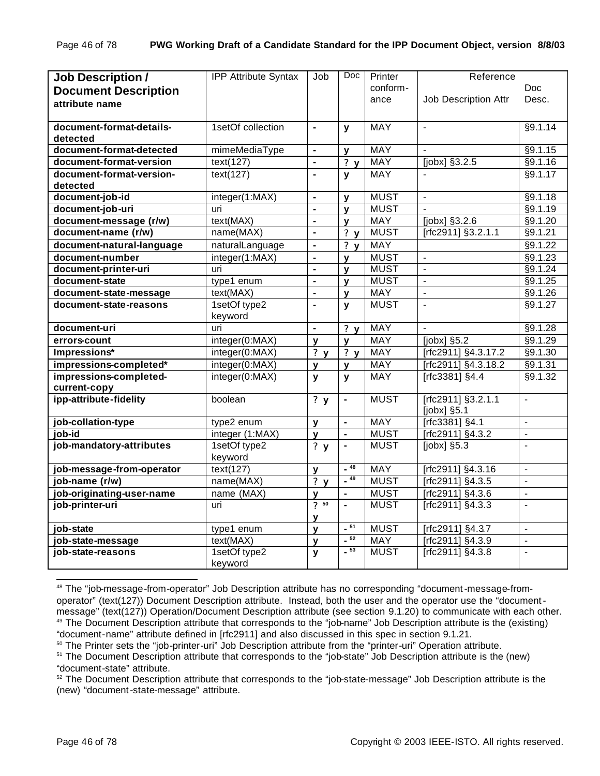| <b>Job Description /</b>    | <b>IPP Attribute Syntax</b> | Job                      | Doc            | Printer     | Reference                   |                          |
|-----------------------------|-----------------------------|--------------------------|----------------|-------------|-----------------------------|--------------------------|
| <b>Document Description</b> |                             |                          |                | conform-    |                             | <b>Doc</b>               |
| attribute name              |                             |                          |                | ance        | <b>Job Description Attr</b> | Desc.                    |
|                             |                             |                          |                |             |                             |                          |
| document-format-details-    | 1setOf collection           | $\blacksquare$           | $\mathbf{y}$   | <b>MAY</b>  | $\sim$                      | §9.1.14                  |
| detected                    |                             |                          |                |             |                             |                          |
| document-format-detected    | mimeMediaType               | $\blacksquare$           | v              | <b>MAY</b>  | $\overline{a}$              | §9.1.15                  |
| document-format-version     | text(127)                   | $\blacksquare$           | ?y             | <b>MAY</b>  | [jobx] §3.2.5               | §9.1.16                  |
| document-format-version-    | text(127)                   | ä,                       | $\mathbf{v}$   | <b>MAY</b>  |                             | §9.1.17                  |
| detected                    |                             |                          |                |             |                             |                          |
| document-job-id             | integer(1:MAX)              | $\blacksquare$           | v              | <b>MUST</b> | $\overline{a}$              | §9.1.18                  |
| document-job-uri            | uri                         | $\blacksquare$           | v              | <b>MUST</b> |                             | §9.1.19                  |
| document-message (r/w)      | text(MAX)                   | $\blacksquare$           | y              | <b>MAY</b>  | [jobx] §3.2.6               | §9.1.20                  |
| document-name (r/w)         | name(MAX)                   | $\overline{\phantom{a}}$ | ? y            | <b>MUST</b> | [rfc2911] §3.2.1.1          | §9.1.21                  |
| document-natural-language   | naturalLanguage             | $\blacksquare$           | ? y            | <b>MAY</b>  |                             | §9.1.22                  |
| document-number             | integer(1:MAX)              | $\blacksquare$           | y              | <b>MUST</b> | $\blacksquare$              | §9.1.23                  |
| document-printer-uri        | uri                         | $\blacksquare$           | v              | <b>MUST</b> | $\blacksquare$              | §9.1.24                  |
| document-state              | type1 enum                  | $\blacksquare$           | v              | <b>MUST</b> | $\overline{a}$              | §9.1.25                  |
| document-state-message      | text(MAX)                   | $\blacksquare$           | y              | MAY         | $\blacksquare$              | $\overline{\$9.1.26}$    |
| document-state-reasons      | 1setOf type2                | $\blacksquare$           | y              | <b>MUST</b> |                             | §9.1.27                  |
|                             | keyword                     |                          |                |             |                             |                          |
| document-uri                | uri                         | ä,                       | ? $y$          | <b>MAY</b>  |                             | §9.1.28                  |
| errors-count                | integer(0:MAX)              | $\mathbf{y}$             | $\mathbf{v}$   | <b>MAY</b>  | [jobx] §5.2                 | §9.1.29                  |
| Impressions*                | integer(0:MAX)              | ?y                       | ?y             | <b>MAY</b>  | [rfc2911] §4.3.17.2         | §9.1.30                  |
| impressions-completed*      | integer(0:MAX)              | y                        | y              | MAY         | [rfc2911] §4.3.18.2         | §9.1.31                  |
| impressions-completed-      | integer(0:MAX)              | y                        | y              | <b>MAY</b>  | [rfc3381] §4.4              | §9.1.32                  |
| current-copy                |                             |                          |                |             |                             |                          |
| ipp-attribute-fidelity      | boolean                     | ?y                       | $\blacksquare$ | <b>MUST</b> | [rfc2911] §3.2.1.1          | $\frac{1}{2}$            |
|                             |                             |                          |                |             | [jobx] §5.1                 |                          |
| job-collation-type          | type2 enum                  | y                        | $\blacksquare$ | <b>MAY</b>  | [rfc3381] §4.1              | $\overline{a}$           |
| job-id                      | integer (1:MAX)             | $\mathbf{y}$             | $\blacksquare$ | <b>MUST</b> | [rfc2911] §4.3.2            | $\overline{\phantom{a}}$ |
| job-mandatory-attributes    | 1setOf type2                | ?y                       | $\blacksquare$ | <b>MUST</b> | $[jobx]$ §5.3               | $\overline{a}$           |
|                             | keyword                     |                          | $-48$          |             |                             |                          |
| job-message-from-operator   | text(127)                   | $\mathbf{v}$             | $-49$          | <b>MAY</b>  | [rfc2911] §4.3.16           | $\overline{\phantom{0}}$ |
| job-name (r/w)              | name(MAX)                   | ? $y$                    |                | <b>MUST</b> | $[rfc2911]$ §4.3.5          | $\overline{a}$           |
| job-originating-user-name   | name (MAX)                  | $\mathbf{V}$             | $\blacksquare$ | <b>MUST</b> | [rfc2911] §4.3.6            | $\frac{1}{2}$            |
| job-printer-uri             | uri                         | $\overline{?}$ 50        | ä,             | <b>MUST</b> | [rfc2911] §4.3.3            | $\overline{a}$           |
|                             |                             | y                        | $-51$          |             |                             |                          |
| job-state                   | type1 enum                  | $\mathbf{v}$             | $-52$          | <b>MUST</b> | [rfc2911] §4.3.7            | $\overline{a}$           |
| job-state-message           | text(MAX)                   | $\mathbf{v}$             | $-53$          | <b>MAY</b>  | [rfc2911] §4.3.9            | $\blacksquare$           |
| job-state-reasons           | 1setOf type2<br>keyword     | $\mathbf{y}$             |                | <b>MUST</b> | [rfc2911] §4.3.8            | $\overline{a}$           |

<sup>48</sup> The "job-message-from-operator" Job Description attribute has no corresponding "document-message-fromoperator" (text(127)) Document Description attribute. Instead, both the user and the operator use the "documentmessage" (text(127)) Operation/Document Description attribute (see section 9.1.20) to communicate with each other. <sup>49</sup> The Document Description attribute that corresponds to the "job-name" Job Description attribute is the (existing) "document-name" attribute defined in [rfc2911] and also discussed in this spec in section 9.1.21.

<sup>&</sup>lt;sup>50</sup> The Printer sets the "job-printer-uri" Job Description attribute from the "printer-uri" Operation attribute.

<sup>&</sup>lt;sup>51</sup> The Document Description attribute that corresponds to the "job-state" Job Description attribute is the (new) "document-state" attribute.

<sup>&</sup>lt;sup>52</sup> The Document Description attribute that corresponds to the "job-state-message" Job Description attribute is the (new) "document-state-message" attribute.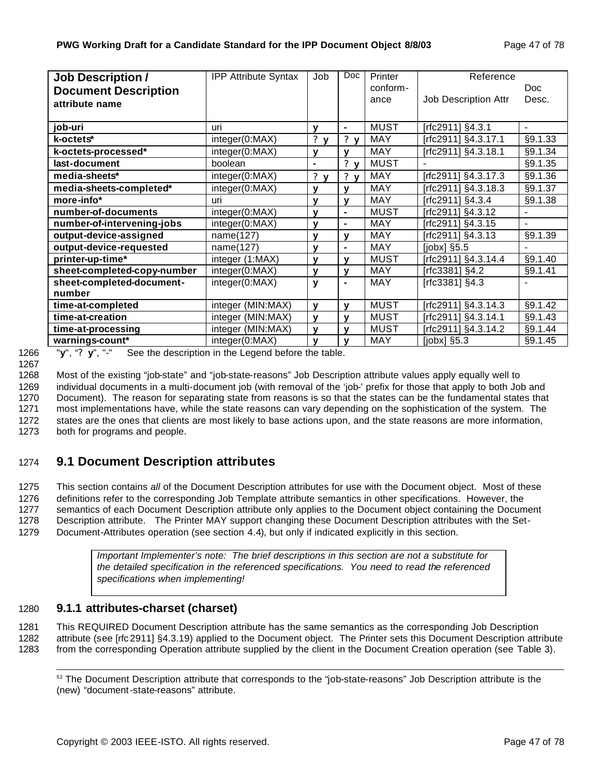| <b>Job Description /</b>    | <b>IPP Attribute Syntax</b> | Job              | Doc            | Printer     | Reference            |                |
|-----------------------------|-----------------------------|------------------|----------------|-------------|----------------------|----------------|
| <b>Document Description</b> |                             |                  |                | conform-    |                      | <b>Doc</b>     |
| attribute name              |                             |                  |                | ance        | Job Description Attr | Desc.          |
|                             |                             |                  |                |             |                      |                |
| job-uri                     | uri                         | ۷                | $\blacksquare$ | <b>MUST</b> | [rfc2911] §4.3.1     | $\blacksquare$ |
| k-octets*                   | integer(0:MAX)              | ?<br>$\mathbf v$ | ? <sub>y</sub> | MAY         | [rfc2911] §4.3.17.1  | §9.1.33        |
| k-octets-processed*         | integer(0:MAX)              | У                | v              | <b>MAY</b>  | [rfc2911] §4.3.18.1  | §9.1.34        |
| last-document               | boolean                     | ۰                | ? $y$          | <b>MUST</b> |                      | §9.1.35        |
| media-sheets*               | integer(0:MAX)              | ?<br>$\mathbf v$ | ? <sub>y</sub> | <b>MAY</b>  | [rfc2911] §4.3.17.3  | §9.1.36        |
| media-sheets-completed*     | integer(0:MAX)              | v                | $\mathbf v$    | <b>MAY</b>  | [rfc2911] §4.3.18.3  | §9.1.37        |
| more-info*                  | uri                         | ۷                | $\mathbf v$    | <b>MAY</b>  | [rfc2911] §4.3.4     | §9.1.38        |
| number-of-documents         | integer(0:MAX)              | $\mathbf v$      | $\blacksquare$ | <b>MUST</b> | [rfc2911] §4.3.12    | $\blacksquare$ |
| number-of-intervening-jobs  | integer(0:MAX)              | $\mathbf v$      | $\blacksquare$ | <b>MAY</b>  | [rfc2911] §4.3.15    | $\blacksquare$ |
| output-device-assigned      | name(127)                   | ۷                | $\mathbf v$    | MAY         | [rfc2911] §4.3.13    | §9.1.39        |
| output-device-requested     | name(127)                   | y                | $\blacksquare$ | <b>MAY</b>  | $[jobx]$ §5.5        |                |
| printer-up-time*            | integer (1:MAX)             | v                | v              | <b>MUST</b> | [rfc2911] §4.3.14.4  | §9.1.40        |
| sheet-completed-copy-number | integer(0:MAX)              | v                | $\mathbf v$    | <b>MAY</b>  | [rfc3381] §4.2       | §9.1.41        |
| sheet-completed-document-   | integer(0:MAX)              | y                | $\blacksquare$ | <b>MAY</b>  | [rfc3381] §4.3       |                |
| number                      |                             |                  |                |             |                      |                |
| time-at-completed           | integer (MIN:MAX)           | y                | v              | <b>MUST</b> | [rfc2911] §4.3.14.3  | §9.1.42        |
| time-at-creation            | integer (MIN:MAX)           | $\mathbf{v}$     | $\mathbf v$    | <b>MUST</b> | [rfc2911] §4.3.14.1  | §9.1.43        |
| time-at-processing          | integer (MIN:MAX)           | $\mathbf{v}$     | $\mathbf v$    | <b>MUST</b> | [rfc2911] §4.3.14.2  | §9.1.44        |
| warnings-count*             | integer(0:MAX)              | v                | v              | <b>MAY</b>  | [ $jobs$ ] $§5.3$    | §9.1.45        |

1266 "**y**", "**? y**", "-" See the description in the Legend before the table.

1267

1268 Most of the existing "job-state" and "job-state-reasons" Job Description attribute values apply equally well to

 individual documents in a multi-document job (with removal of the 'job-' prefix for those that apply to both Job and Document). The reason for separating state from reasons is so that the states can be the fundamental states that most implementations have, while the state reasons can vary depending on the sophistication of the system. The states are the ones that clients are most likely to base actions upon, and the state reasons are more information, both for programs and people.

# 1274 **9.1 Document Description attributes**

 This section contains *all* of the Document Description attributes for use with the Document object. Most of these definitions refer to the corresponding Job Template attribute semantics in other specifications. However, the semantics of each Document Description attribute only applies to the Document object containing the Document Description attribute. The Printer MAY support changing these Document Description attributes with the Set-Document-Attributes operation (see section 4.4), but only if indicated explicitly in this section.

> *Important Implementer's note: The brief descriptions in this section are not a substitute for the detailed specification in the referenced specifications. You need to read the referenced specifications when implementing!*

## 1280 **9.1.1 attributes-charset (charset)**

1281 This REQUIRED Document Description attribute has the same semantics as the corresponding Job Description 1282 attribute (see [rfc 2911] §4.3.19) applied to the Document object. The Printer sets this Document Description attribute 1283 from the corresponding Operation attribute supplied by the client in the Document Creation operation (see Table 3).

 <sup>53</sup> The Document Description attribute that corresponds to the "job-state-reasons" Job Description attribute is the (new) "document-state-reasons" attribute.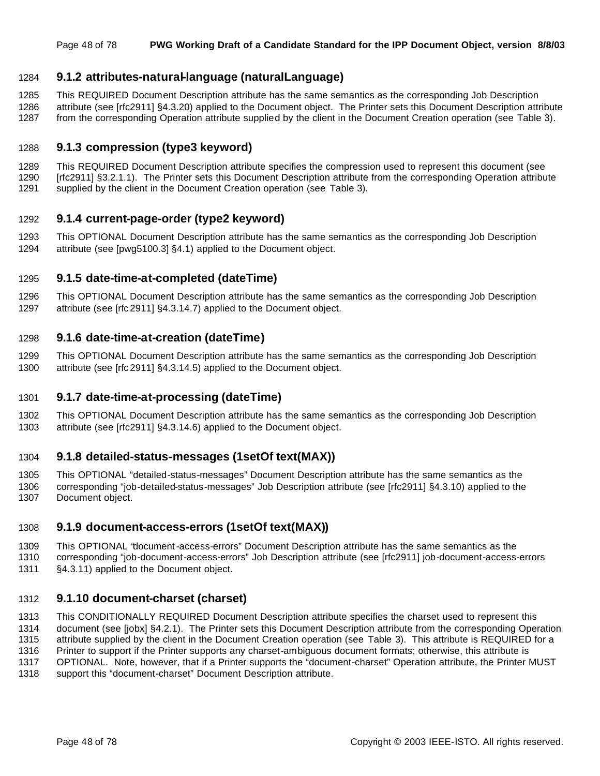#### Page 48 of 78 **PWG Working Draft of a Candidate Standard for the IPP Document Object, version 8/8/03**

## **9.1.2 attributes-natural-language (naturalLanguage)**

 This REQUIRED Document Description attribute has the same semantics as the corresponding Job Description attribute (see [rfc2911] §4.3.20) applied to the Document object. The Printer sets this Document Description attribute

from the corresponding Operation attribute supplied by the client in the Document Creation operation (see Table 3).

## **9.1.3 compression (type3 keyword)**

 This REQUIRED Document Description attribute specifies the compression used to represent this document (see [rfc2911] §3.2.1.1). The Printer sets this Document Description attribute from the corresponding Operation attribute supplied by the client in the Document Creation operation (see Table 3).

## **9.1.4 current-page-order (type2 keyword)**

 This OPTIONAL Document Description attribute has the same semantics as the corresponding Job Description attribute (see [pwg5100.3] §4.1) applied to the Document object.

## **9.1.5 date-time-at-completed (dateTime)**

 This OPTIONAL Document Description attribute has the same semantics as the corresponding Job Description attribute (see [rfc 2911] §4.3.14.7) applied to the Document object.

## **9.1.6 date-time-at-creation (dateTime)**

 This OPTIONAL Document Description attribute has the same semantics as the corresponding Job Description attribute (see [rfc 2911] §4.3.14.5) applied to the Document object.

## **9.1.7 date-time-at-processing (dateTime)**

 This OPTIONAL Document Description attribute has the same semantics as the corresponding Job Description attribute (see [rfc2911] §4.3.14.6) applied to the Document object.

## **9.1.8 detailed-status-messages (1setOf text(MAX))**

 This OPTIONAL "detailed-status-messages" Document Description attribute has the same semantics as the corresponding "job-detailed-status-messages" Job Description attribute (see [rfc2911] §4.3.10) applied to the Document object.

## **9.1.9 document-access-errors (1setOf text(MAX))**

This OPTIONAL "document-access-errors" Document Description attribute has the same semantics as the

 corresponding "job-document-access-errors" Job Description attribute (see [rfc2911] job-document-access-errors §4.3.11) applied to the Document object.

## **9.1.10 document-charset (charset)**

This CONDITIONALLY REQUIRED Document Description attribute specifies the charset used to represent this

document (see [jobx] §4.2.1). The Printer sets this Document Description attribute from the corresponding Operation

 attribute supplied by the client in the Document Creation operation (see Table 3). This attribute is REQUIRED for a Printer to support if the Printer supports any charset-ambiguous document formats; otherwise, this attribute is

OPTIONAL. Note, however, that if a Printer supports the "document-charset" Operation attribute, the Printer MUST

support this "document-charset" Document Description attribute.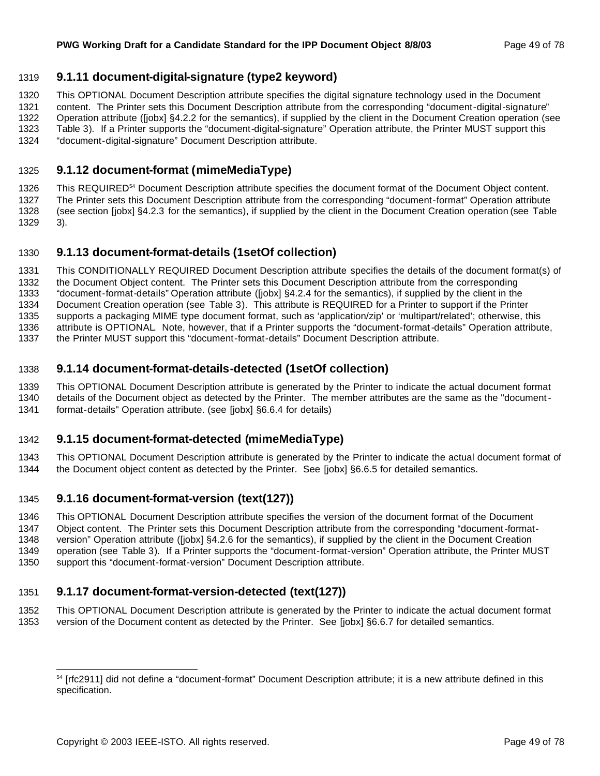## **9.1.11 document-digital-signature (type2 keyword)**

This OPTIONAL Document Description attribute specifies the digital signature technology used in the Document

content. The Printer sets this Document Description attribute from the corresponding "document-digital-signature"

Operation attribute ([jobx] §4.2.2 for the semantics), if supplied by the client in the Document Creation operation (see

 Table 3). If a Printer supports the "document-digital-signature" Operation attribute, the Printer MUST support this "document-digital-signature" Document Description attribute.

## **9.1.12 document-format (mimeMediaType)**

1326 This REQUIRED<sup>54</sup> Document Description attribute specifies the document format of the Document Object content. The Printer sets this Document Description attribute from the corresponding "document-format" Operation attribute (see section [jobx] §4.2.3 for the semantics), if supplied by the client in the Document Creation operation (see Table 3).

## **9.1.13 document-format-details (1setOf collection)**

 This CONDITIONALLY REQUIRED Document Description attribute specifies the details of the document format(s) of the Document Object content. The Printer sets this Document Description attribute from the corresponding "document-format-details" Operation attribute ([jobx] §4.2.4 for the semantics), if supplied by the client in the Document Creation operation (see Table 3). This attribute is REQUIRED for a Printer to support if the Printer supports a packaging MIME type document format, such as 'application/zip' or 'multipart/related'; otherwise, this attribute is OPTIONAL. Note, however, that if a Printer supports the "document-format-details" Operation attribute, the Printer MUST support this "document-format-details" Document Description attribute.

## **9.1.14 document-format-details-detected (1setOf collection)**

 This OPTIONAL Document Description attribute is generated by the Printer to indicate the actual document format details of the Document object as detected by the Printer. The member attributes are the same as the "document-

format-details" Operation attribute. (see [jobx] §6.6.4 for details)

## **9.1.15 document-format-detected (mimeMediaType)**

 This OPTIONAL Document Description attribute is generated by the Printer to indicate the actual document format of the Document object content as detected by the Printer. See [jobx] §6.6.5 for detailed semantics.

## **9.1.16 document-format-version (text(127))**

This OPTIONAL Document Description attribute specifies the version of the document format of the Document

 Object content. The Printer sets this Document Description attribute from the corresponding "document-format-version" Operation attribute ([jobx] §4.2.6 for the semantics), if supplied by the client in the Document Creation

 operation (see Table 3). If a Printer supports the "document-format-version" Operation attribute, the Printer MUST support this "document-format-version" Document Description attribute.

## **9.1.17 document-format-version-detected (text(127))**

 This OPTIONAL Document Description attribute is generated by the Printer to indicate the actual document format version of the Document content as detected by the Printer. See [jobx] §6.6.7 for detailed semantics.

<sup>&</sup>lt;sup>54</sup> [rfc2911] did not define a "document-format" Document Description attribute; it is a new attribute defined in this specification.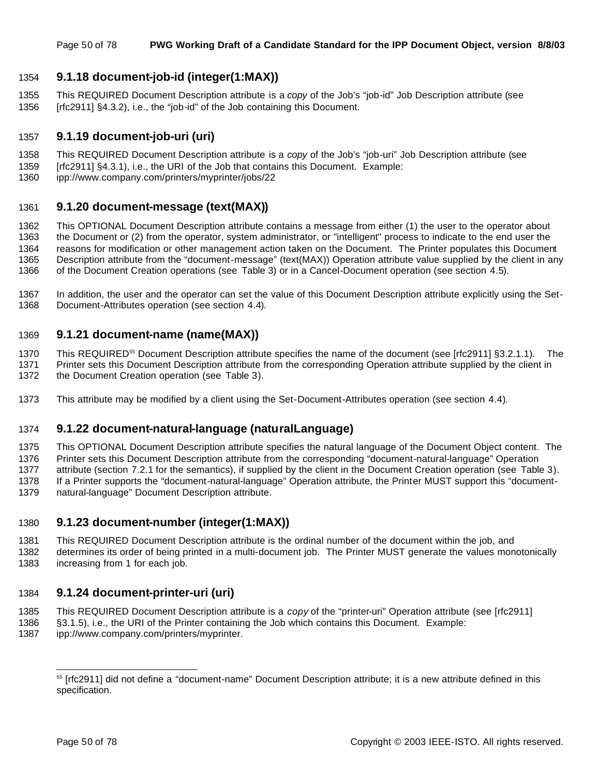## **9.1.18 document-job-id (integer(1:MAX))**

 This REQUIRED Document Description attribute is a *copy* of the Job's "job-id" Job Description attribute (see [rfc2911] §4.3.2), i.e., the "job-id" of the Job containing this Document.

## **9.1.19 document-job-uri (uri)**

- This REQUIRED Document Description attribute is a *copy* of the Job's "job-uri" Job Description attribute (see
- [rfc2911] §4.3.1), i.e., the URI of the Job that contains this Document. Example:
- ipp://www.company.com/printers/myprinter/jobs/22

## **9.1.20 document-message (text(MAX))**

 This OPTIONAL Document Description attribute contains a message from either (1) the user to the operator about the Document or (2) from the operator, system administrator, or "intelligent" process to indicate to the end user the reasons for modification or other management action taken on the Document. The Printer populates this Document Description attribute from the "document-message" (text(MAX)) Operation attribute value supplied by the client in any of the Document Creation operations (see Table 3) or in a Cancel-Document operation (see section 4.5).

 In addition, the user and the operator can set the value of this Document Description attribute explicitly using the Set-Document-Attributes operation (see section 4.4).

## **9.1.21 document-name (name(MAX))**

1370 This REQUIRED<sup>55</sup> Document Description attribute specifies the name of the document (see [rfc2911] §3.2.1.1). The Printer sets this Document Description attribute from the corresponding Operation attribute supplied by the client in the Document Creation operation (see Table 3).

This attribute may be modified by a client using the Set-Document-Attributes operation (see section 4.4).

## **9.1.22 document-natural-language (naturalLanguage)**

 This OPTIONAL Document Description attribute specifies the natural language of the Document Object content. The Printer sets this Document Description attribute from the corresponding "document-natural-language" Operation attribute (section 7.2.1 for the semantics), if supplied by the client in the Document Creation operation (see Table 3). If a Printer supports the "document-natural-language" Operation attribute, the Printer MUST support this "document-natural-language" Document Description attribute.

## **9.1.23 document-number (integer(1:MAX))**

- This REQUIRED Document Description attribute is the ordinal number of the document within the job, and
- determines its order of being printed in a multi-document job. The Printer MUST generate the values monotonically increasing from 1 for each job.

## **9.1.24 document-printer-uri (uri)**

- This REQUIRED Document Description attribute is a *copy* of the "printer-uri" Operation attribute (see [rfc2911]
- §3.1.5), i.e., the URI of the Printer containing the Job which contains this Document. Example:
- ipp://www.company.com/printers/myprinter.

<sup>&</sup>lt;sup>55</sup> [rfc2911] did not define a "document-name" Document Description attribute; it is a new attribute defined in this specification.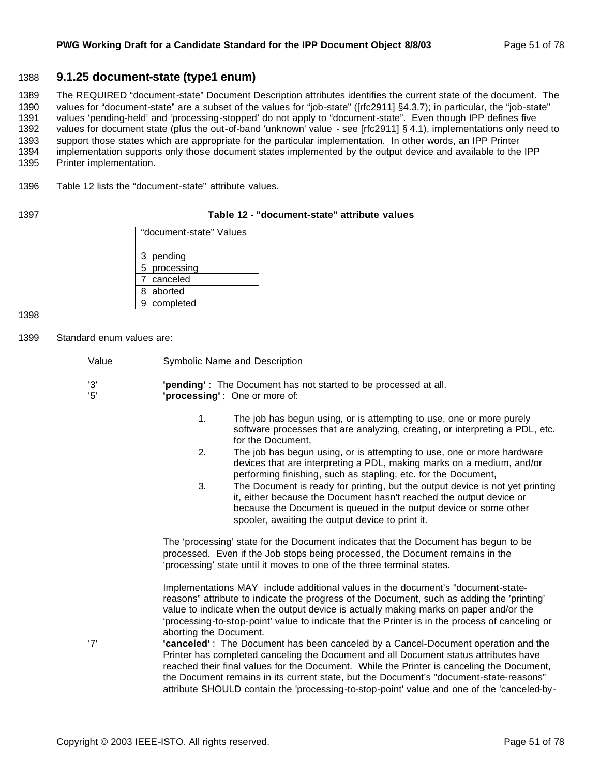#### 1388 **9.1.25 document-state (type1 enum)**

 The REQUIRED "document-state" Document Description attributes identifies the current state of the document. The values for "document-state" are a subset of the values for "job-state" ([rfc2911] §4.3.7); in particular, the "job-state" values 'pending-held' and 'processing-stopped' do not apply to "document-state". Even though IPP defines five values for document state (plus the out-of-band 'unknown' value - see [rfc2911] § 4.1), implementations only need to support those states which are appropriate for the particular implementation. In other words, an IPP Printer implementation supports only those document states implemented by the output device and available to the IPP Printer implementation.

1396 Table 12 lists the "document-state" attribute values.

#### 1397 **Table 12 - "document-state" attribute values**

| "document-state" Values |
|-------------------------|
| 3 pending               |
| 5 processing            |
| 7 canceled              |
| 8 aborted               |
| completed<br>9          |

1398

1399 Standard enum values are:

| Value                | Symbolic Name and Description                                                                                                                                                                                                                                                                                                                                                                                                                                  |  |  |  |
|----------------------|----------------------------------------------------------------------------------------------------------------------------------------------------------------------------------------------------------------------------------------------------------------------------------------------------------------------------------------------------------------------------------------------------------------------------------------------------------------|--|--|--|
| $\overline{3}$<br>5' | 'pending': The Document has not started to be processed at all.<br>'processing': One or more of:                                                                                                                                                                                                                                                                                                                                                               |  |  |  |
|                      | 1.<br>The job has begun using, or is attempting to use, one or more purely<br>software processes that are analyzing, creating, or interpreting a PDL, etc.<br>for the Document,                                                                                                                                                                                                                                                                                |  |  |  |
|                      | 2.<br>The job has begun using, or is attempting to use, one or more hardware<br>devices that are interpreting a PDL, making marks on a medium, and/or<br>performing finishing, such as stapling, etc. for the Document,                                                                                                                                                                                                                                        |  |  |  |
|                      | 3.<br>The Document is ready for printing, but the output device is not yet printing<br>it, either because the Document hasn't reached the output device or<br>because the Document is queued in the output device or some other<br>spooler, awaiting the output device to print it.                                                                                                                                                                            |  |  |  |
|                      | The 'processing' state for the Document indicates that the Document has begun to be<br>processed. Even if the Job stops being processed, the Document remains in the<br>'processing' state until it moves to one of the three terminal states.                                                                                                                                                                                                                 |  |  |  |
|                      | Implementations MAY include additional values in the document's "document-state-<br>reasons" attribute to indicate the progress of the Document, such as adding the 'printing'<br>value to indicate when the output device is actually making marks on paper and/or the<br>'processing-to-stop-point' value to indicate that the Printer is in the process of canceling or<br>aborting the Document.                                                           |  |  |  |
| '7'                  | 'canceled': The Document has been canceled by a Cancel-Document operation and the<br>Printer has completed canceling the Document and all Document status attributes have<br>reached their final values for the Document. While the Printer is canceling the Document,<br>the Document remains in its current state, but the Document's "document-state-reasons"<br>attribute SHOULD contain the 'processing-to-stop-point' value and one of the 'canceled-by- |  |  |  |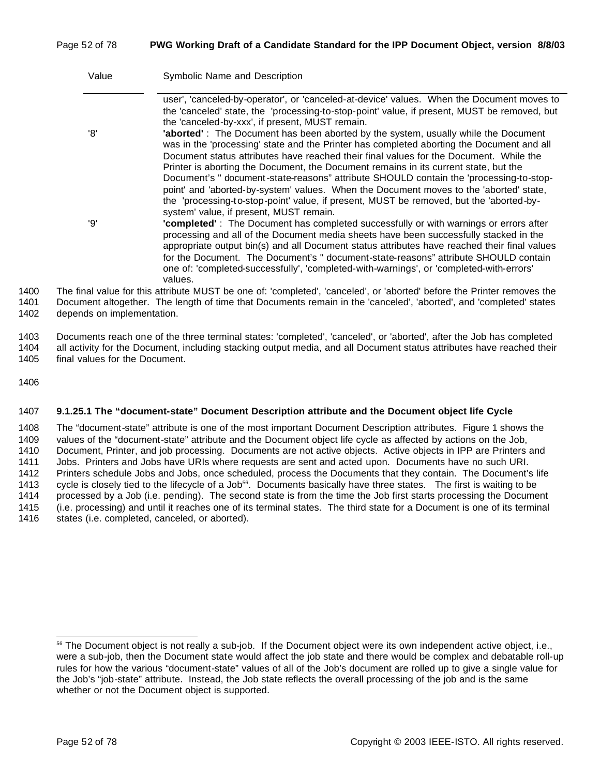#### Page 52 of 78 **PWG Working Draft of a Candidate Standard for the IPP Document Object, version 8/8/03**

| Value | Symbolic Name and Description                                                                                                                                                                                                                                                                                                                                                                                                                                                                                             |
|-------|---------------------------------------------------------------------------------------------------------------------------------------------------------------------------------------------------------------------------------------------------------------------------------------------------------------------------------------------------------------------------------------------------------------------------------------------------------------------------------------------------------------------------|
| 'R'   | user', 'canceled-by-operator', or 'canceled-at-device' values. When the Document moves to<br>the 'canceled' state, the 'processing-to-stop-point' value, if present, MUST be removed, but<br>the 'canceled-by-xxx', if present, MUST remain.<br>'aborted': The Document has been aborted by the system, usually while the Document<br>was in the 'processing' state and the Printer has completed aborting the Document and all<br>Document status attributes have reached their final values for the Document. While the |
|       | Printer is aborting the Document, the Document remains in its current state, but the<br>Document's " document-state-reasons" attribute SHOULD contain the 'processing-to-stop-<br>point' and 'aborted-by-system' values. When the Document moves to the 'aborted' state,<br>the 'processing-to-stop-point' value, if present, MUST be removed, but the 'aborted-by-<br>system' value, if present, MUST remain.                                                                                                            |
| 'Q'   | 'completed': The Document has completed successfully or with warnings or errors after<br>processing and all of the Document media sheets have been successfully stacked in the<br>appropriate output bin(s) and all Document status attributes have reached their final values<br>for the Document. The Document's " document-state-reasons" attribute SHOULD contain<br>one of: 'completed-successfully', 'completed-with-warnings', or 'completed-with-errors'<br>values.                                               |
|       | hal value for this attribute MUST be one of: 'completed', 'canceled', or 'aborted' before the Printer removes the                                                                                                                                                                                                                                                                                                                                                                                                         |

1400 The final value for this attribute MUST be one of: 'completed', 'canceled', or 'aborted' before the Printer removes the 1401 Document altogether. The length of time that Documents remain in the 'canceled', 'aborted', and 'completed' states 1402 depends on implementation.

1403 Documents reach one of the three terminal states: 'completed', 'canceled', or 'aborted', after the Job has completed 1404 all activity for the Document, including stacking output media, and all Document status attributes have reached their 1405 final values for the Document.

1406

#### 1407 **9.1.25.1 The "document-state" Document Description attribute and the Document object life Cycle**

 The "document-state" attribute is one of the most important Document Description attributes. Figure 1 shows the values of the "document-state" attribute and the Document object life cycle as affected by actions on the Job, Document, Printer, and job processing. Documents are not active objects. Active objects in IPP are Printers and Jobs. Printers and Jobs have URIs where requests are sent and acted upon. Documents have no such URI. Printers schedule Jobs and Jobs, once scheduled, process the Documents that they contain. The Document's life 1413 cycle is closely tied to the lifecycle of a Job<sup>56</sup>. Documents basically have three states. The first is waiting to be processed by a Job (i.e. pending). The second state is from the time the Job first starts processing the Document (i.e. processing) and until it reaches one of its terminal states. The third state for a Document is one of its terminal 1416 states (i.e. completed, canceled, or aborted).

<sup>56</sup> The Document object is not really a sub-job. If the Document object were its own independent active object, i.e., were a sub-job, then the Document state would affect the job state and there would be complex and debatable roll-up rules for how the various "document-state" values of all of the Job's document are rolled up to give a single value for the Job's "job-state" attribute. Instead, the Job state reflects the overall processing of the job and is the same whether or not the Document object is supported.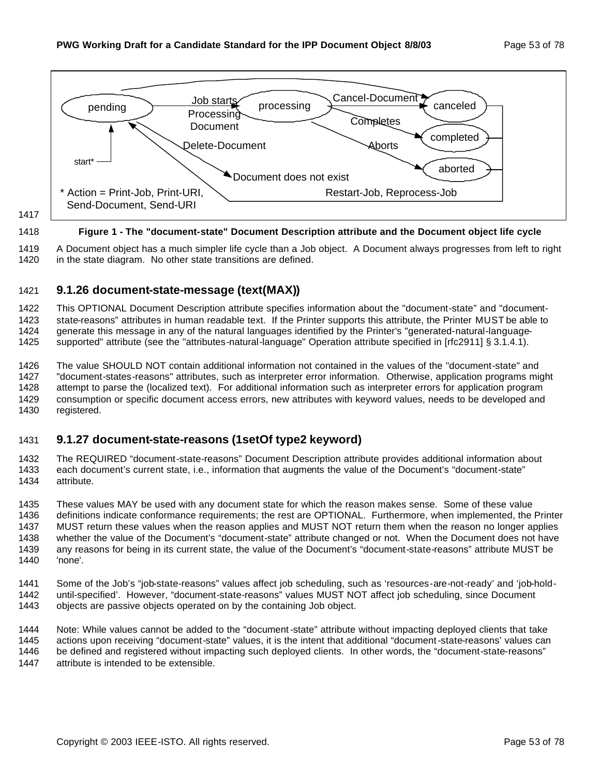

#### **Figure 1 - The "document-state" Document Description attribute and the Document object life cycle**

 A Document object has a much simpler life cycle than a Job object. A Document always progresses from left to right 1420 in the state diagram. No other state transitions are defined.

## **9.1.26 document-state-message (text(MAX))**

 This OPTIONAL Document Description attribute specifies information about the "document-state" and "document- state-reasons" attributes in human readable text. If the Printer supports this attribute, the Printer MUST be able to 1424 generate this message in any of the natural languages identified by the Printer's "generated-natural-language-supported" attribute (see the "attributes-natural-language" Operation attribute specified in [rfc2911] § 3.1.4.1).

 The value SHOULD NOT contain additional information not contained in the values of the "document-state" and "document-states-reasons" attributes, such as interpreter error information. Otherwise, application programs might attempt to parse the (localized text). For additional information such as interpreter errors for application program consumption or specific document access errors, new attributes with keyword values, needs to be developed and registered.

## **9.1.27 document-state-reasons (1setOf type2 keyword)**

 The REQUIRED "document-state-reasons" Document Description attribute provides additional information about each document's current state, i.e., information that augments the value of the Document's "document-state" attribute.

 These values MAY be used with any document state for which the reason makes sense. Some of these value definitions indicate conformance requirements; the rest are OPTIONAL. Furthermore, when implemented, the Printer MUST return these values when the reason applies and MUST NOT return them when the reason no longer applies whether the value of the Document's "document-state" attribute changed or not. When the Document does not have any reasons for being in its current state, the value of the Document's "document-state-reasons" attribute MUST be 'none'.

 Some of the Job's "job-state-reasons" values affect job scheduling, such as 'resources-are-not-ready' and 'job-hold- until-specified'. However, "document-state-reasons" values MUST NOT affect job scheduling, since Document objects are passive objects operated on by the containing Job object.

 Note: While values cannot be added to the "document-state" attribute without impacting deployed clients that take actions upon receiving "document-state" values, it is the intent that additional "document-state-reasons' values can be defined and registered without impacting such deployed clients. In other words, the "document-state-reasons" attribute is intended to be extensible.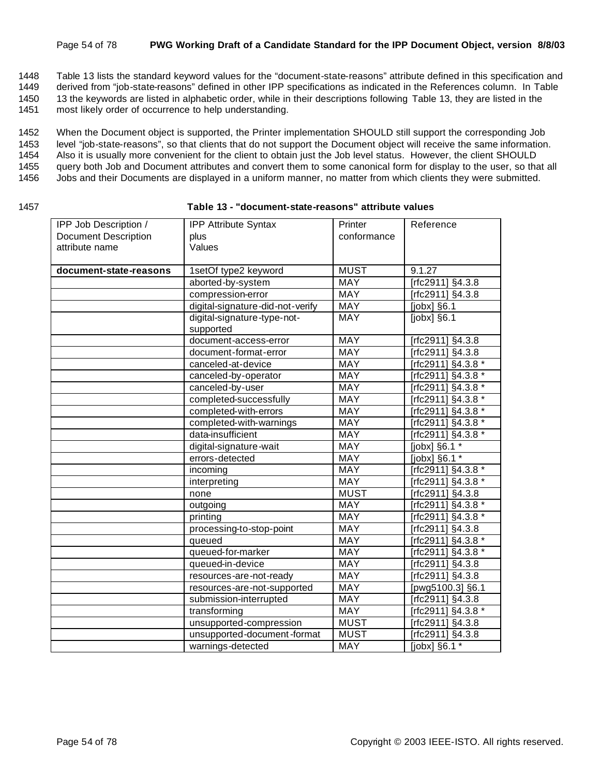#### Page 54 of 78 **PWG Working Draft of a Candidate Standard for the IPP Document Object, version 8/8/03**

1448 Table 13 lists the standard keyword values for the "document-state-reasons" attribute defined in this specification and

1449 derived from "job-state-reasons" defined in other IPP specifications as indicated in the References column. In Table

1450 13 the keywords are listed in alphabetic order, while in their descriptions following Table 13, they are listed in the

1451 most likely order of occurrence to help understanding.

1452 When the Document object is supported, the Printer implementation SHOULD still support the corresponding Job

1453 level "job-state-reasons", so that clients that do not support the Document object will receive the same information.

1454 Also it is usually more convenient for the client to obtain just the Job level status. However, the client SHOULD

1455 query both Job and Document attributes and convert them to some canonical form for display to the user, so that all

- 1456 Jobs and their Documents are displayed in a uniform manner, no matter from which clients they were submitted.
- 

#### 1457 **Table 13 - "document-state-reasons" attribute values**

| IPP Job Description /       | <b>IPP Attribute Syntax</b>      | Printer     | Reference           |
|-----------------------------|----------------------------------|-------------|---------------------|
| <b>Document Description</b> | plus                             | conformance |                     |
| attribute name              | Values                           |             |                     |
|                             |                                  |             |                     |
| document-state-reasons      | 1setOf type2 keyword             | <b>MUST</b> | 9.1.27              |
|                             | aborted-by-system                | MAY         | [rfc2911] §4.3.8    |
|                             | compression-error                | <b>MAY</b>  | [rfc2911] §4.3.8    |
|                             | digital-signature-did-not-verify | <b>MAY</b>  | [jobx] §6.1         |
|                             | digital-signature-type-not-      | MAY         | $[jobx]$ §6.1       |
|                             | supported                        |             |                     |
|                             | document-access-error            | MAY         | [rfc2911] §4.3.8    |
|                             | document-format-error            | MAY         | [rfc2911] §4.3.8    |
|                             | canceled-at-device               | <b>MAY</b>  | [rfc2911] §4.3.8 *  |
|                             | canceled-by-operator             | <b>MAY</b>  | [rfc2911] §4.3.8 *  |
|                             | canceled-by-user                 | MAY         | [rfc2911] §4.3.8 *  |
|                             | completed-successfully           | MAY         | [rfc2911] §4.3.8 *  |
|                             | completed-with-errors            | MAY         | Trfc2911] §4.3.8 *  |
|                             | completed-with-warnings          | MAY         | Trfc2911] §4.3.8 *  |
|                             | data-insufficient                | <b>MAY</b>  | [rfc2911] §4.3.8 *  |
|                             | digital-signature-wait           | MAY         | [ $jobx$ ] §6.1 $*$ |
|                             | errors-detected                  | MAY         | [jobx] §6.1 *       |
|                             | incoming                         | MAY         | [rfc2911] §4.3.8 *  |
|                             | interpreting                     | <b>MAY</b>  | [rfc2911] §4.3.8 *  |
|                             | none                             | <b>MUST</b> | [rfc2911] §4.3.8    |
|                             | outgoing                         | <b>MAY</b>  | [rfc2911] §4.3.8 *  |
|                             | printing                         | <b>MAY</b>  | [rfc2911] §4.3.8 *  |
|                             | processing-to-stop-point         | <b>MAY</b>  | [rfc2911] §4.3.8    |
|                             | queued                           | <b>MAY</b>  | [rfc2911] §4.3.8 *  |
|                             | queued-for-marker                | MAY         | [rfc2911] §4.3.8 *  |
|                             | queued-in-device                 | <b>MAY</b>  | [rfc2911] §4.3.8    |
|                             | resources-are-not-ready          | MAY         | [rfc2911] §4.3.8    |
|                             | resources-are-not-supported      | <b>MAY</b>  | [pwg5100.3] §6.1    |
|                             | submission-interrupted           | MAY         | [rfc2911] §4.3.8    |
|                             | transforming                     | MAY         | [rfc2911] §4.3.8 *  |
|                             | unsupported-compression          | <b>MUST</b> | [rfc2911] §4.3.8    |
|                             | unsupported-document-format      | <b>MUST</b> | [rfc2911] §4.3.8    |
|                             | warnings-detected                | MAY         | [jobx] §6.1 *       |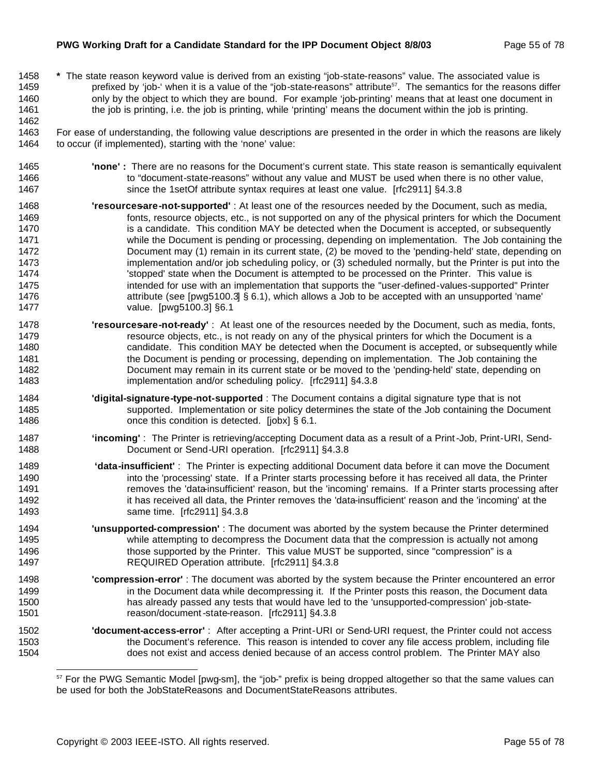#### **PWG Working Draft for a Candidate Standard for the IPP Document Object 8/8/03** Page 55 of 78

- **\*** The state reason keyword value is derived from an existing "job-state-reasons" value. The associated value is 1459 prefixed by 'job-' when it is a value of the "job-state-reasons" attribute<sup>57</sup>. The semantics for the reasons differ 1460 only by the object to which they are bound. For example 'job-printing' means that at least one document in the job is printing, i.e. the job is printing, while 'printing' means the document within the job is printing.
- For ease of understanding, the following value descriptions are presented in the order in which the reasons are likely to occur (if implemented), starting with the 'none' value:
- **'none' :** There are no reasons for the Document's current state. This state reason is semantically equivalent 1466 to "document-state-reasons" without any value and MUST be used when there is no other value, since the 1setOf attribute syntax requires at least one value. [rfc2911] §4.3.8
- **'resources-are-not-supported'** : At least one of the resources needed by the Document, such as media, fonts, resource objects, etc., is not supported on any of the physical printers for which the Document 1470 is a candidate. This condition MAY be detected when the Document is accepted, or subsequently while the Document is pending or processing, depending on implementation. The Job containing the Document may (1) remain in its current state, (2) be moved to the 'pending-held' state, depending on 1473 implementation and/or job scheduling policy, or (3) scheduled normally, but the Printer is put into the 1474 'stopped' state when the Document is attempted to be processed on the Printer. This value is intended for use with an implementation that supports the "user-defined-values-supported" Printer attribute (see [pwg5100.3] § 6.1), which allows a Job to be accepted with an unsupported 'name' value. [pwg5100.3] §6.1
- **'resourcesare-not-ready'**: At least one of the resources needed by the Document, such as media, fonts, 1479 resource objects, etc., is not ready on any of the physical printers for which the Document is a candidate. This condition MAY be detected when the Document is accepted, or subsequently while the Document is pending or processing, depending on implementation. The Job containing the Document may remain in its current state or be moved to the 'pending-held' state, depending on implementation and/or scheduling policy. [rfc2911] §4.3.8
- **'digital-signature-type-not-supported** : The Document contains a digital signature type that is not supported. Implementation or site policy determines the state of the Job containing the Document **cannot concertively** conce this condition is detected. [jobx] § 6.1.
- **'incoming'** : The Printer is retrieving/accepting Document data as a result of a Print-Job, Print-URI, Send-Document or Send-URI operation. [rfc2911] §4.3.8
- **'data-insufficient'** : The Printer is expecting additional Document data before it can move the Document 1490 into the 'processing' state. If a Printer starts processing before it has received all data, the Printer **removes the 'data-insufficient' reason**, but the 'incoming' remains. If a Printer starts processing after 1492 it has received all data, the Printer removes the 'data-insufficient' reason and the 'incoming' at the same time. [rfc2911] §4.3.8
- **'unsupported-compression'** : The document was aborted by the system because the Printer determined while attempting to decompress the Document data that the compression is actually not among those supported by the Printer. This value MUST be supported, since "compression" is a REQUIRED Operation attribute. [rfc2911] §4.3.8
- **'compression-error'** : The document was aborted by the system because the Printer encountered an error **in the Document data while decompressing it.** If the Printer posts this reason, the Document data has already passed any tests that would have led to the 'unsupported-compression' job-state-reason/document-state-reason. [rfc2911] §4.3.8
- **'document-access-error'** : After accepting a Print-URI or Send-URI request, the Printer could not access the Document's reference. This reason is intended to cover any file access problem, including file does not exist and access denied because of an access control problem. The Printer MAY also

<sup>57</sup> For the PWG Semantic Model [pwg-sm], the "job-" prefix is being dropped altogether so that the same values can be used for both the JobStateReasons and DocumentStateReasons attributes.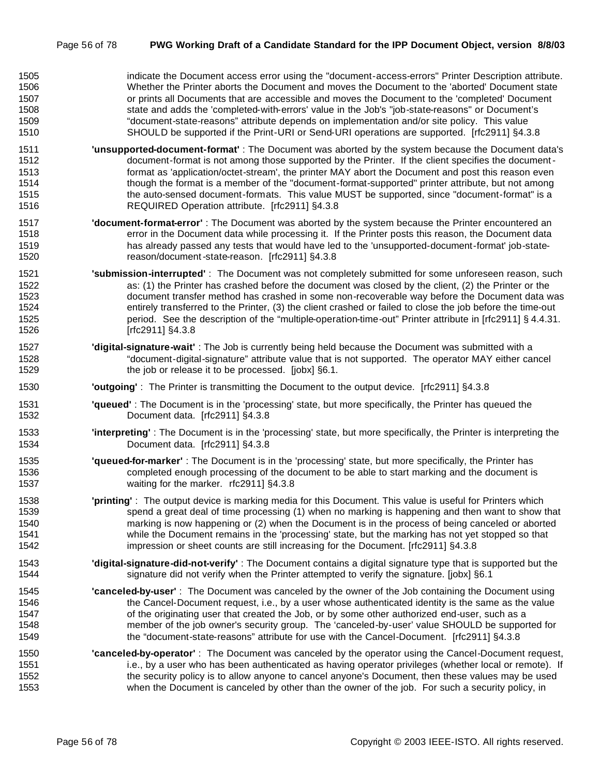| 1505 | indicate the Document access error using the "document-access-errors" Printer Description attribute. |
|------|------------------------------------------------------------------------------------------------------|
| 1506 | Whether the Printer aborts the Document and moves the Document to the 'aborted' Document state       |
| 1507 | or prints all Documents that are accessible and moves the Document to the 'completed' Document       |
| 1508 | state and adds the 'completed-with-errors' value in the Job's "job-state-reasons" or Document's      |
| 1509 | "document-state-reasons" attribute depends on implementation and/or site policy. This value          |
| 1510 | SHOULD be supported if the Print-URI or Send-URI operations are supported. [rfc2911] §4.3.8          |

- **'unsupported-document-format'** : The Document was aborted by the system because the Document data's document-format is not among those supported by the Printer. If the client specifies the document- format as 'application/octet-stream', the printer MAY abort the Document and post this reason even though the format is a member of the "document-format-supported" printer attribute, but not among 1515 the auto-sensed document-formats. This value MUST be supported, since "document-format" is a REQUIRED Operation attribute. [rfc2911] §4.3.8
- **'document-format-error'** : The Document was aborted by the system because the Printer encountered an error in the Document data while processing it. If the Printer posts this reason, the Document data has already passed any tests that would have led to the 'unsupported-document-format' job-state-reason/document-state-reason. [rfc2911] §4.3.8
- **'submission-interrupted'** : The Document was not completely submitted for some unforeseen reason, such as: (1) the Printer has crashed before the document was closed by the client, (2) the Printer or the document transfer method has crashed in some non-recoverable way before the Document data was entirely transferred to the Printer, (3) the client crashed or failed to close the job before the time-out period. See the description of the "multiple-operation-time-out" Printer attribute in [rfc2911] § 4.4.31. [rfc2911] §4.3.8
- **'digital-signature-wait'** : The Job is currently being held because the Document was submitted with a "document-digital-signature" attribute value that is not supported. The operator MAY either cancel the job or release it to be processed. [jobx] §6.1.
- **'outgoing'** : The Printer is transmitting the Document to the output device. [rfc2911] §4.3.8
- **'queued'** : The Document is in the 'processing' state, but more specifically, the Printer has queued the Document data. [rfc2911] §4.3.8
- **'interpreting'** : The Document is in the 'processing' state, but more specifically, the Printer is interpreting the Document data. [rfc2911] §4.3.8
- **'queued-for-marker'** : The Document is in the 'processing' state, but more specifically, the Printer has completed enough processing of the document to be able to start marking and the document is waiting for the marker. rfc2911] §4.3.8
- **'printing'** : The output device is marking media for this Document. This value is useful for Printers which spend a great deal of time processing (1) when no marking is happening and then want to show that marking is now happening or (2) when the Document is in the process of being canceled or aborted while the Document remains in the 'processing' state, but the marking has not yet stopped so that impression or sheet counts are still increasing for the Document. [rfc2911] §4.3.8
- **'digital-signature-did-not-verify'** : The Document contains a digital signature type that is supported but the 1544 signature did not verify when the Printer attempted to verify the signature. [jobx] §6.1
- **'canceled-by-user'** : The Document was canceled by the owner of the Job containing the Document using the Cancel-Document request, i.e., by a user whose authenticated identity is the same as the value 1547 of the originating user that created the Job, or by some other authorized end-user, such as a member of the job owner's security group. The 'canceled-by-user' value SHOULD be supported for the "document-state-reasons" attribute for use with the Cancel-Document. [rfc2911] §4.3.8
- **'canceled-by-operator'** : The Document was canceled by the operator using the Cancel-Document request, i.e., by a user who has been authenticated as having operator privileges (whether local or remote). If the security policy is to allow anyone to cancel anyone's Document, then these values may be used when the Document is canceled by other than the owner of the job. For such a security policy, in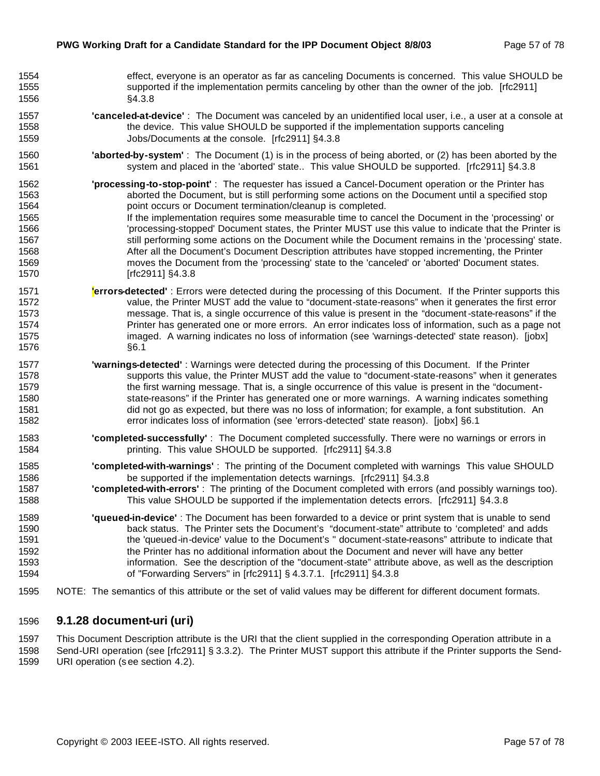| 1554 | effect, everyone is an operator as far as canceling Documents is concerned. This value SHOULD be                  |
|------|-------------------------------------------------------------------------------------------------------------------|
| 1555 | supported if the implementation permits canceling by other than the owner of the job. [rfc2911]                   |
| 1556 | §4.3.8                                                                                                            |
| 1557 | 'canceled-at-device': The Document was canceled by an unidentified local user, i.e., a user at a console at       |
| 1558 | the device. This value SHOULD be supported if the implementation supports canceling                               |
| 1559 | Jobs/Documents at the console. [rfc2911] §4.3.8                                                                   |
| 1560 | "aborted-by-system": The Document (1) is in the process of being aborted, or (2) has been aborted by the          |
| 1561 | system and placed in the 'aborted' state This value SHOULD be supported. [rfc2911] §4.3.8                         |
| 1562 | 'processing-to-stop-point': The requester has issued a Cancel-Document operation or the Printer has               |
| 1563 | aborted the Document, but is still performing some actions on the Document until a specified stop                 |
| 1564 | point occurs or Document termination/cleanup is completed.                                                        |
| 1565 | If the implementation requires some measurable time to cancel the Document in the 'processing' or                 |
| 1566 | 'processing-stopped' Document states, the Printer MUST use this value to indicate that the Printer is             |
| 1567 | still performing some actions on the Document while the Document remains in the 'processing' state.               |
| 1568 | After all the Document's Document Description attributes have stopped incrementing, the Printer                   |
| 1569 | moves the Document from the 'processing' state to the 'canceled' or 'aborted' Document states.                    |
| 1570 | [rfc2911] §4.3.8                                                                                                  |
| 1571 | lerrors-detected': Errors were detected during the processing of this Document. If the Printer supports this      |
| 1572 | value, the Printer MUST add the value to "document-state-reasons" when it generates the first error               |
| 1573 | message. That is, a single occurrence of this value is present in the "document-state-reasons" if the             |
| 1574 | Printer has generated one or more errors. An error indicates loss of information, such as a page not              |
| 1575 | imaged. A warning indicates no loss of information (see 'warnings-detected' state reason). [jobx]                 |
| 1576 | §6.1                                                                                                              |
| 1577 | 'warnings-detected': Warnings were detected during the processing of this Document. If the Printer                |
| 1578 | supports this value, the Printer MUST add the value to "document-state-reasons" when it generates                 |
| 1579 | the first warning message. That is, a single occurrence of this value is present in the "document-                |
| 1580 | state-reasons" if the Printer has generated one or more warnings. A warning indicates something                   |
| 1581 | did not go as expected, but there was no loss of information; for example, a font substitution. An                |
| 1582 | error indicates loss of information (see 'errors-detected' state reason). [jobx] §6.1                             |
| 1583 | "completed-successfully": The Document completed successfully. There were no warnings or errors in                |
| 1584 | printing. This value SHOULD be supported. [rfc2911] §4.3.8                                                        |
| 1585 | "completed-with-warnings": The printing of the Document completed with warnings This value SHOULD                 |
| 1586 | be supported if the implementation detects warnings. [rfc2911] §4.3.8                                             |
| 1587 | 'completed-with-errors': The printing of the Document completed with errors (and possibly warnings too).          |
| 1588 | This value SHOULD be supported if the implementation detects errors. [rfc2911] §4.3.8                             |
| 1589 | 'queued-in-device': The Document has been forwarded to a device or print system that is unable to send            |
| 1590 | back status. The Printer sets the Document's "document-state" attribute to 'completed' and adds                   |
| 1591 | the 'queued-in-device' value to the Document's " document-state-reasons" attribute to indicate that               |
| 1592 | the Printer has no additional information about the Document and never will have any better                       |
| 1593 | information. See the description of the "document-state" attribute above, as well as the description              |
| 1594 | of "Forwarding Servers" in [rfc2911] § 4.3.7.1. [rfc2911] §4.3.8                                                  |
| 1595 | NOTE: The semantics of this attribute or the set of valid values may be different for different document formats. |

## **9.1.28 document-uri (uri)**

1597 This Document Description attribute is the URI that the client supplied in the corresponding Operation attribute in a<br>1598 Send-URI operation (see [rfc2911] § 3.3.2). The Printer MUST support this attribute if the Pri Send-URI operation (see [rfc2911] § 3.3.2). The Printer MUST support this attribute if the Printer supports the Send-URI operation (s ee section 4.2).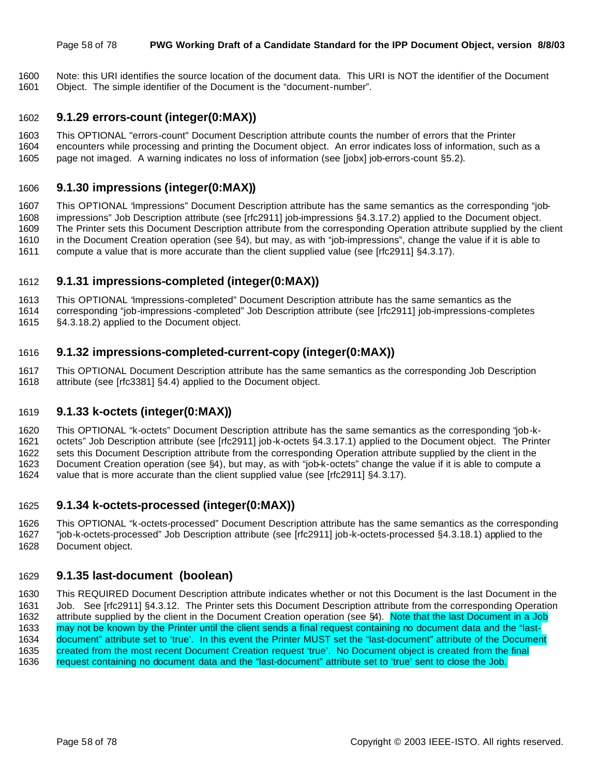#### Page 58 of 78 **PWG Working Draft of a Candidate Standard for the IPP Document Object, version 8/8/03**

 Note: this URI identifies the source location of the document data. This URI is NOT the identifier of the Document Object. The simple identifier of the Document is the "document-number".

#### **9.1.29 errors-count (integer(0:MAX))**

- This OPTIONAL "errors-count" Document Description attribute counts the number of errors that the Printer
- encounters while processing and printing the Document object. An error indicates loss of information, such as a
- page not imaged. A warning indicates no loss of information (see [jobx] job-errors-count §5.2).

#### **9.1.30 impressions (integer(0:MAX))**

 This OPTIONAL "impressions" Document Description attribute has the same semantics as the corresponding "job- impressions" Job Description attribute (see [rfc2911] job-impressions §4.3.17.2) applied to the Document object. The Printer sets this Document Description attribute from the corresponding Operation attribute supplied by the client in the Document Creation operation (see §4), but may, as with "job-impressions", change the value if it is able to compute a value that is more accurate than the client supplied value (see [rfc2911] §4.3.17).

## **9.1.31 impressions-completed (integer(0:MAX))**

This OPTIONAL "impressions-completed" Document Description attribute has the same semantics as the

 corresponding "job-impressions -completed" Job Description attribute (see [rfc2911] job-impressions-completes §4.3.18.2) applied to the Document object.

#### **9.1.32 impressions-completed-current-copy (integer(0:MAX))**

 This OPTIONAL Document Description attribute has the same semantics as the corresponding Job Description attribute (see [rfc3381] §4.4) applied to the Document object.

## **9.1.33 k-octets (integer(0:MAX))**

This OPTIONAL "k-octets" Document Description attribute has the same semantics as the corresponding "job-k-

octets" Job Description attribute (see [rfc2911] job-k-octets §4.3.17.1) applied to the Document object. The Printer

 sets this Document Description attribute from the corresponding Operation attribute supplied by the client in the Document Creation operation (see §4), but may, as with "job-k-octets" change the value if it is able to compute a

value that is more accurate than the client supplied value (see [rfc2911] §4.3.17).

## **9.1.34 k-octets-processed (integer(0:MAX))**

 This OPTIONAL "k-octets-processed" Document Description attribute has the same semantics as the corresponding "job-k-octets-processed" Job Description attribute (see [rfc2911] job-k-octets-processed §4.3.18.1) applied to the Document object.

## **9.1.35 last-document (boolean)**

 This REQUIRED Document Description attribute indicates whether or not this Document is the last Document in the Job. See [rfc2911] §4.3.12. The Printer sets this Document Description attribute from the corresponding Operation attribute supplied by the client in the Document Creation operation (see §4). Note that the last Document in a Job may not be known by the Printer until the client sends a final request containing no document data and the "last- document" attribute set to 'true'. In this event the Printer MUST set the "last-document" attribute of the Document created from the most recent Document Creation request 'true'. No Document object is created from the final request containing no document data and the "last-document" attribute set to 'true' sent to close the Job.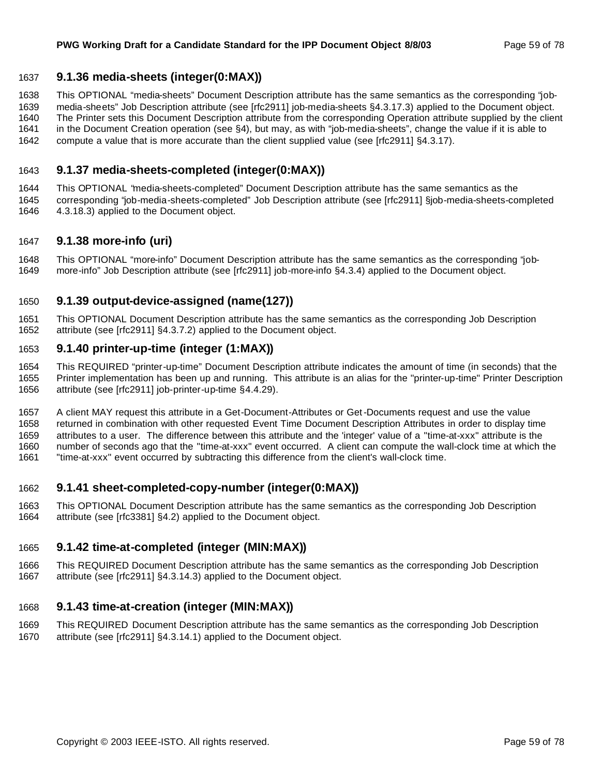## **9.1.36 media-sheets (integer(0:MAX))**

This OPTIONAL "media-sheets" Document Description attribute has the same semantics as the corresponding "job-

media-sheets" Job Description attribute (see [rfc2911] job-media-sheets §4.3.17.3) applied to the Document object.

The Printer sets this Document Description attribute from the corresponding Operation attribute supplied by the client

- in the Document Creation operation (see §4), but may, as with "job-media-sheets", change the value if it is able to compute a value that is more accurate than the client supplied value (see [rfc2911] §4.3.17).
- 

## **9.1.37 media-sheets-completed (integer(0:MAX))**

 This OPTIONAL "media-sheets-completed" Document Description attribute has the same semantics as the corresponding "job-media-sheets-completed" Job Description attribute (see [rfc2911] §job-media-sheets-completed 4.3.18.3) applied to the Document object.

## **9.1.38 more-info (uri)**

 This OPTIONAL "more-info" Document Description attribute has the same semantics as the corresponding "job-more-info" Job Description attribute (see [rfc2911] job-more-info §4.3.4) applied to the Document object.

## **9.1.39 output-device-assigned (name(127))**

 This OPTIONAL Document Description attribute has the same semantics as the corresponding Job Description attribute (see [rfc2911] §4.3.7.2) applied to the Document object.

## **9.1.40 printer-up-time (integer (1:MAX))**

 This REQUIRED "printer-up-time" Document Description attribute indicates the amount of time (in seconds) that the Printer implementation has been up and running. This attribute is an alias for the "printer-up-time" Printer Description attribute (see [rfc2911] job-printer-up-time §4.4.29).

 A client MAY request this attribute in a Get-Document-Attributes or Get-Documents request and use the value returned in combination with other requested Event Time Document Description Attributes in order to display time attributes to a user. The difference between this attribute and the 'integer' value of a "time-at-xxx" attribute is the number of seconds ago that the "time-at-xxx" event occurred. A client can compute the wall-clock time at which the "time-at-xxx" event occurred by subtracting this difference from the client's wall-clock time.

## **9.1.41 sheet-completed-copy-number (integer(0:MAX))**

 This OPTIONAL Document Description attribute has the same semantics as the corresponding Job Description attribute (see [rfc3381] §4.2) applied to the Document object.

## **9.1.42 time-at-completed (integer (MIN:MAX))**

 This REQUIRED Document Description attribute has the same semantics as the corresponding Job Description attribute (see [rfc2911] §4.3.14.3) applied to the Document object.

## **9.1.43 time-at-creation (integer (MIN:MAX))**

 This REQUIRED Document Description attribute has the same semantics as the corresponding Job Description attribute (see [rfc2911] §4.3.14.1) applied to the Document object.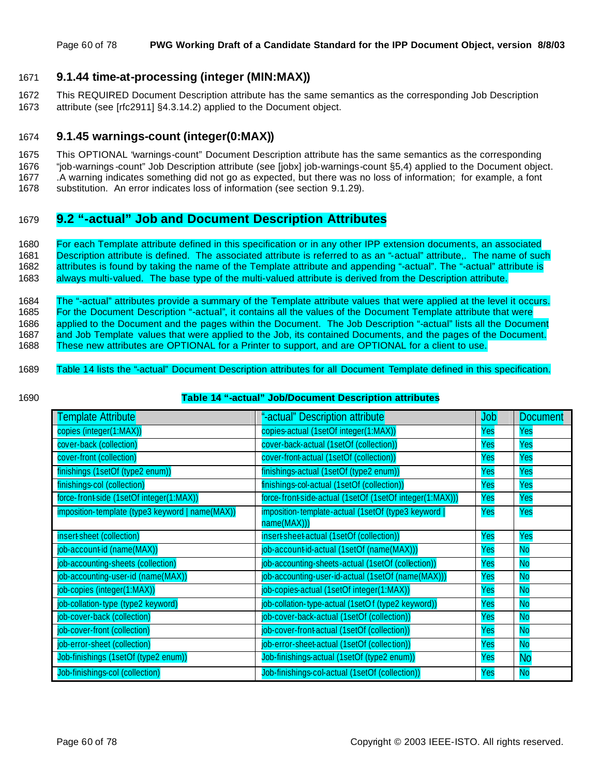## 1671 **9.1.44 time-at-processing (integer (MIN:MAX))**

1672 This REQUIRED Document Description attribute has the same semantics as the corresponding Job Description 1673 attribute (see [rfc2911] §4.3.14.2) applied to the Document object.

#### 1674 **9.1.45 warnings-count (integer(0:MAX))**

1675 This OPTIONAL "warnings-count" Document Description attribute has the same semantics as the corresponding

1676 "job-warnings -count" Job Description attribute (see [jobx] job-warnings-count §5,4) applied to the Document object.

1677 .A warning indicates something did not go as expected, but there was no loss of information; for example, a font

1678 substitution. An error indicates loss of information (see section 9.1.29).

## 1679 **9.2 "-actual" Job and Document Description Attributes**

 For each Template attribute defined in this specification or in any other IPP extension documents, an associated Description attribute is defined. The associated attribute is referred to as an "-actual" attribute,. The name of such attributes is found by taking the name of the Template attribute and appending "-actual". The "-actual" attribute is always multi-valued. The base type of the multi-valued attribute is derived from the Description attribute.

 The "-actual" attributes provide a summary of the Template attribute values that were applied at the level it occurs. For the Document Description "-actual", it contains all the values of the Document Template attribute that were applied to the Document and the pages within the Document. The Job Description "-actual" lists all the Document and Job Template values that were applied to the Job, its contained Documents, and the pages of the Document. These new attributes are OPTIONAL for a Printer to support, and are OPTIONAL for a client to use.

- 1689 Table 14 lists the "-actual" Document Description attributes for all Document Template defined in this specification.
- 

#### 1690 **Table 14 "-actual" Job/Document Description attributes**

| Template Attribute                              | "-actual" Description attribute                                  | <b>Job</b> | <b>Document</b> |
|-------------------------------------------------|------------------------------------------------------------------|------------|-----------------|
| copies (integer(1:MAX))                         | copies-actual (1setOf integer(1:MAX))                            | Yes        | Yes             |
| cover-back (collection)                         | cover-back-actual (1setOf (collection))                          | Yes        | Yes             |
| cover-front (collection)                        | cover-front-actual (1setOf (collection))                         | Yes        | Yes             |
| finishings (1setOf (type2 enum))                | finishings-actual (1setOf (type2 enum))                          | Yes        | Yes             |
| finishings-col (collection)                     | finishings-col-actual (1setOf (collection))                      | Yes        | Yes             |
| force-front-side (1setOf integer(1:MAX))        | force-front-side-actual (1setOf (1setOf integer(1:MAX)))         | Yes        | Yes             |
| imposition-template (type3 keyword   name(MAX)) | imposition-template-actual (1setOf (type3 keyword<br>name(MAX))) | Yes        | Yes             |
| insert-sheet (collection)                       | insert-sheet-actual (1setOf (collection))                        | Yes        | Yes             |
| job-account-id (name(MAX))                      | job-account-id-actual (1setOf (name(MAX)))                       | Yes        | <b>No</b>       |
| job-accounting-sheets (collection)              | job-accounting-sheets-actual (1setOf (collection))               | Yes        | <b>No</b>       |
| job-accounting-user-id (name(MAX))              | job-accounting-user-id-actual (1setOf (name(MAX)))               | Yes        | <b>No</b>       |
| job-copies (integer(1:MAX))                     | job-copies-actual (1setOf integer(1:MAX))                        | Yes        | <b>No</b>       |
| job-collation-type (type2 keyword)              | job-collation-type-actual (1setOf (type2 keyword))               | Yes        | <b>No</b>       |
| job-cover-back (collection)                     | job-cover-back-actual (1setOf (collection))                      | Yes        | <b>No</b>       |
| job-cover-front (collection)                    | job-cover-front-actual (1setOf (collection))                     | Yes        | <b>No</b>       |
| job-error-sheet (collection)                    | job-error-sheet-actual (1setOf (collection))                     | Yes        | <b>No</b>       |
| Job-finishings (1setOf (type2 enum))            | Job-finishings-actual (1setOf (type2 enum))                      | Yes        | <b>No</b>       |
| Job-finishings-col (collection)                 | Job-finishings-col-actual (1setOf (collection))                  | Yes        | <b>No</b>       |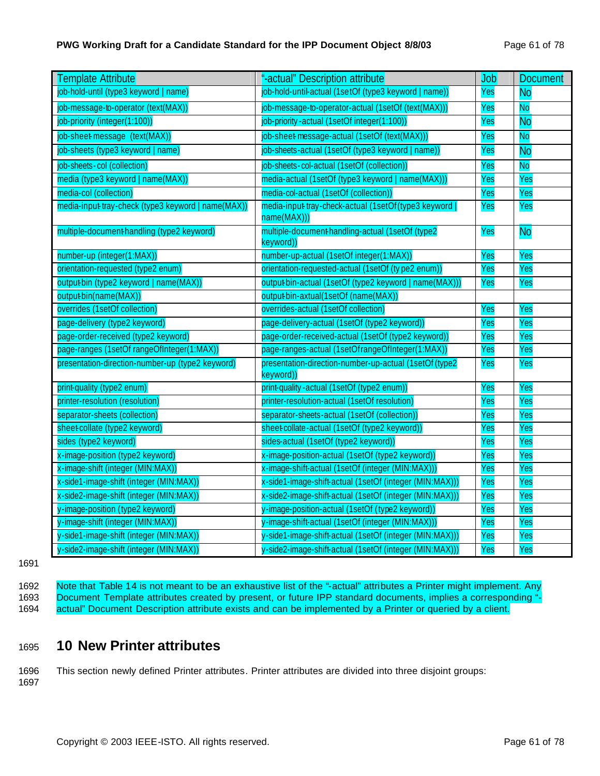## **PWG Working Draft for a Candidate Standard for the IPP Document Object 8/8/03** Page 61 of 78

| <b>Template Attribute</b>                          | "-actual" Description attribute                                     | <b>Job</b> | <b>Document</b> |
|----------------------------------------------------|---------------------------------------------------------------------|------------|-----------------|
| job-hold-until (type3 keyword   name)              | job-hold-until-actual (1setOf (type3 keyword   name))               | Yes        | <b>No</b>       |
| job-message-to-operator (text(MAX))                | job-message-to-operator-actual (1setOf (text(MAX)))                 | Yes        | <b>No</b>       |
| job-priority (integer(1:100))                      | job-priority-actual (1setOf integer(1:100))                         | Yes        | <b>No</b>       |
| job-sheet-message (text(MAX))                      | job-sheet-message-actual (1setOf (text(MAX)))                       | Yes        | <b>No</b>       |
| job-sheets (type3 keyword   name)                  | job-sheets-actual (1setOf (type3 keyword   name))                   | Yes        | <b>No</b>       |
| job-sheets-col (collection)                        | job-sheets-col-actual (1setOf (collection))                         | Yes        | <b>No</b>       |
| media (type3 keyword   name(MAX))                  | media-actual (1setOf (type3 keyword   name(MAX)))                   | Yes        | Yes             |
| media-col (collection)                             | media-col-actual (1setOf (collection))                              | Yes        | Yes             |
| media-input tray-check (type3 keyword   name(MAX)) | media-input tray-check-actual (1setOf(type3 keyword<br>name(MAX)))  | Yes        | Yes             |
| multiple-document-handling (type2 keyword)         | multiple-document-handling-actual (1setOf (type2<br>keyword))       | Yes        | <b>No</b>       |
| number-up (integer(1:MAX))                         | number-up-actual (1setOf integer(1:MAX))                            | Yes        | Yes             |
| orientation-requested (type2 enum)                 | orientation-requested-actual (1setOf (ty pe2 enum))                 | Yes        | Yes             |
| output-bin (type2 keyword   name(MAX))             | output-bin-actual (1setOf (type2 keyword   name(MAX)))              | Yes        | Yes             |
| output-bin(name(MAX))                              | output-bin-axtual(1setOf (name(MAX))                                |            |                 |
| overrides (1setOf collection)                      | overrides-actual (1setOf collection)                                | Yes        | Yes             |
| page-delivery (type2 keyword)                      | page-delivery-actual (1setOf (type2 keyword))                       | Yes        | Yes             |
| page-order-received (type2 keyword)                | page-order-received-actual (1setOf (type2 keyword))                 | Yes        | Yes             |
| page-ranges (1setOf rangeOfInteger(1:MAX))         | page-ranges-actual (1setOfrangeOfInteger(1:MAX))                    | Yes        | Yes             |
| presentation-direction-number-up (type2 keyword)   | presentation-direction-number-up-actual (1setOf (type2<br>keyword)) | Yes        | Yes             |
| print-quality (type2 enum)                         | print-quality-actual (1setOf (type2 enum))                          | Yes        | Yes             |
| printer-resolution (resolution)                    | printer-resolution-actual (1setOf resolution)                       | Yes        | Yes             |
| separator-sheets (collection)                      | separator-sheets-actual (1setOf (collection))                       | Yes        | Yes             |
| sheet collate (type2 keyword)                      | sheet collate-actual (1setOf (type2 keyword))                       | Yes        | Yes             |
| sides (type2 keyword)                              | sides-actual (1setOf (type2 keyword))                               | Yes        | Yes             |
| x-image-position (type2 keyword)                   | x-image-position-actual (1setOf (type2 keyword))                    | Yes        | Yes             |
| x-image-shift (integer (MIN:MAX))                  | x-image-shift-actual (1setOf (integer (MIN:MAX)))                   | Yes        | Yes             |
| x-side1-image-shift (integer (MIN:MAX))            | x-side1-image-shift-actual (1setOf (integer (MIN:MAX)))             | Yes        | Yes             |
| x-side2-image-shift (integer (MIN:MAX))            | x-side2-image-shift-actual (1setOf (integer (MIN:MAX)))             | Yes        | Yes             |
| y-image-position (type2 keyword)                   | y-image-position-actual (1setOf (type2 keyword))                    | Yes        | Yes             |
| y-image-shift (integer (MIN:MAX))                  | y-image-shift-actual (1setOf (integer (MIN:MAX)))                   | Yes        | Yes             |
| y-side1-image-shift (integer (MIN:MAX))            | y-side1-image-shift-actual (1setOf (integer (MIN:MAX)))             | Yes        | Yes             |
| y-side2-image-shift (integer (MIN:MAX))            | y-side2-image-shift-actual (1setOf (integer (MIN:MAX)))             | Yes        | Yes             |

1691

1692 Note that Table 14 is not meant to be an exhaustive list of the "-actual" attributes a Printer might implement. Any 1693 Document Template attributes created by present, or future IPP standard documents, implies a corresponding "-<br>1694 actual" Document Description attribute exists and can be implemented by a Printer or queried by a clie actual" Document Description attribute exists and can be implemented by a Printer or queried by a client.

## <sup>1695</sup> **10 New Printer attributes**

1696 This section newly defined Printer attributes. Printer attributes are divided into three disjoint groups: 1697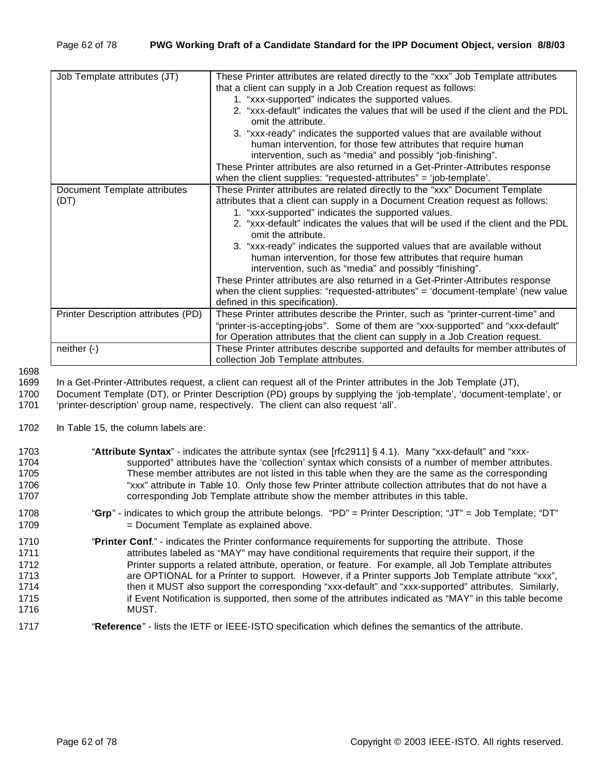| Job Template attributes (JT)        | These Printer attributes are related directly to the "xxx" Job Template attributes |
|-------------------------------------|------------------------------------------------------------------------------------|
|                                     | that a client can supply in a Job Creation request as follows:                     |
|                                     | 1. "xxx-supported" indicates the supported values.                                 |
|                                     | 2. "xxx-default" indicates the values that will be used if the client and the PDL  |
|                                     | omit the attribute.                                                                |
|                                     | 3. "xxx-ready" indicates the supported values that are available without           |
|                                     | human intervention, for those few attributes that require human                    |
|                                     | intervention, such as "media" and possibly "job-finishing".                        |
|                                     | These Printer attributes are also returned in a Get-Printer-Attributes response    |
|                                     | when the client supplies: "requested-attributes" = 'job-template'.                 |
| Document Template attributes        | These Printer attributes are related directly to the "xxx" Document Template       |
| (DT)                                | attributes that a client can supply in a Document Creation request as follows:     |
|                                     | 1. "xxx-supported" indicates the supported values.                                 |
|                                     | 2. "xxx-default" indicates the values that will be used if the client and the PDL  |
|                                     | omit the attribute.                                                                |
|                                     | 3. "xxx-ready" indicates the supported values that are available without           |
|                                     | human intervention, for those few attributes that require human                    |
|                                     | intervention, such as "media" and possibly "finishing".                            |
|                                     | These Printer attributes are also returned in a Get-Printer-Attributes response    |
|                                     | when the client supplies: "requested-attributes" = 'document-template' (new value  |
|                                     | defined in this specification).                                                    |
| Printer Description attributes (PD) | These Printer attributes describe the Printer, such as "printer-current-time" and  |
|                                     | "printer-is-accepting-jobs". Some of them are "xxx-supported" and "xxx-default"    |
|                                     | for Operation attributes that the client can supply in a Job Creation request.     |
| neither $(-)$                       | These Printer attributes describe supported and defaults for member attributes of  |
|                                     | collection Job Template attributes.                                                |

1699 In a Get-Printer-Attributes request, a client can request all of the Printer attributes in the Job Template (JT),

1700 Document Template (DT), or Printer Description (PD) groups by supplying the 'job-template', 'document-template', or

1701 'printer-description' group name, respectively. The client can also request 'all'.

1702 In Table 15, the column labels are:

| 1703<br>1704 | "Attribute Syntax" - indicates the attribute syntax (see [rfc2911] § 4.1). Many "xxx-default" and "xxx-<br>supported" attributes have the 'collection' syntax which consists of a number of member attributes. |
|--------------|----------------------------------------------------------------------------------------------------------------------------------------------------------------------------------------------------------------|
| 1705         | These member attributes are not listed in this table when they are the same as the corresponding                                                                                                               |
| 1706         | "xxx" attribute in Table 10. Only those few Printer attribute collection attributes that do not have a                                                                                                         |
| 1707         | corresponding Job Template attribute show the member attributes in this table.                                                                                                                                 |
|              |                                                                                                                                                                                                                |
| 1708         | "Grp" - indicates to which group the attribute belongs. "PD" = Printer Description; "JT" = Job Template; "DT"                                                                                                  |
| 1709         | = Document Template as explained above.                                                                                                                                                                        |
|              |                                                                                                                                                                                                                |
| 1710         | "Printer Conf." - indicates the Printer conformance requirements for supporting the attribute. Those                                                                                                           |
| 1711         | attributes labeled as "MAY" may have conditional requirements that require their support, if the                                                                                                               |
| 1712         | Printer supports a related attribute, operation, or feature. For example, all Job Template attributes                                                                                                          |
| 1713         | are OPTIONAL for a Printer to support. However, if a Printer supports Job Template attribute "xxx",                                                                                                            |
| 1714         | then it MUST also support the corresponding "xxx-default" and "xxx-supported" attributes. Similarly,                                                                                                           |
| 1715         | if Event Notification is supported, then some of the attributes indicated as "MAY" in this table become                                                                                                        |
| 1716         | MUST.                                                                                                                                                                                                          |
|              |                                                                                                                                                                                                                |
| 1717         | "Reference" - lists the IETF or IEEE-ISTO specification which defines the semantics of the attribute.                                                                                                          |
|              |                                                                                                                                                                                                                |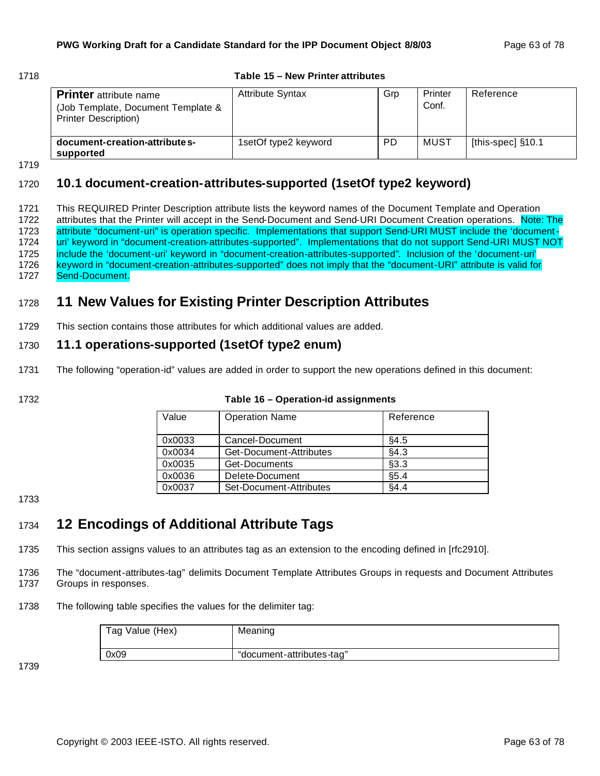#### 1718 **Table 15 – New Printer attributes**

| <b>Printer</b> attribute name<br>(Job Template, Document Template &<br><b>Printer Description)</b> | <b>Attribute Syntax</b> | Grp | Printer<br>Conf. | Reference         |
|----------------------------------------------------------------------------------------------------|-------------------------|-----|------------------|-------------------|
| document-creation-attribute s-<br>supported                                                        | 1setOf type2 keyword    | PD  | MUST             | [this-spec] §10.1 |

1719

## 1720 **10.1 document-creation-attributes-supported (1setOf type2 keyword)**

 This REQUIRED Printer Description attribute lists the keyword names of the Document Template and Operation 1722 attributes that the Printer will accept in the Send-Document and Send-URI Document Creation operations. Note: The attribute "document-uri" is operation specific. Implementations that support Send-URI MUST include the 'document- uri' keyword in "document-creation-attributes-supported". Implementations that do not support Send-URI MUST NOT include the 'document-uri' keyword in "document-creation-attributes-supported". Inclusion of the 'document-uri' keyword in "document-creation-attributes-supported" does not imply that the "document-URI" attribute is valid for Send-Document.

# <sup>1728</sup> **11 New Values for Existing Printer Description Attributes**

1729 This section contains those attributes for which additional values are added.

## 1730 **11.1 operations-supported (1setOf type2 enum)**

1731 The following "operation-id" values are added in order to support the new operations defined in this document:

1732 **Table 16 – Operation-id assignments**

| Value  | <b>Operation Name</b>   | Reference |
|--------|-------------------------|-----------|
| 0x0033 | Cancel-Document         | §4.5      |
| 0x0034 | Get-Document-Attributes | §4.3      |
| 0x0035 | Get-Documents           | §3.3      |
| 0x0036 | Delete-Document         | \$5.4     |
| 0x0037 | Set-Document-Attributes | §4.4      |

1733

# <sup>1734</sup> **12 Encodings of Additional Attribute Tags**

1735 This section assigns values to an attributes tag as an extension to the encoding defined in [rfc2910].

1736 The "document-attributes-tag" delimits Document Template Attributes Groups in requests and Document Attributes 1737 Groups in responses.

1738 The following table specifies the values for the delimiter tag:

| Tag Value (Hex) | Meaning                   |
|-----------------|---------------------------|
| 0x09            | "document-attributes-tag" |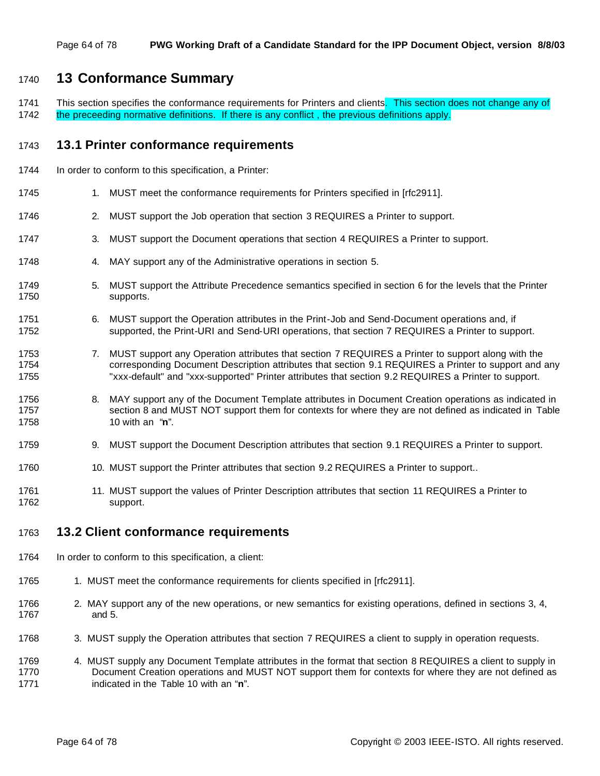## <sup>1740</sup> **13 Conformance Summary**

1741 This section specifies the conformance requirements for Printers and clients. This section does not change any of 1742 the preceeding normative definitions. If there is any conflict, the previous definitions apply.

## 1743 **13.1 Printer conformance requirements**

- 1744 In order to conform to this specification, a Printer:
- 1745 1. MUST meet the conformance requirements for Printers specified in [rfc2911].
- 1746 2. MUST support the Job operation that section 3 REQUIRES a Printer to support.
- 1747 3. MUST support the Document operations that section 4 REQUIRES a Printer to support.
- 1748 4. MAY support any of the Administrative operations in section 5.
- 1749 5. MUST support the Attribute Precedence semantics specified in section 6 for the levels that the Printer 1750 supports.
- 1751 6. MUST support the Operation attributes in the Print-Job and Send-Document operations and, if 1752 supported, the Print-URI and Send-URI operations, that section 7 REQUIRES a Printer to support.
- 1753 7. MUST support any Operation attributes that section 7 REQUIRES a Printer to support along with the 1754 corresponding Document Description attributes that section 9.1 REQUIRES a Printer to support and any 1755 "xxx-default" and "xxx-supported" Printer attributes that section 9.2 REQUIRES a Printer to support.
- 1756 8. MAY support any of the Document Template attributes in Document Creation operations as indicated in 1757 section 8 and MUST NOT support them for contexts for where they are not defined as indicated in Table 1758 10 with an "**n**".
- 1759 9. MUST support the Document Description attributes that section 9.1 REQUIRES a Printer to support.
- 1760 10. MUST support the Printer attributes that section 9.2 REQUIRES a Printer to support..
- 1761 11. MUST support the values of Printer Description attributes that section 11 REQUIRES a Printer to 1762 support.

## 1763 **13.2 Client conformance requirements**

- 1764 In order to conform to this specification, a client:
- 1765 1. MUST meet the conformance requirements for clients specified in [rfc2911].
- 1766 2. MAY support any of the new operations, or new semantics for existing operations, defined in sections 3, 4, 1767 and 5.
- 1768 3. MUST supply the Operation attributes that section 7 REQUIRES a client to supply in operation requests.
- 1769 4. MUST supply any Document Template attributes in the format that section 8 REQUIRES a client to supply in 1770 Document Creation operations and MUST NOT support them for contexts for where they are not defined as 1771 indicated in the Table 10 with an "**n**".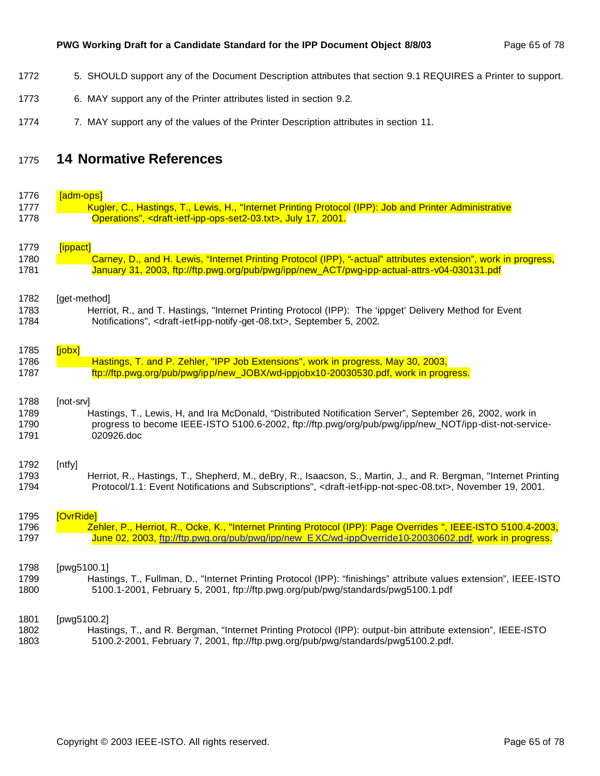- 1772 5. SHOULD support any of the Document Description attributes that section 9.1 REQUIRES a Printer to support.
- 6. MAY support any of the Printer attributes listed in section 9.2.
- 1774 7. MAY support any of the values of the Printer Description attributes in section 11.

# **14 Normative References**

| 1776 | [adm-ops]                                                                                                                                   |
|------|---------------------------------------------------------------------------------------------------------------------------------------------|
| 1777 | Kugler, C., Hastings, T., Lewis, H., "Internet Printing Protocol (IPP): Job and Printer Administrative                                      |
| 1778 | Operations", <draft-ietf-ipp-ops-set2-03.txt>, July 17, 2001.</draft-ietf-ipp-ops-set2-03.txt>                                              |
|      |                                                                                                                                             |
| 1779 | [ippact]                                                                                                                                    |
| 1780 | Carney, D., and H. Lewis, "Internet Printing Protocol (IPP), "-actual" attributes extension", work in progress,                             |
| 1781 | January 31, 2003, ftp://ftp.pwg.org/pub/pwg/ipp/new_ACT/pwg-ipp-actual-attrs-v04-030131.pdf                                                 |
|      |                                                                                                                                             |
|      |                                                                                                                                             |
| 1782 | [get-method]                                                                                                                                |
| 1783 | Herriot, R., and T. Hastings, "Internet Printing Protocol (IPP): The 'ippget' Delivery Method for Event                                     |
| 1784 | Notifications", <draft-ietf-ipp-notify-get-08.txt>, September 5, 2002.</draft-ietf-ipp-notify-get-08.txt>                                   |
|      |                                                                                                                                             |
| 1785 | [jobx]                                                                                                                                      |
| 1786 | Hastings, T. and P. Zehler, "IPP Job Extensions", work in progress, May 30, 2003,                                                           |
| 1787 | ftp://ftp.pwg.org/pub/pwg/ipp/new_JOBX/wd-ippjobx10-20030530.pdf, work in progress.                                                         |
|      |                                                                                                                                             |
| 1788 | [not-srv]                                                                                                                                   |
| 1789 | Hastings, T., Lewis, H, and Ira McDonald, "Distributed Notification Server", September 26, 2002, work in                                    |
| 1790 | progress to become IEEE-ISTO 5100.6-2002, ftp://ftp.pwg/org/pub/pwg/ipp/new_NOT/ipp-dist-not-service-                                       |
| 1791 | 020926.doc                                                                                                                                  |
|      |                                                                                                                                             |
|      |                                                                                                                                             |
| 1792 | [ntfy]                                                                                                                                      |
| 1793 | Herriot, R., Hastings, T., Shepherd, M., deBry, R., Isaacson, S., Martin, J., and R. Bergman, "Internet Printing                            |
| 1794 | Protocol/1.1: Event Notifications and Subscriptions", <draft-ietf-ipp-not-spec-08.txt>, November 19, 2001.</draft-ietf-ipp-not-spec-08.txt> |
|      |                                                                                                                                             |
| 1795 | [OvrRide]                                                                                                                                   |
| 1796 | Zehler, P., Herriot, R., Ocke, K., "Internet Printing Protocol (IPP): Page Overrides ", IEEE-ISTO 5100.4-2003,                              |
| 1797 | June 02, 2003, ftp://ftp.pwg.org/pub/pwg/ipp/new EXC/wd-ippOverride10-20030602.pdf, work in progress.                                       |
|      |                                                                                                                                             |
| 1798 | [pwg5100.1]                                                                                                                                 |
| 1799 | Hastings, T., Fullman, D., "Internet Printing Protocol (IPP): "finishings" attribute values extension", IEEE-ISTO                           |
| 1800 | 5100.1-2001, February 5, 2001, ftp://ftp.pwg.org/pub/pwg/standards/pwg5100.1.pdf                                                            |
|      |                                                                                                                                             |
| 1801 | [pwg5100.2]                                                                                                                                 |
| 1802 | Hastings, T., and R. Bergman, "Internet Printing Protocol (IPP): output-bin attribute extension", IEEE-ISTO                                 |
| 1803 | 5100.2-2001, February 7, 2001, ftp://ftp.pwg.org/pub/pwg/standards/pwg5100.2.pdf.                                                           |
|      |                                                                                                                                             |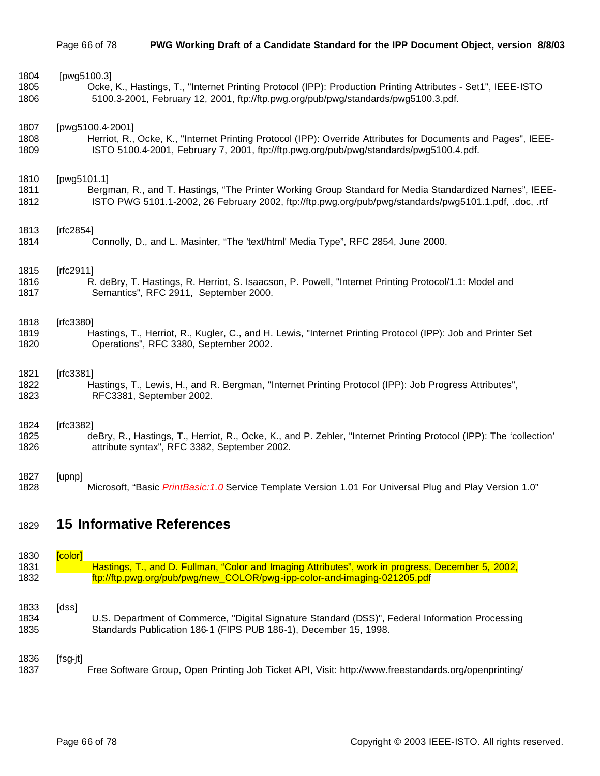| 1829 | <b>15 Informative References</b>                                                                                   |
|------|--------------------------------------------------------------------------------------------------------------------|
| 1827 | [upnp]                                                                                                             |
| 1828 | Microsoft, "Basic PrintBasic: 1.0 Service Template Version 1.01 For Universal Plug and Play Version 1.0"           |
| 1824 | [ $rfc3382$ ]                                                                                                      |
| 1825 | deBry, R., Hastings, T., Herriot, R., Ocke, K., and P. Zehler, "Internet Printing Protocol (IPP): The 'collection' |
| 1826 | attribute syntax", RFC 3382, September 2002.                                                                       |
| 1821 | [rfc3381]                                                                                                          |
| 1822 | Hastings, T., Lewis, H., and R. Bergman, "Internet Printing Protocol (IPP): Job Progress Attributes",              |
| 1823 | RFC3381, September 2002.                                                                                           |
| 1818 | [rfc3380]                                                                                                          |
| 1819 | Hastings, T., Herriot, R., Kugler, C., and H. Lewis, "Internet Printing Protocol (IPP): Job and Printer Set        |
| 1820 | Operations", RFC 3380, September 2002.                                                                             |
| 1815 | $[rfc2911]$                                                                                                        |
| 1816 | R. deBry, T. Hastings, R. Herriot, S. Isaacson, P. Powell, "Internet Printing Protocol/1.1: Model and              |
| 1817 | Semantics", RFC 2911, September 2000.                                                                              |
| 1813 | [rfc2854]                                                                                                          |
| 1814 | Connolly, D., and L. Masinter, "The 'text/html' Media Type", RFC 2854, June 2000.                                  |
| 1810 | [pwg5101.1]                                                                                                        |
| 1811 | Bergman, R., and T. Hastings, "The Printer Working Group Standard for Media Standardized Names", IEEE-             |
| 1812 | ISTO PWG 5101.1-2002, 26 February 2002, ftp://ftp.pwg.org/pub/pwg/standards/pwg5101.1.pdf, .doc, .rtf              |
| 1807 | [pwg5100.4-2001]                                                                                                   |
| 1808 | Herriot, R., Ocke, K., "Internet Printing Protocol (IPP): Override Attributes for Documents and Pages", IEEE-      |
| 1809 | ISTO 5100.4-2001, February 7, 2001, ftp://ftp.pwg.org/pub/pwg/standards/pwg5100.4.pdf.                             |
| 1804 | [pwg5100.3]                                                                                                        |
| 1805 | Ocke, K., Hastings, T., "Internet Printing Protocol (IPP): Production Printing Attributes - Set1", IEEE-ISTO       |
| 1806 | 5100.3-2001, February 12, 2001, ftp://ftp.pwg.org/pub/pwg/standards/pwg5100.3.pdf.                                 |

| 1830 | <b><u>Fcolor l</u></b> |                                                                                                   |
|------|------------------------|---------------------------------------------------------------------------------------------------|
| 1831 |                        | Hastings, T., and D. Fullman, "Color and Imaging Attributes", work in progress, December 5, 2002, |
| 1832 |                        | ftp://ftp.pwg.org/pub/pwg/new_COLOR/pwg-ipp-color-and-imaging-021205.pdf                          |
|      |                        |                                                                                                   |
| 1833 | [dss]                  |                                                                                                   |
| 1834 |                        | U.S. Department of Commerce, "Digital Signature Standard (DSS)", Federal Information Processing   |
| 1835 |                        | Standards Publication 186-1 (FIPS PUB 186-1), December 15, 1998.                                  |

[fsg-jt]

Free Software Group, Open Printing Job Ticket API, Visit: http://www.freestandards.org/openprinting/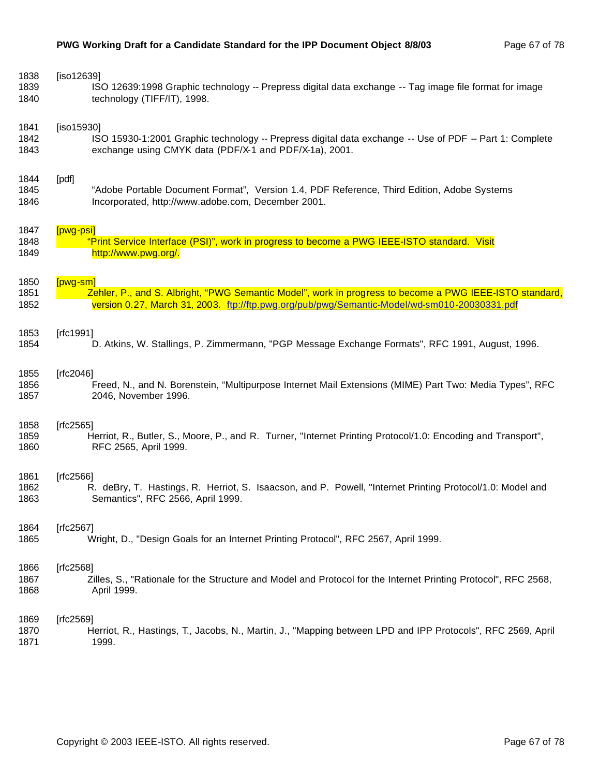| 1838 | [iso12639]                                                                                                     |
|------|----------------------------------------------------------------------------------------------------------------|
| 1839 | ISO 12639:1998 Graphic technology -- Prepress digital data exchange -- Tag image file format for image         |
| 1840 | technology (TIFF/IT), 1998.                                                                                    |
| 1841 | [iso15930]                                                                                                     |
| 1842 | ISO 15930-1:2001 Graphic technology -- Prepress digital data exchange -- Use of PDF -- Part 1: Complete        |
| 1843 | exchange using CMYK data (PDF/X-1 and PDF/X-1a), 2001.                                                         |
| 1844 | [pdf]                                                                                                          |
| 1845 | "Adobe Portable Document Format", Version 1.4, PDF Reference, Third Edition, Adobe Systems                     |
| 1846 | Incorporated, http://www.adobe.com, December 2001.                                                             |
| 1847 | [pwg-psi]                                                                                                      |
| 1848 | "Print Service Interface (PSI)", work in progress to become a PWG IEEE-ISTO standard. Visit                    |
| 1849 | http://www.pwg.org/.                                                                                           |
| 1850 | $[pwg-sm]$                                                                                                     |
| 1851 | Zehler, P., and S. Albright, "PWG Semantic Model", work in progress to become a PWG IEEE-ISTO standard,        |
| 1852 | version 0.27, March 31, 2003. ttp://ftp.pwg.org/pub/pwg/Semantic-Model/wd-sm010-20030331.pdf                   |
| 1853 | [ $rfc1991$ ]                                                                                                  |
| 1854 | D. Atkins, W. Stallings, P. Zimmermann, "PGP Message Exchange Formats", RFC 1991, August, 1996.                |
| 1855 | [ $rfc2046$ ]                                                                                                  |
| 1856 | Freed, N., and N. Borenstein, "Multipurpose Internet Mail Extensions (MIME) Part Two: Media Types", RFC        |
| 1857 | 2046, November 1996.                                                                                           |
| 1858 | [rfc2565]                                                                                                      |
| 1859 | Herriot, R., Butler, S., Moore, P., and R. Turner, "Internet Printing Protocol/1.0: Encoding and Transport",   |
| 1860 | RFC 2565, April 1999.                                                                                          |
| 1861 | [ $rfc2566$ ]                                                                                                  |
| 1862 | R. deBry, T. Hastings, R. Herriot, S. Isaacson, and P. Powell, "Internet Printing Protocol/1.0: Model and      |
| 1863 | Semantics", RFC 2566, April 1999.                                                                              |
| 1864 | [rfc2567]                                                                                                      |
| 1865 | Wright, D., "Design Goals for an Internet Printing Protocol", RFC 2567, April 1999.                            |
| 1866 | [ $rfc2568$ ]                                                                                                  |
| 1867 | Zilles, S., "Rationale for the Structure and Model and Protocol for the Internet Printing Protocol", RFC 2568, |
| 1868 | April 1999.                                                                                                    |
| 1869 | [ $rfc2569$ ]                                                                                                  |
| 1870 | Herriot, R., Hastings, T., Jacobs, N., Martin, J., "Mapping between LPD and IPP Protocols", RFC 2569, April    |
| 1871 | 1999.                                                                                                          |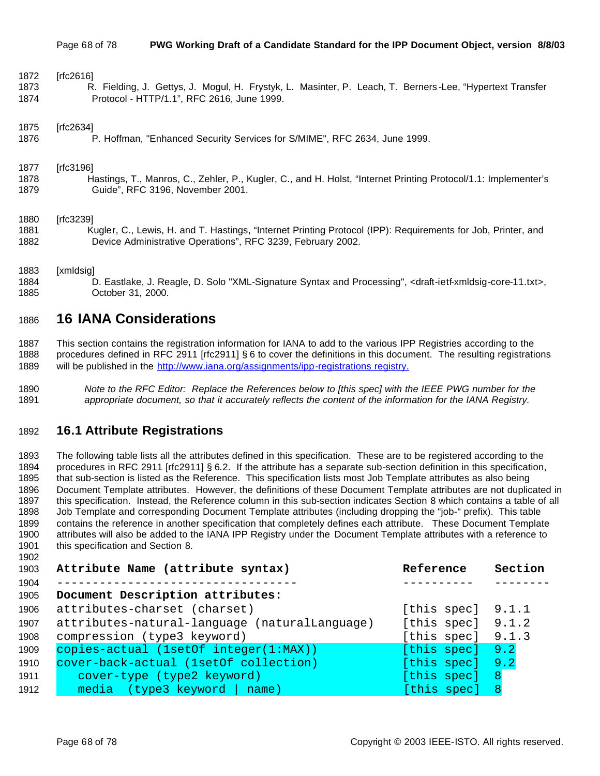| 1872 | [rfc2616]                                                                                                      |
|------|----------------------------------------------------------------------------------------------------------------|
| 1873 | R. Fielding, J. Gettys, J. Mogul, H. Frystyk, L. Masinter, P. Leach, T. Berners-Lee, "Hypertext Transfer       |
| 1874 | Protocol - HTTP/1.1", RFC 2616, June 1999.                                                                     |
| 1875 | [rfc2634]                                                                                                      |
| 1876 | P. Hoffman, "Enhanced Security Services for S/MIME", RFC 2634, June 1999.                                      |
| 1877 | [rfc3196]                                                                                                      |
| 1878 | Hastings, T., Manros, C., Zehler, P., Kugler, C., and H. Holst, "Internet Printing Protocol/1.1: Implementer's |
| 1879 | Guide", RFC 3196, November 2001.                                                                               |
| 1880 | [rfc3239]                                                                                                      |
| 1881 | Kugler, C., Lewis, H. and T. Hastings, "Internet Printing Protocol (IPP): Requirements for Job, Printer, and   |
| 1882 | Device Administrative Operations", RFC 3239, February 2002.                                                    |

#### [xmldsig]

 D. Eastlake, J. Reagle, D. Solo "XML-Signature Syntax and Processing", <draft-ietf-xmldsig-core-11.txt>, October 31, 2000.

## **16 IANA Considerations**

 This section contains the registration information for IANA to add to the various IPP Registries according to the procedures defined in RFC 2911 [rfc2911] § 6 to cover the definitions in this document. The resulting registrations 1889 will be published in the http://www.iana.org/assignments/ipp-registrations registry.

 *Note to the RFC Editor: Replace the References below to [this spec] with the IEEE PWG number for the appropriate document, so that it accurately reflects the content of the information for the IANA Registry.*

## **16.1 Attribute Registrations**

 The following table lists all the attributes defined in this specification. These are to be registered according to the procedures in RFC 2911 [rfc2911] § 6.2. If the attribute has a separate sub-section definition in this specification, that sub-section is listed as the Reference. This specification lists most Job Template attributes as also being Document Template attributes. However, the definitions of these Document Template attributes are not duplicated in this specification. Instead, the Reference column in this sub-section indicates Section 8 which contains a table of all Job Template and corresponding Document Template attributes (including dropping the "job-" prefix). This table contains the reference in another specification that completely defines each attribute. These Document Template attributes will also be added to the IANA IPP Registry under the Document Template attributes with a reference to 1901 this specification and Section 8.

| 1903 | Attribute Name (attribute syntax)             | Reference           | Section |
|------|-----------------------------------------------|---------------------|---------|
| 1904 |                                               |                     |         |
| 1905 | Document Description attributes:              |                     |         |
| 1906 | attributes-charset (charset)                  | [this spec] $9.1.1$ |         |
| 1907 | attributes-natural-language (naturalLanguage) | [this spec] $9.1.2$ |         |
| 1908 | compression (type3 keyword)                   | [this spec]         | 9.1.3   |
| 1909 | copies-actual (1setOf integer(1:MAX))         | [this spec]         | 9.2     |
| 1910 | cover-back-actual (1setOf collection)         | [this spec]         | 9.2     |
| 1911 | cover-type (type2 keyword)                    | [this spec]         | 8       |
| 1912 | $media$ (type3 keyword   name)                | [this spec]         |         |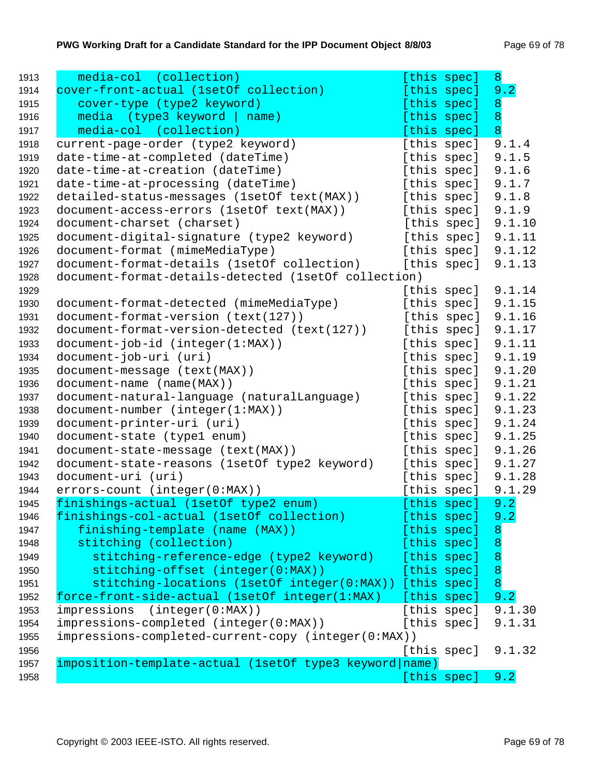| 1913 | media-col (collection)                                  | [this spec] | 8              |
|------|---------------------------------------------------------|-------------|----------------|
| 1914 | cover-front-actual (1setOf collection)                  | [this spec] | 9.2            |
| 1915 | cover-type (type2 keyword)                              | [this spec] | 8              |
| 1916 | media (type3 keyword  <br>name)                         | [this spec] | $\overline{8}$ |
| 1917 | media-col (collection)                                  | [this spec] | $\overline{8}$ |
| 1918 | current-page-order (type2 keyword)                      | [this spec] | 9.1.4          |
| 1919 | date-time-at-completed (dateTime)                       | [this spec] | 9.1.5          |
| 1920 | date-time-at-creation (dateTime)                        | [this spec] | 9.1.6          |
| 1921 | date-time-at-processing (dateTime)                      | [this spec] | 9.1.7          |
| 1922 | detailed-status-messages (1setOf text(MAX))             | [this spec] | 9.1.8          |
| 1923 | document-access-errors (lsetOf text(MAX))               | [this spec] | 9.1.9          |
| 1924 | document-charset (charset)                              | [this spec] | 9.1.10         |
| 1925 | document-digital-signature (type2 keyword)              | [this spec] | 9.1.11         |
| 1926 | document-format (mimeMediaType)                         | [this spec] | 9.1.12         |
| 1927 | document-format-details (1setOf collection)             | [this spec] | 9.1.13         |
| 1928 | document-format-details-detected (1setOf collection)    |             |                |
| 1929 |                                                         | [this spec] | 9.1.14         |
| 1930 | document-format-detected (mimeMediaType)                | [this spec] | 9.1.15         |
| 1931 | document-format-version (text(127))                     | [this spec] | 9.1.16         |
| 1932 | document-format-version-detected (text(127))            | [this spec] | 9.1.17         |
| 1933 | $document-job-id (integer(1:MAX))$                      | [this spec] | 9.1.11         |
| 1934 | document-job-uri (uri)                                  | [this spec] | 9.1.19         |
| 1935 | document-message (text(MAX))                            | [this spec] | 9.1.20         |
| 1936 | document-name (name(MAX))                               | [this spec] | 9.1.21         |
| 1937 | document-natural-language (naturalLanguage)             | [this spec] | 9.1.22         |
| 1938 | document-number (integer(1:MAX))                        | [this spec] | 9.1.23         |
| 1939 | document-printer-uri (uri)                              | [this spec] | 9.1.24         |
| 1940 | document-state (type1 enum)                             | [this spec] | 9.1.25         |
| 1941 | document-state-message (text(MAX))                      | [this spec] | 9.1.26         |
| 1942 | document-state-reasons (1setOf type2 keyword)           | [this spec] | 9.1.27         |
| 1943 | document-uri (uri)                                      | [this spec] | 9.1.28         |
| 1944 | errors-count (integer(0:MAX))                           | [this spec] | 9.1.29         |
| 1945 | finishings-actual (1setOf type2 enum)                   | [this spec] | 9.2            |
| 1946 | finishings-col-actual (1setOf collection)               | [this spec] | 9.2            |
| 1947 | finishing-template (name (MAX))                         | [this spec] | $\bf{8}$       |
| 1948 | stitching (collection)                                  | [this spec] | $\overline{8}$ |
| 1949 | stitching-reference-edge (type2 keyword)                | [this spec] | $\overline{8}$ |
| 1950 | stitching-offset (integer(0:MAX))                       | [this spec] | $\overline{8}$ |
| 1951 | stitching-locations (lsetOf integer(0:MAX)) [this spec] |             | $\overline{8}$ |
| 1952 | force-front-side-actual (1setOf integer(1:MAX)          | [this spec] | 9.2            |
| 1953 | impressions<br>(integer(0:MAX))                         | [this spec] | 9.1.30         |
| 1954 | impressions-completed (integer(0:MAX))                  | [this spec] | 9.1.31         |
| 1955 | impressions-completed-current-copy (integer(0:MAX))     |             |                |
| 1956 |                                                         | [this spec] | 9.1.32         |
| 1957 | imposition-template-actual (1setOf type3 keyword name)  |             |                |
| 1958 |                                                         | [this spec] | 9.2            |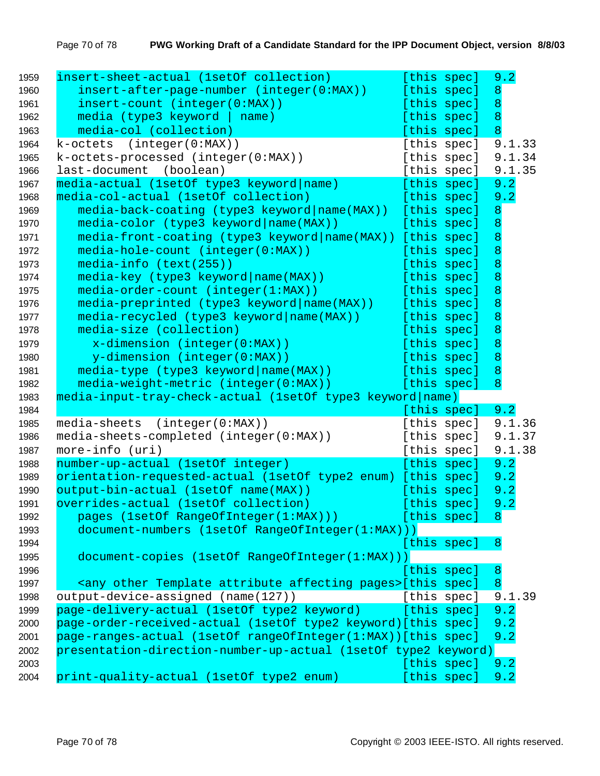| 1959 | insert-sheet-actual (1setOf collection)                                        | [this spec] |                  | 9.2    |  |
|------|--------------------------------------------------------------------------------|-------------|------------------|--------|--|
| 1960 | insert-after-page-number (integer(0:MAX))                                      | [this spec] | $\boldsymbol{8}$ |        |  |
| 1961 | insert-count (integer(0:MAX))                                                  | [this spec] | $\overline{8}$   |        |  |
| 1962 | media (type3 keyword   name)                                                   | [this spec] | $\overline{8}$   |        |  |
| 1963 | media-col (collection)                                                         | [this spec] | $\overline{8}$   |        |  |
| 1964 | k-octets (integer(0:MAX))                                                      | [this spec] |                  | 9.1.33 |  |
| 1965 | k-octets-processed (integer(0:MAX))                                            | [this spec] |                  | 9.1.34 |  |
| 1966 | last-document (boolean)                                                        | [this spec] |                  | 9.1.35 |  |
| 1967 | media-actual (1setOf type3 keyword name)                                       | [this spec] |                  | 9.2    |  |
| 1968 | media-col-actual (1setOf collection)                                           | [this spec] |                  | 9.2    |  |
| 1969 | media-back-coating (type3 keyword name(MAX)) [this spec]                       |             | 8                |        |  |
| 1970 | media-color (type3 keyword name(MAX))                                          | [this spec] | $\overline{8}$   |        |  |
| 1971 | media-front-coating (type3 keyword name(MAX)) [this spec]                      |             | $\boldsymbol{8}$ |        |  |
| 1972 | media-hole-count (integer(0:MAX))                                              | [this spec] | $\boldsymbol{8}$ |        |  |
| 1973 | media-info (text(255))                                                         | [this spec] | $\boldsymbol{8}$ |        |  |
| 1974 | $median-key$ (type3 keyword $name(MAX)$ )                                      | [this spec] | $\boldsymbol{8}$ |        |  |
| 1975 | media-order-count (integer(1:MAX))                                             | [this spec] | $\boldsymbol{8}$ |        |  |
| 1976 | $median-preprinted$ (type3 keyword $name(MAX)$ )                               | [this spec] | $\boldsymbol{8}$ |        |  |
| 1977 | media-recycled (type3 keyword name(MAX))                                       | [this spec] | $\boldsymbol{8}$ |        |  |
| 1978 | media-size (collection)                                                        | [this spec] | $\boldsymbol{8}$ |        |  |
| 1979 | $x$ -dimension (integer(0:MAX))                                                | [this spec] | $\bf 8$          |        |  |
| 1980 | y-dimension (integer(0:MAX))                                                   | [this spec] | $\overline{8}$   |        |  |
| 1981 | media-type (type3 keyword name(MAX))                                           | [this spec] | $\overline{8}$   |        |  |
| 1982 | media-weight-metric (integer(0:MAX))                                           | [this spec] | $\overline{8}$   |        |  |
| 1983 | media-input-tray-check-actual (1setOf type3 keyword name)                      |             |                  |        |  |
| 1984 |                                                                                | [this spec] |                  | 9.2    |  |
| 1985 | media-sheets (integer(0:MAX))                                                  | [this spec] |                  | 9.1.36 |  |
| 1986 | media-sheets-completed (integer(0:MAX))                                        | [this spec] |                  | 9.1.37 |  |
| 1987 | more-info (uri)                                                                | [this spec] |                  | 9.1.38 |  |
| 1988 | number-up-actual (1setOf integer)                                              | [this spec] |                  | 9.2    |  |
| 1989 | orientation-requested-actual (1setOf type2 enum) [this spec]                   |             |                  | 9.2    |  |
| 1990 | output-bin-actual (1setOf name(MAX))                                           | [this spec] |                  | 9.2    |  |
| 1991 | overrides-actual (1setOf collection)                                           | [this spec] |                  | 9.2    |  |
| 1992 | pages (1setOf RangeOfInteger(1:MAX)))                                          | [this spec] | $-8$             |        |  |
| 1993 | document-numbers (1setOf RangeOfInteger(1:MAX)))                               |             |                  |        |  |
| 1994 |                                                                                | [this spec] | 8                |        |  |
| 1995 | document-copies (1setOf RangeOfInteger(1:MAX)))                                |             |                  |        |  |
| 1996 |                                                                                | [this spec] | $\overline{8}$   |        |  |
| 1997 | <any affecting="" attribute="" other="" pages="" template="">[this spec]</any> |             | 8                |        |  |
| 1998 | output-device-assigned (name(127))                                             | [this spec] |                  | 9.1.39 |  |
| 1999 | page-delivery-actual (1setOf type2 keyword)                                    | [this spec] | 9.2              |        |  |
| 2000 | page-order-received-actual (1setOf type2 keyword) [this spec]                  |             | 9.2              |        |  |
| 2001 | page-ranges-actual (1setOf rangeOfInteger(1:MAX)) [this spec]                  |             |                  | 9.2    |  |
| 2002 | presentation-direction-number-up-actual (1setOf type2 keyword)                 |             |                  |        |  |
| 2003 |                                                                                | [this spec] |                  | 9.2    |  |
| 2004 | print-quality-actual (1setOf type2 enum)                                       | [this spec] |                  | 9.2    |  |
|      |                                                                                |             |                  |        |  |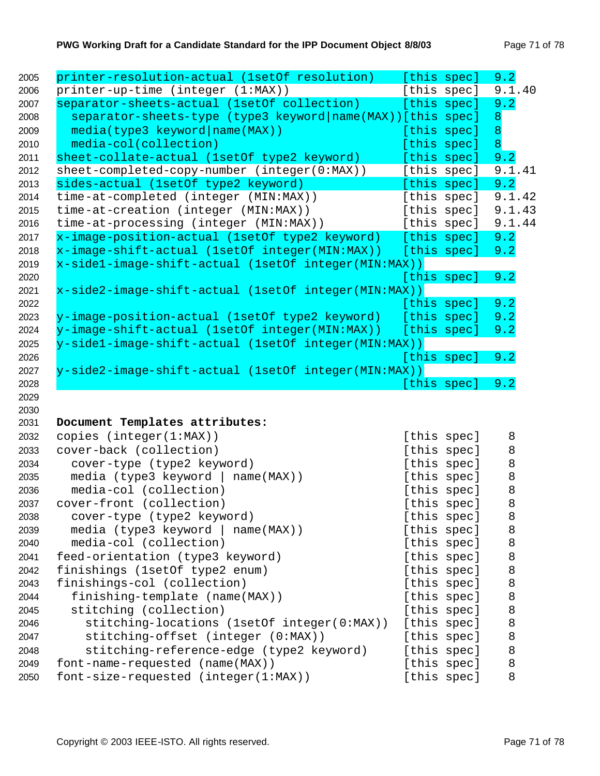| printer-resolution-actual (1setOf resolution)                   | [this spec]                | 9.2              |
|-----------------------------------------------------------------|----------------------------|------------------|
| printer-up-time (integer (1:MAX))                               | [this spec]                | 9.1.40           |
| separator-sheets-actual (1setOf collection)                     | [this spec]                | 9.2              |
| separator-sheets-type (type3 keyword name(MAX)) [this spec]     |                            | 8                |
| media(type3 keyword name(MAX))                                  | [this spec]                | $\boldsymbol{8}$ |
| media-col(collection)                                           | [this spec]                | 8                |
| sheet-collate-actual (1setOf type2 keyword)                     | [this spec]                | 9.2              |
| sheet-completed-copy-number (integer(0:MAX))                    | [this spec]                | 9.1.41           |
| sides-actual (1setOf type2 keyword)                             | [this spec]                | 9.2              |
| time-at-completed (integer (MIN:MAX))                           | [this spec]                | 9.1.42           |
| time-at-creation (integer (MIN:MAX))                            | [this spec]                | 9.1.43           |
| time-at-processing (integer (MIN:MAX))                          | [this spec]                | 9.1.44           |
| x-image-position-actual (1setOf type2 keyword) [this spec]      |                            | 9.2              |
| x-image-shift-actual (1setOf integer(MIN:MAX))                  | [this spec]                | 9.2              |
| x-sidel-image-shift-actual (lsetOf integer(MIN:MAX))            |                            |                  |
|                                                                 | [this spec]                | 9.2              |
| x-side2-image-shift-actual (1setOf integer(MIN:MAX))            |                            |                  |
|                                                                 | [this spec]                | 9.2              |
| y-image-position-actual (1setOf type2 keyword)                  | [this spec]                | 9.2              |
| y-image-shift-actual (1setOf integer(MIN:MAX))                  | [this spec]                | 9.2              |
| y-sidel-image-shift-actual (1setOf integer(MIN:MAX))            |                            |                  |
|                                                                 | [this spec]                | 9.2              |
| y-side2-image-shift-actual (1setOf integer(MIN:MAX))            |                            |                  |
|                                                                 | [this spec]                | 9.2              |
|                                                                 |                            |                  |
|                                                                 |                            |                  |
| Document Templates attributes:                                  |                            |                  |
| copies (integer(1:MAX))                                         | [this spec]                | 8                |
| cover-back (collection)                                         | [this spec]                | 8                |
| cover-type (type2 keyword)                                      | [this spec]                | 8                |
|                                                                 |                            |                  |
| media (type3 keyword  <br>$name(MAX)$ )                         | [this spec]                | 8                |
| media-col (collection)                                          |                            | 8                |
|                                                                 | [this spec]                | $\,8\,$          |
| cover-front (collection)<br>cover-type (type2 keyword)          | [this spec]                | 8                |
|                                                                 | [this spec]                | 8                |
| media (type3 keyword<br>$name(MAX)$ )<br>media-col (collection) | [this spec]<br>[this spec] | 8                |
| feed-orientation (type3 keyword)                                | [this spec]                | 8                |
|                                                                 |                            |                  |
| finishings (1setOf type2 enum)                                  | [this spec]                | 8                |
| finishings-col (collection)                                     | [this spec]                | 8<br>8           |
| finishing-template (name(MAX))<br>stitching (collection)        | [this spec]<br>[this spec] | 8                |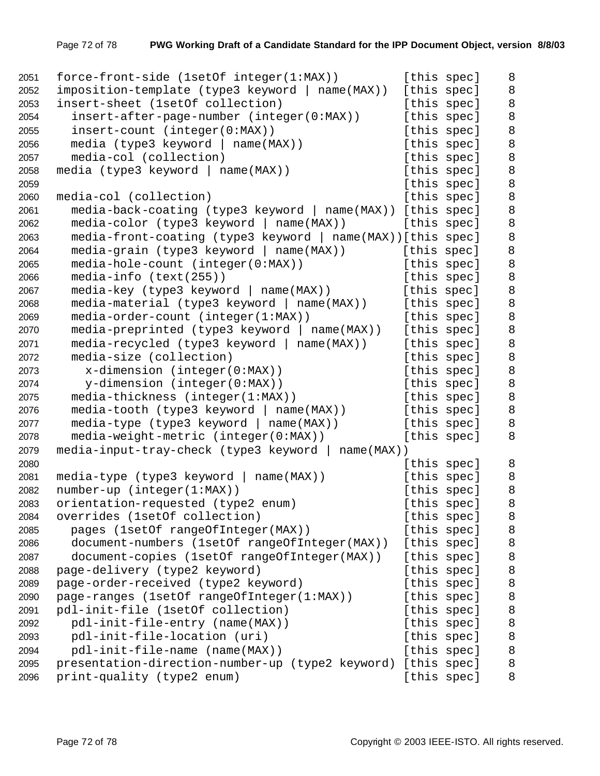```
2051 force-front-side (1setOf integer(1:MAX)) [this spec] 8
2052 imposition-template (type3 keyword | name(MAX)) [this spec] 8
2053 insert-sheet (1setOf collection) [this spec] 8
2054 insert-after-page-number (integer(0:MAX)) [this spec] 8
2055 insert-count (integer(0:MAX)) [this spec] 8
2056 media (type3 keyword | name(MAX)) [this spec] 8
2057 media-col (collection) and this specles in the specific specified by [ this spec] 8
2058 media (type3 keyword | name(MAX)) [this spec] 8
2059 b a set of the species of the species of the species of the species of the species [ this species ]2060 media-col (collection) and the species of this specific specific specific specific specific specific spec
2061 media-back-coating (type3 keyword | name(MAX)) [this spec] 8
2062 media-color (type3 keyword | name(MAX)) [this spec] 8
2063 media-front-coating (type3 keyword | name(MAX))[this spec] 8
2064 media-grain (type3 keyword | name(MAX)) [this spec] 8
2065 media-hole-count (integer(0:MAX)) [this spec] 8
2066 media-info (text(255)) [this spec] 8
2067 media-key (type3 keyword | name(MAX)) [this spec] 8
2068 media-material (type3 keyword | name(MAX)) [this spec] 8
2069 media-order-count (integer(1:MAX)) [this spec] 8
2070 media-preprinted (type3 keyword | name(MAX)) [this spec] 8
2071 media-recycled (type3 keyword | name(MAX)) [this spec] 8
2072 media-size (collection) [this spec] 8
2073 x-dimension (integer(0:MAX)) [this spec] 8
2074 \gamma-dimension (integer(0:MAX)) [this spec] 8
2075 media-thickness (integer(1:MAX)) [this spec] 8
2076 media-tooth (type3 keyword | name(MAX)) [this spec] 8
2077 media-type (type3 keyword | name(MAX)) [this spec] 8
2078 media-weight-metric (integer(0:MAX)) [this spec] 8
2079 media-input-tray-check (type3 keyword | name(MAX))
2080 b a specific specific specific specific specific specific specific specific specific specific specific specific specific specific specific specific specific specific specific specific specific specific specific spec
2081 media-type (type3 keyword | name(MAX)) [this spec] 8
2082 number-up (integer(1:MAX)) [this spec] 8
2083 orientation-requested (type2 enum) [this spec] 8
2084 overrides (1setOf collection) [this spec] 8
2085 pages (1setOf rangeOfInteger(MAX)) [this spec] 8
2086 document-numbers (1setOf rangeOfInteger(MAX)) [this spec] 8
2087 document-copies (1setOf rangeOfInteger(MAX)) [this spec] 8
2088 page-delivery (type2 keyword) [this spec] 8
2089 page-order-received (type2 keyword) [this spec] 8
2090 page-ranges (1setOf rangeOfInteger(1:MAX)) [this spec] 8
2091 pdl-init-file (1setOf collection) [this spec] 8
2092 pdl-init-file-entry (name(MAX)) [this spec] 8
2093 pdl-init-file-location (uri) [this spec] 8
2094 pdl-init-file-name (name(MAX)) [this spec] 8
2095 presentation-direction-number-up (type2 keyword) [this spec] 8
2096 print-quality (type2 enum) [this spec] 8
```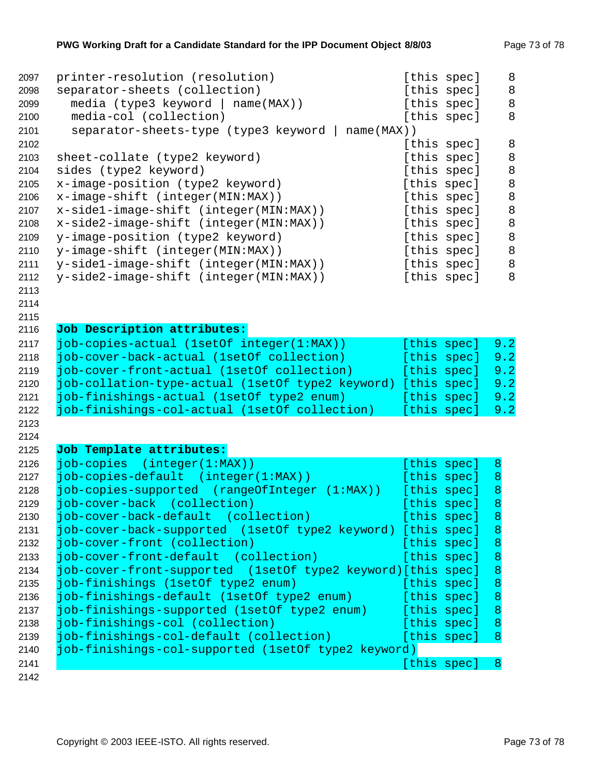| [this spec]<br>separator-sheets (collection)<br>2098<br>8<br>media (type3 keyword   name(MAX))<br>[this spec]<br>2099<br>8<br>media-col (collection)<br>[this spec]<br>2100<br>2101<br>separator-sheets-type (type3 keyword  <br>$name(MAX)$ )<br>8<br>2102<br>[this spec]<br>8<br>2103<br>sheet-collate (type2 keyword)<br>[this spec]<br>$\,8\,$<br>2104<br>sides (type2 keyword)<br>[this spec]<br>$\,8\,$<br>x-image-position (type2 keyword)<br>2105<br>[this spec]<br>$\,8\,$<br>2106<br>x-image-shift (integer(MIN:MAX))<br>[this spec]<br>$\,8\,$<br>x-sidel-image-shift (integer(MIN:MAX))<br>[this spec]<br>2107<br>$\,8\,$<br>2108<br>x-side2-image-shift (integer(MIN:MAX))<br>[this spec]<br>$\,8\,$<br>y-image-position (type2 keyword)<br>[this spec]<br>2109<br>$\,8\,$<br>y-image-shift (integer(MIN:MAX))<br>2110<br>[this spec]<br>$\,8\,$<br>y-side1-image-shift (integer(MIN:MAX))<br>[this spec]<br>2111<br>8<br>y-side2-image-shift (integer(MIN:MAX))<br>2112<br>[this spec]<br>2113<br>2114<br>2115<br>Job Description attributes:<br>2116<br>job-copies-actual (1setOf integer(1:MAX))<br>2117<br>[this spec]<br>9.2<br>job-cover-back-actual (1setOf collection)<br>2118<br>[this spec]<br>9.2<br>9.2<br>2119<br>job-cover-front-actual (1set0f collection)<br>[this spec]<br>9.2<br>job-collation-type-actual (1setOf type2 keyword) [this spec]<br>2120<br>job-finishings-actual (1setOf type2 enum)<br>[this spec]<br>9.2<br>2121<br>2122<br>job-finishings-col-actual (1setOf collection)<br>[this spec]<br>9.2<br>2123<br>2124<br>Job Template attributes:<br>2125<br>$job-copies (integer(1:MAX))$<br>2126<br>[this spec]<br>8<br>job-copies-default (integer(1:MAX))<br>2127<br>[this spec]<br>8<br>job-copies-supported (rangeOfInteger<br>[this spec]<br>8<br>2128<br>(1:MAX)<br>8<br>job-cover-back (collection)<br>[this spec]<br>2129<br>2130<br>job-cover-back-default (collection)<br>[this spec]<br>8<br>job-cover-back-supported (1setOf type2 keyword) [this spec]<br>2131<br>8<br>job-cover-front (collection)<br>[this spec]<br>8<br>2132<br>job-cover-front-default (collection)<br>[this spec]<br>8<br>2133<br>job-cover-front-supported (1setOf type2 keyword)[this spec]<br>8<br>2134<br>job-finishings (1setOf type2 enum)<br>8<br>[this spec]<br>2135<br>job-finishings-default (1setOf type2 enum)<br>8<br>[this spec]<br>2136<br>job-finishings-supported (1setOf type2 enum)<br>2137<br>[this spec]<br>8<br>job-finishings-col (collection)<br>[this spec]<br>8<br>2138<br>job-finishings-col-default (collection)<br>[this spec]<br>2139<br>8<br>job-finishings-col-supported (1setOf type2 keyword)<br>2140<br>$\boldsymbol{8}$<br>2141<br>[this spec] | 2097 | printer-resolution (resolution) | [this spec] | 8 |
|-----------------------------------------------------------------------------------------------------------------------------------------------------------------------------------------------------------------------------------------------------------------------------------------------------------------------------------------------------------------------------------------------------------------------------------------------------------------------------------------------------------------------------------------------------------------------------------------------------------------------------------------------------------------------------------------------------------------------------------------------------------------------------------------------------------------------------------------------------------------------------------------------------------------------------------------------------------------------------------------------------------------------------------------------------------------------------------------------------------------------------------------------------------------------------------------------------------------------------------------------------------------------------------------------------------------------------------------------------------------------------------------------------------------------------------------------------------------------------------------------------------------------------------------------------------------------------------------------------------------------------------------------------------------------------------------------------------------------------------------------------------------------------------------------------------------------------------------------------------------------------------------------------------------------------------------------------------------------------------------------------------------------------------------------------------------------------------------------------------------------------------------------------------------------------------------------------------------------------------------------------------------------------------------------------------------------------------------------------------------------------------------------------------------------------------------------------------------------------------------------------------------------------------------------------------------------------------------------------------------------------------------------------------------------------------------------------------------|------|---------------------------------|-------------|---|
|                                                                                                                                                                                                                                                                                                                                                                                                                                                                                                                                                                                                                                                                                                                                                                                                                                                                                                                                                                                                                                                                                                                                                                                                                                                                                                                                                                                                                                                                                                                                                                                                                                                                                                                                                                                                                                                                                                                                                                                                                                                                                                                                                                                                                                                                                                                                                                                                                                                                                                                                                                                                                                                                                                                 |      |                                 |             | 8 |
|                                                                                                                                                                                                                                                                                                                                                                                                                                                                                                                                                                                                                                                                                                                                                                                                                                                                                                                                                                                                                                                                                                                                                                                                                                                                                                                                                                                                                                                                                                                                                                                                                                                                                                                                                                                                                                                                                                                                                                                                                                                                                                                                                                                                                                                                                                                                                                                                                                                                                                                                                                                                                                                                                                                 |      |                                 |             |   |
|                                                                                                                                                                                                                                                                                                                                                                                                                                                                                                                                                                                                                                                                                                                                                                                                                                                                                                                                                                                                                                                                                                                                                                                                                                                                                                                                                                                                                                                                                                                                                                                                                                                                                                                                                                                                                                                                                                                                                                                                                                                                                                                                                                                                                                                                                                                                                                                                                                                                                                                                                                                                                                                                                                                 |      |                                 |             |   |
|                                                                                                                                                                                                                                                                                                                                                                                                                                                                                                                                                                                                                                                                                                                                                                                                                                                                                                                                                                                                                                                                                                                                                                                                                                                                                                                                                                                                                                                                                                                                                                                                                                                                                                                                                                                                                                                                                                                                                                                                                                                                                                                                                                                                                                                                                                                                                                                                                                                                                                                                                                                                                                                                                                                 |      |                                 |             |   |
|                                                                                                                                                                                                                                                                                                                                                                                                                                                                                                                                                                                                                                                                                                                                                                                                                                                                                                                                                                                                                                                                                                                                                                                                                                                                                                                                                                                                                                                                                                                                                                                                                                                                                                                                                                                                                                                                                                                                                                                                                                                                                                                                                                                                                                                                                                                                                                                                                                                                                                                                                                                                                                                                                                                 |      |                                 |             |   |
|                                                                                                                                                                                                                                                                                                                                                                                                                                                                                                                                                                                                                                                                                                                                                                                                                                                                                                                                                                                                                                                                                                                                                                                                                                                                                                                                                                                                                                                                                                                                                                                                                                                                                                                                                                                                                                                                                                                                                                                                                                                                                                                                                                                                                                                                                                                                                                                                                                                                                                                                                                                                                                                                                                                 |      |                                 |             |   |
|                                                                                                                                                                                                                                                                                                                                                                                                                                                                                                                                                                                                                                                                                                                                                                                                                                                                                                                                                                                                                                                                                                                                                                                                                                                                                                                                                                                                                                                                                                                                                                                                                                                                                                                                                                                                                                                                                                                                                                                                                                                                                                                                                                                                                                                                                                                                                                                                                                                                                                                                                                                                                                                                                                                 |      |                                 |             |   |
|                                                                                                                                                                                                                                                                                                                                                                                                                                                                                                                                                                                                                                                                                                                                                                                                                                                                                                                                                                                                                                                                                                                                                                                                                                                                                                                                                                                                                                                                                                                                                                                                                                                                                                                                                                                                                                                                                                                                                                                                                                                                                                                                                                                                                                                                                                                                                                                                                                                                                                                                                                                                                                                                                                                 |      |                                 |             |   |
|                                                                                                                                                                                                                                                                                                                                                                                                                                                                                                                                                                                                                                                                                                                                                                                                                                                                                                                                                                                                                                                                                                                                                                                                                                                                                                                                                                                                                                                                                                                                                                                                                                                                                                                                                                                                                                                                                                                                                                                                                                                                                                                                                                                                                                                                                                                                                                                                                                                                                                                                                                                                                                                                                                                 |      |                                 |             |   |
|                                                                                                                                                                                                                                                                                                                                                                                                                                                                                                                                                                                                                                                                                                                                                                                                                                                                                                                                                                                                                                                                                                                                                                                                                                                                                                                                                                                                                                                                                                                                                                                                                                                                                                                                                                                                                                                                                                                                                                                                                                                                                                                                                                                                                                                                                                                                                                                                                                                                                                                                                                                                                                                                                                                 |      |                                 |             |   |
|                                                                                                                                                                                                                                                                                                                                                                                                                                                                                                                                                                                                                                                                                                                                                                                                                                                                                                                                                                                                                                                                                                                                                                                                                                                                                                                                                                                                                                                                                                                                                                                                                                                                                                                                                                                                                                                                                                                                                                                                                                                                                                                                                                                                                                                                                                                                                                                                                                                                                                                                                                                                                                                                                                                 |      |                                 |             |   |
|                                                                                                                                                                                                                                                                                                                                                                                                                                                                                                                                                                                                                                                                                                                                                                                                                                                                                                                                                                                                                                                                                                                                                                                                                                                                                                                                                                                                                                                                                                                                                                                                                                                                                                                                                                                                                                                                                                                                                                                                                                                                                                                                                                                                                                                                                                                                                                                                                                                                                                                                                                                                                                                                                                                 |      |                                 |             |   |
|                                                                                                                                                                                                                                                                                                                                                                                                                                                                                                                                                                                                                                                                                                                                                                                                                                                                                                                                                                                                                                                                                                                                                                                                                                                                                                                                                                                                                                                                                                                                                                                                                                                                                                                                                                                                                                                                                                                                                                                                                                                                                                                                                                                                                                                                                                                                                                                                                                                                                                                                                                                                                                                                                                                 |      |                                 |             |   |
|                                                                                                                                                                                                                                                                                                                                                                                                                                                                                                                                                                                                                                                                                                                                                                                                                                                                                                                                                                                                                                                                                                                                                                                                                                                                                                                                                                                                                                                                                                                                                                                                                                                                                                                                                                                                                                                                                                                                                                                                                                                                                                                                                                                                                                                                                                                                                                                                                                                                                                                                                                                                                                                                                                                 |      |                                 |             |   |
|                                                                                                                                                                                                                                                                                                                                                                                                                                                                                                                                                                                                                                                                                                                                                                                                                                                                                                                                                                                                                                                                                                                                                                                                                                                                                                                                                                                                                                                                                                                                                                                                                                                                                                                                                                                                                                                                                                                                                                                                                                                                                                                                                                                                                                                                                                                                                                                                                                                                                                                                                                                                                                                                                                                 |      |                                 |             |   |
|                                                                                                                                                                                                                                                                                                                                                                                                                                                                                                                                                                                                                                                                                                                                                                                                                                                                                                                                                                                                                                                                                                                                                                                                                                                                                                                                                                                                                                                                                                                                                                                                                                                                                                                                                                                                                                                                                                                                                                                                                                                                                                                                                                                                                                                                                                                                                                                                                                                                                                                                                                                                                                                                                                                 |      |                                 |             |   |
|                                                                                                                                                                                                                                                                                                                                                                                                                                                                                                                                                                                                                                                                                                                                                                                                                                                                                                                                                                                                                                                                                                                                                                                                                                                                                                                                                                                                                                                                                                                                                                                                                                                                                                                                                                                                                                                                                                                                                                                                                                                                                                                                                                                                                                                                                                                                                                                                                                                                                                                                                                                                                                                                                                                 |      |                                 |             |   |
|                                                                                                                                                                                                                                                                                                                                                                                                                                                                                                                                                                                                                                                                                                                                                                                                                                                                                                                                                                                                                                                                                                                                                                                                                                                                                                                                                                                                                                                                                                                                                                                                                                                                                                                                                                                                                                                                                                                                                                                                                                                                                                                                                                                                                                                                                                                                                                                                                                                                                                                                                                                                                                                                                                                 |      |                                 |             |   |
|                                                                                                                                                                                                                                                                                                                                                                                                                                                                                                                                                                                                                                                                                                                                                                                                                                                                                                                                                                                                                                                                                                                                                                                                                                                                                                                                                                                                                                                                                                                                                                                                                                                                                                                                                                                                                                                                                                                                                                                                                                                                                                                                                                                                                                                                                                                                                                                                                                                                                                                                                                                                                                                                                                                 |      |                                 |             |   |
|                                                                                                                                                                                                                                                                                                                                                                                                                                                                                                                                                                                                                                                                                                                                                                                                                                                                                                                                                                                                                                                                                                                                                                                                                                                                                                                                                                                                                                                                                                                                                                                                                                                                                                                                                                                                                                                                                                                                                                                                                                                                                                                                                                                                                                                                                                                                                                                                                                                                                                                                                                                                                                                                                                                 |      |                                 |             |   |
|                                                                                                                                                                                                                                                                                                                                                                                                                                                                                                                                                                                                                                                                                                                                                                                                                                                                                                                                                                                                                                                                                                                                                                                                                                                                                                                                                                                                                                                                                                                                                                                                                                                                                                                                                                                                                                                                                                                                                                                                                                                                                                                                                                                                                                                                                                                                                                                                                                                                                                                                                                                                                                                                                                                 |      |                                 |             |   |
|                                                                                                                                                                                                                                                                                                                                                                                                                                                                                                                                                                                                                                                                                                                                                                                                                                                                                                                                                                                                                                                                                                                                                                                                                                                                                                                                                                                                                                                                                                                                                                                                                                                                                                                                                                                                                                                                                                                                                                                                                                                                                                                                                                                                                                                                                                                                                                                                                                                                                                                                                                                                                                                                                                                 |      |                                 |             |   |
|                                                                                                                                                                                                                                                                                                                                                                                                                                                                                                                                                                                                                                                                                                                                                                                                                                                                                                                                                                                                                                                                                                                                                                                                                                                                                                                                                                                                                                                                                                                                                                                                                                                                                                                                                                                                                                                                                                                                                                                                                                                                                                                                                                                                                                                                                                                                                                                                                                                                                                                                                                                                                                                                                                                 |      |                                 |             |   |
|                                                                                                                                                                                                                                                                                                                                                                                                                                                                                                                                                                                                                                                                                                                                                                                                                                                                                                                                                                                                                                                                                                                                                                                                                                                                                                                                                                                                                                                                                                                                                                                                                                                                                                                                                                                                                                                                                                                                                                                                                                                                                                                                                                                                                                                                                                                                                                                                                                                                                                                                                                                                                                                                                                                 |      |                                 |             |   |
|                                                                                                                                                                                                                                                                                                                                                                                                                                                                                                                                                                                                                                                                                                                                                                                                                                                                                                                                                                                                                                                                                                                                                                                                                                                                                                                                                                                                                                                                                                                                                                                                                                                                                                                                                                                                                                                                                                                                                                                                                                                                                                                                                                                                                                                                                                                                                                                                                                                                                                                                                                                                                                                                                                                 |      |                                 |             |   |
|                                                                                                                                                                                                                                                                                                                                                                                                                                                                                                                                                                                                                                                                                                                                                                                                                                                                                                                                                                                                                                                                                                                                                                                                                                                                                                                                                                                                                                                                                                                                                                                                                                                                                                                                                                                                                                                                                                                                                                                                                                                                                                                                                                                                                                                                                                                                                                                                                                                                                                                                                                                                                                                                                                                 |      |                                 |             |   |
|                                                                                                                                                                                                                                                                                                                                                                                                                                                                                                                                                                                                                                                                                                                                                                                                                                                                                                                                                                                                                                                                                                                                                                                                                                                                                                                                                                                                                                                                                                                                                                                                                                                                                                                                                                                                                                                                                                                                                                                                                                                                                                                                                                                                                                                                                                                                                                                                                                                                                                                                                                                                                                                                                                                 |      |                                 |             |   |
|                                                                                                                                                                                                                                                                                                                                                                                                                                                                                                                                                                                                                                                                                                                                                                                                                                                                                                                                                                                                                                                                                                                                                                                                                                                                                                                                                                                                                                                                                                                                                                                                                                                                                                                                                                                                                                                                                                                                                                                                                                                                                                                                                                                                                                                                                                                                                                                                                                                                                                                                                                                                                                                                                                                 |      |                                 |             |   |
|                                                                                                                                                                                                                                                                                                                                                                                                                                                                                                                                                                                                                                                                                                                                                                                                                                                                                                                                                                                                                                                                                                                                                                                                                                                                                                                                                                                                                                                                                                                                                                                                                                                                                                                                                                                                                                                                                                                                                                                                                                                                                                                                                                                                                                                                                                                                                                                                                                                                                                                                                                                                                                                                                                                 |      |                                 |             |   |
|                                                                                                                                                                                                                                                                                                                                                                                                                                                                                                                                                                                                                                                                                                                                                                                                                                                                                                                                                                                                                                                                                                                                                                                                                                                                                                                                                                                                                                                                                                                                                                                                                                                                                                                                                                                                                                                                                                                                                                                                                                                                                                                                                                                                                                                                                                                                                                                                                                                                                                                                                                                                                                                                                                                 |      |                                 |             |   |
|                                                                                                                                                                                                                                                                                                                                                                                                                                                                                                                                                                                                                                                                                                                                                                                                                                                                                                                                                                                                                                                                                                                                                                                                                                                                                                                                                                                                                                                                                                                                                                                                                                                                                                                                                                                                                                                                                                                                                                                                                                                                                                                                                                                                                                                                                                                                                                                                                                                                                                                                                                                                                                                                                                                 |      |                                 |             |   |
|                                                                                                                                                                                                                                                                                                                                                                                                                                                                                                                                                                                                                                                                                                                                                                                                                                                                                                                                                                                                                                                                                                                                                                                                                                                                                                                                                                                                                                                                                                                                                                                                                                                                                                                                                                                                                                                                                                                                                                                                                                                                                                                                                                                                                                                                                                                                                                                                                                                                                                                                                                                                                                                                                                                 |      |                                 |             |   |
|                                                                                                                                                                                                                                                                                                                                                                                                                                                                                                                                                                                                                                                                                                                                                                                                                                                                                                                                                                                                                                                                                                                                                                                                                                                                                                                                                                                                                                                                                                                                                                                                                                                                                                                                                                                                                                                                                                                                                                                                                                                                                                                                                                                                                                                                                                                                                                                                                                                                                                                                                                                                                                                                                                                 |      |                                 |             |   |
|                                                                                                                                                                                                                                                                                                                                                                                                                                                                                                                                                                                                                                                                                                                                                                                                                                                                                                                                                                                                                                                                                                                                                                                                                                                                                                                                                                                                                                                                                                                                                                                                                                                                                                                                                                                                                                                                                                                                                                                                                                                                                                                                                                                                                                                                                                                                                                                                                                                                                                                                                                                                                                                                                                                 |      |                                 |             |   |
|                                                                                                                                                                                                                                                                                                                                                                                                                                                                                                                                                                                                                                                                                                                                                                                                                                                                                                                                                                                                                                                                                                                                                                                                                                                                                                                                                                                                                                                                                                                                                                                                                                                                                                                                                                                                                                                                                                                                                                                                                                                                                                                                                                                                                                                                                                                                                                                                                                                                                                                                                                                                                                                                                                                 |      |                                 |             |   |
|                                                                                                                                                                                                                                                                                                                                                                                                                                                                                                                                                                                                                                                                                                                                                                                                                                                                                                                                                                                                                                                                                                                                                                                                                                                                                                                                                                                                                                                                                                                                                                                                                                                                                                                                                                                                                                                                                                                                                                                                                                                                                                                                                                                                                                                                                                                                                                                                                                                                                                                                                                                                                                                                                                                 |      |                                 |             |   |
|                                                                                                                                                                                                                                                                                                                                                                                                                                                                                                                                                                                                                                                                                                                                                                                                                                                                                                                                                                                                                                                                                                                                                                                                                                                                                                                                                                                                                                                                                                                                                                                                                                                                                                                                                                                                                                                                                                                                                                                                                                                                                                                                                                                                                                                                                                                                                                                                                                                                                                                                                                                                                                                                                                                 |      |                                 |             |   |
|                                                                                                                                                                                                                                                                                                                                                                                                                                                                                                                                                                                                                                                                                                                                                                                                                                                                                                                                                                                                                                                                                                                                                                                                                                                                                                                                                                                                                                                                                                                                                                                                                                                                                                                                                                                                                                                                                                                                                                                                                                                                                                                                                                                                                                                                                                                                                                                                                                                                                                                                                                                                                                                                                                                 |      |                                 |             |   |
|                                                                                                                                                                                                                                                                                                                                                                                                                                                                                                                                                                                                                                                                                                                                                                                                                                                                                                                                                                                                                                                                                                                                                                                                                                                                                                                                                                                                                                                                                                                                                                                                                                                                                                                                                                                                                                                                                                                                                                                                                                                                                                                                                                                                                                                                                                                                                                                                                                                                                                                                                                                                                                                                                                                 |      |                                 |             |   |
|                                                                                                                                                                                                                                                                                                                                                                                                                                                                                                                                                                                                                                                                                                                                                                                                                                                                                                                                                                                                                                                                                                                                                                                                                                                                                                                                                                                                                                                                                                                                                                                                                                                                                                                                                                                                                                                                                                                                                                                                                                                                                                                                                                                                                                                                                                                                                                                                                                                                                                                                                                                                                                                                                                                 |      |                                 |             |   |
|                                                                                                                                                                                                                                                                                                                                                                                                                                                                                                                                                                                                                                                                                                                                                                                                                                                                                                                                                                                                                                                                                                                                                                                                                                                                                                                                                                                                                                                                                                                                                                                                                                                                                                                                                                                                                                                                                                                                                                                                                                                                                                                                                                                                                                                                                                                                                                                                                                                                                                                                                                                                                                                                                                                 |      |                                 |             |   |
|                                                                                                                                                                                                                                                                                                                                                                                                                                                                                                                                                                                                                                                                                                                                                                                                                                                                                                                                                                                                                                                                                                                                                                                                                                                                                                                                                                                                                                                                                                                                                                                                                                                                                                                                                                                                                                                                                                                                                                                                                                                                                                                                                                                                                                                                                                                                                                                                                                                                                                                                                                                                                                                                                                                 |      |                                 |             |   |
|                                                                                                                                                                                                                                                                                                                                                                                                                                                                                                                                                                                                                                                                                                                                                                                                                                                                                                                                                                                                                                                                                                                                                                                                                                                                                                                                                                                                                                                                                                                                                                                                                                                                                                                                                                                                                                                                                                                                                                                                                                                                                                                                                                                                                                                                                                                                                                                                                                                                                                                                                                                                                                                                                                                 |      |                                 |             |   |
|                                                                                                                                                                                                                                                                                                                                                                                                                                                                                                                                                                                                                                                                                                                                                                                                                                                                                                                                                                                                                                                                                                                                                                                                                                                                                                                                                                                                                                                                                                                                                                                                                                                                                                                                                                                                                                                                                                                                                                                                                                                                                                                                                                                                                                                                                                                                                                                                                                                                                                                                                                                                                                                                                                                 |      |                                 |             |   |
|                                                                                                                                                                                                                                                                                                                                                                                                                                                                                                                                                                                                                                                                                                                                                                                                                                                                                                                                                                                                                                                                                                                                                                                                                                                                                                                                                                                                                                                                                                                                                                                                                                                                                                                                                                                                                                                                                                                                                                                                                                                                                                                                                                                                                                                                                                                                                                                                                                                                                                                                                                                                                                                                                                                 | 2142 |                                 |             |   |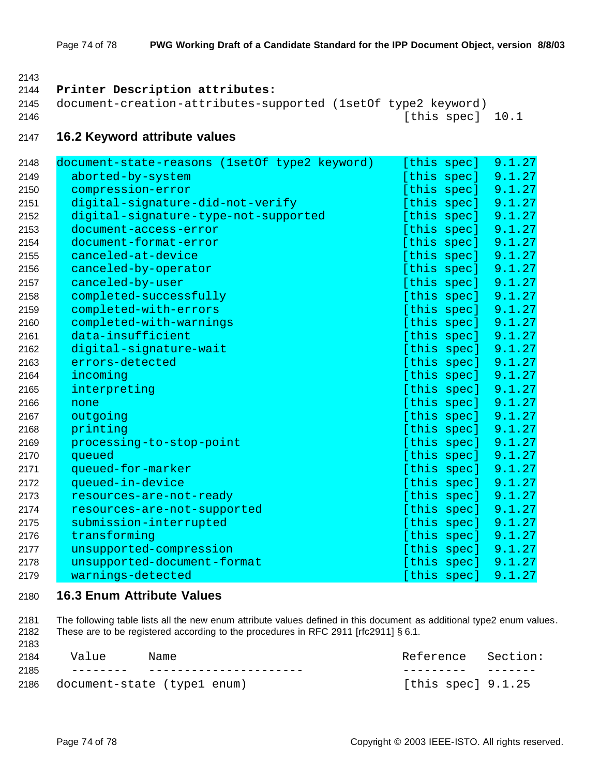# **Printer Description attributes:** document-creation-attributes-supported (1setOf type2 keyword) [this spec] 10.1 **16.2 Keyword attribute values** 2148 document-state-reasons (1setOf type2 keyword) [this spec] 9.1.27 aborted-by-system [this spec] 9.1.27 2150 compression-error in the compression-error community of  $[{\rm this~spec}]$  and  $[9.1.27]$

| 2150 | compression-error                    | [this spec] | 9.1.27 |
|------|--------------------------------------|-------------|--------|
| 2151 | digital-signature-did-not-verify     | [this spec] | 9.1.27 |
| 2152 | digital-signature-type-not-supported | [this spec] | 9.1.27 |
| 2153 | document-access-error                | [this spec] | 9.1.27 |
| 2154 | document-format-error                | [this spec] | 9.1.27 |
| 2155 | canceled-at-device                   | [this spec] | 9.1.27 |
| 2156 | canceled-by-operator                 | [this spec] | 9.1.27 |
| 2157 | canceled-by-user                     | [this spec] | 9.1.27 |
| 2158 | completed-successfully               | [this spec] | 9.1.27 |
| 2159 | completed-with-errors                | [this spec] | 9.1.27 |
| 2160 | completed-with-warnings              | [this spec] | 9.1.27 |
| 2161 | data-insufficient                    | [this spec] | 9.1.27 |
| 2162 | digital-signature-wait               | [this spec] | 9.1.27 |
| 2163 | errors-detected                      | [this spec] | 9.1.27 |
| 2164 | incoming                             | [this spec] | 9.1.27 |
| 2165 | interpreting                         | [this spec] | 9.1.27 |
| 2166 | none                                 | [this spec] | 9.1.27 |
| 2167 | outgoing                             | [this spec] | 9.1.27 |
| 2168 | printing                             | [this spec] | 9.1.27 |
| 2169 | processing-to-stop-point             | [this spec] | 9.1.27 |
| 2170 | queued                               | [this spec] | 9.1.27 |
| 2171 | queued-for-marker                    | [this spec] | 9.1.27 |
| 2172 | queued-in-device                     | [this spec] | 9.1.27 |
| 2173 | resources-are-not-ready              | [this spec] | 9.1.27 |
| 2174 | resources-are-not-supported          | [this spec] | 9.1.27 |
| 2175 | submission-interrupted               | [this spec] | 9.1.27 |
| 2176 | transforming                         | [this spec] | 9.1.27 |
| 2177 | unsupported-compression              | [this spec] | 9.1.27 |
| 2178 | unsupported-document-format          | [this spec] | 9.1.27 |
| 2179 | warnings-detected                    | [this spec] | 9.1.27 |
|      |                                      |             |        |

# **16.3 Enum Attribute Values**

 The following table lists all the new enum attribute values defined in this document as additional type2 enum values. These are to be registered according to the procedures in RFC 2911 [rfc2911] § 6.1.

| 2184 | Value | Name                          | Reference Section:   |  |
|------|-------|-------------------------------|----------------------|--|
| 2185 |       | _____________________________ |                      |  |
| 2186 |       | document-state (type1 enum)   | [this spec] $9.1.25$ |  |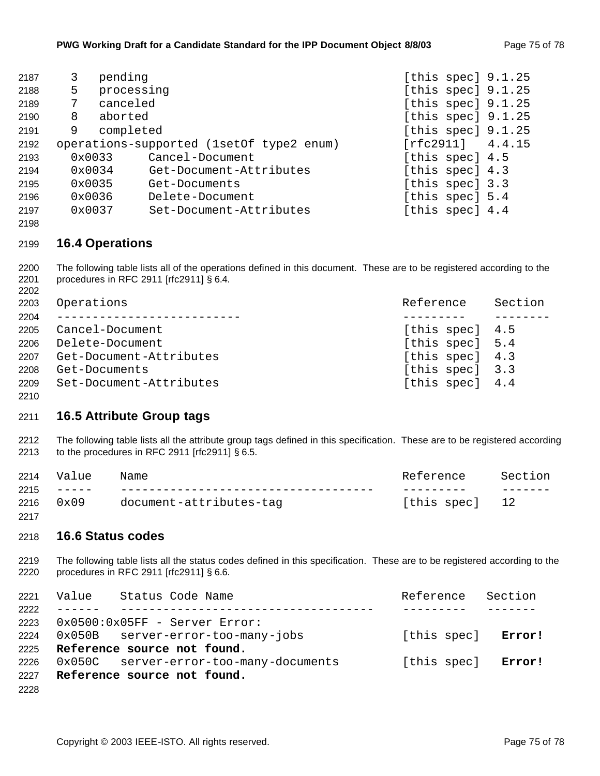| 2187 | 3.     | pending                                  | [this spec] 9.1.25   |  |
|------|--------|------------------------------------------|----------------------|--|
|      |        |                                          |                      |  |
| 2188 | 5      | processing                               | [this spec] 9.1.25   |  |
| 2189 |        | canceled                                 | [this spec] $9.1.25$ |  |
| 2190 | 8      | aborted                                  | [this spec] $9.1.25$ |  |
| 2191 | 9      | completed                                | [this spec] $9.1.25$ |  |
| 2192 |        | operations-supported (1setOf type2 enum) | [rfc2911] 4.4.15     |  |
| 2193 | 0x0033 | Cancel-Document                          | [this spec] 4.5      |  |
| 2194 | 0x0034 | Get-Document-Attributes                  | [this spec] 4.3      |  |
| 2195 | 0x0035 | Get-Documents                            | [this spec] 3.3      |  |
| 2196 | 0x0036 | Delete-Document                          | [this spec] 5.4      |  |
| 2197 | 0x0037 | Set-Document-Attributes                  | [this spec] 4.4      |  |

#### **16.4 Operations**

 The following table lists all of the operations defined in this document. These are to be registered according to the procedures in RFC 2911 [rfc2911] § 6.4. 

| 2203 | Operations                   | Reference       | Section |
|------|------------------------------|-----------------|---------|
| 2204 | ____________________________ |                 |         |
| 2205 | Cancel-Document              | [this spec] 4.5 |         |
| 2206 | Delete-Document              | [this spec] 5.4 |         |
| 2207 | Get-Document-Attributes      | [this spec] 4.3 |         |
| 2208 | Get-Documents                | [this spec] 3.3 |         |
| 2209 | Set-Document-Attributes      | [this spec] 4.4 |         |
| 2210 |                              |                 |         |

#### **16.5 Attribute Group tags**

 The following table lists all the attribute group tags defined in this specification. These are to be registered according to the procedures in RFC 2911 [rfc2911] § 6.5.

|      | 2214 Value            | Name                    | Reference      | Section |
|------|-----------------------|-------------------------|----------------|---------|
|      | $2215 - - - -$        |                         |                |         |
|      | $2216 \t 0 \times 09$ | document-attributes-tag | [this spec] 12 |         |
| 2217 |                       |                         |                |         |

#### **16.6 Status codes**

 The following table lists all the status codes defined in this specification. These are to be registered according to the procedures in RFC 2911 [rfc2911] § 6.6.

| 2221 | Value Status Code Name                 | Reference Section  |  |
|------|----------------------------------------|--------------------|--|
| 2222 |                                        |                    |  |
|      | 2223 0x0500:0x05FF - Server Error:     |                    |  |
| 2224 | 0x050B server-error-too-many-jobs      | [this spec] Error! |  |
|      | 2225 Reference source not found.       |                    |  |
| 2226 | 0x050C server-error-too-many-documents | [this spec] Error! |  |
| 2227 | Reference source not found.            |                    |  |
| 2228 |                                        |                    |  |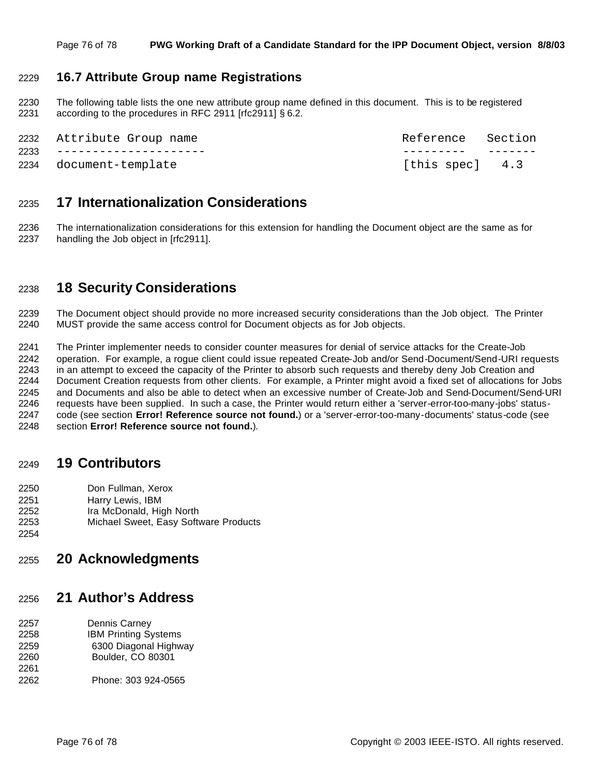#### **16.7 Attribute Group name Registrations**

 The following table lists the one new attribute group name defined in this document. This is to be registered according to the procedures in RFC 2911 [rfc2911] § 6.2.

| 2232 Attribute Group name  | Reference Section |  |
|----------------------------|-------------------|--|
| 2233 --------------------- |                   |  |
| 2234 document-template     | [this spec] 4.3   |  |

### **17 Internationalization Considerations**

 The internationalization considerations for this extension for handling the Document object are the same as for handling the Job object in [rfc2911].

## **18 Security Considerations**

 The Document object should provide no more increased security considerations than the Job object. The Printer MUST provide the same access control for Document objects as for Job objects.

 The Printer implementer needs to consider counter measures for denial of service attacks for the Create-Job operation. For example, a rogue client could issue repeated Create-Job and/or Send-Document/Send-URI requests in an attempt to exceed the capacity of the Printer to absorb such requests and thereby deny Job Creation and Document Creation requests from other clients. For example, a Printer might avoid a fixed set of allocations for Jobs and Documents and also be able to detect when an excessive number of Create-Job and Send-Document/Send-URI requests have been supplied. In such a case, the Printer would return either a 'server-error-too-many-jobs' status- code (see section **Error! Reference source not found.**) or a 'server-error-too-many-documents' status-code (see section **Error! Reference source not found.**).

### **19 Contributors**

- Don Fullman, Xerox
- 
- 2251 Harry Lewis, IBM<br>2252 Ira McDonald, Hig Ira McDonald, High North
- Michael Sweet, Easy Software Products
- 

# **20 Acknowledgments**

# **21 Author's Address**

- Dennis Carney IBM Printing Systems 6300 Diagonal Highway Boulder, CO 80301
- Phone: 303 924-0565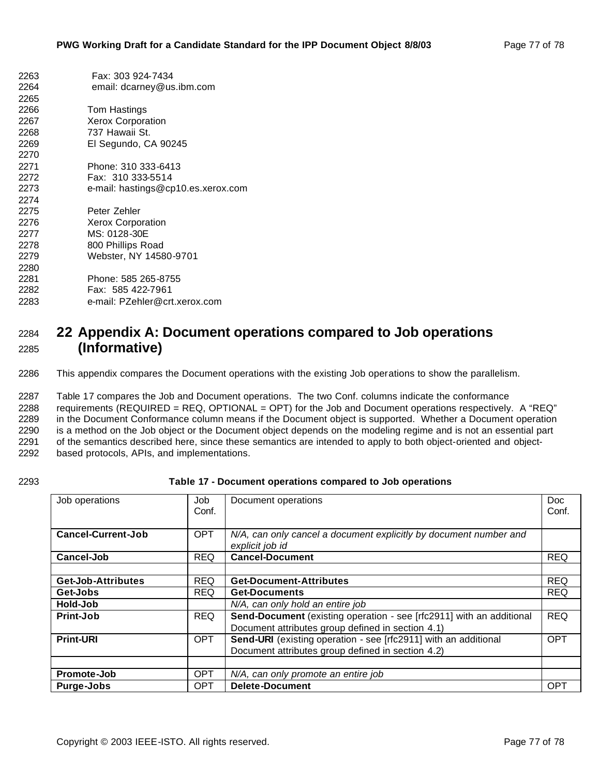| 2263 | Fax: 303 924-7434                  |
|------|------------------------------------|
| 2264 | email: dcarney@us.ibm.com          |
| 2265 |                                    |
| 2266 | Tom Hastings                       |
| 2267 | <b>Xerox Corporation</b>           |
| 2268 | 737 Hawaii St.                     |
| 2269 | El Segundo, CA 90245               |
| 2270 |                                    |
| 2271 | Phone: 310 333-6413                |
| 2272 | Fax: 310 333-5514                  |
| 2273 | e-mail: hastings@cp10.es.xerox.com |
| 2274 |                                    |
| 2275 | Peter Zehler                       |
| 2276 | <b>Xerox Corporation</b>           |
| 2277 | MS: 0128-30E                       |
| 2278 | 800 Phillips Road                  |
| 2279 | Webster, NY 14580-9701             |
| 2280 |                                    |
| 2281 | Phone: 585 265-8755                |
| 2282 | Fax: 585 422-7961                  |
| 2283 | e-mail: PZehler@crt.xerox.com      |

# **22 Appendix A: Document operations compared to Job operations (Informative)**

This appendix compares the Document operations with the existing Job operations to show the parallelism.

 Table 17 compares the Job and Document operations. The two Conf. columns indicate the conformance requirements (REQUIRED = REQ, OPTIONAL = OPT) for the Job and Document operations respectively. A "REQ" in the Document Conformance column means if the Document object is supported. Whether a Document operation is a method on the Job object or the Document object depends on the modeling regime and is not an essential part of the semantics described here, since these semantics are intended to apply to both object-oriented and object-based protocols, APIs, and implementations.

#### **Table 17 - Document operations compared to Job operations**

| Job operations            | Job<br>Conf. | Document operations                                                                                                       | <b>Doc</b><br>Conf. |
|---------------------------|--------------|---------------------------------------------------------------------------------------------------------------------------|---------------------|
| <b>Cancel-Current-Job</b> | <b>OPT</b>   | N/A, can only cancel a document explicitly by document number and<br>explicit job id                                      |                     |
| Cancel-Job                | <b>REQ</b>   | <b>Cancel-Document</b>                                                                                                    | <b>REQ</b>          |
|                           |              |                                                                                                                           |                     |
| <b>Get-Job-Attributes</b> | <b>REQ</b>   | <b>Get-Document-Attributes</b>                                                                                            | <b>REQ</b>          |
| Get-Jobs                  | <b>REQ</b>   | <b>Get-Documents</b>                                                                                                      | <b>REQ</b>          |
| Hold-Job                  |              | N/A, can only hold an entire job                                                                                          |                     |
| Print-Job                 | <b>REQ</b>   | Send-Document (existing operation - see [rfc2911] with an additional<br>Document attributes group defined in section 4.1) | <b>REQ</b>          |
| <b>Print-URI</b>          | <b>OPT</b>   | Send-URI (existing operation - see [rfc2911] with an additional<br>Document attributes group defined in section 4.2)      | <b>OPT</b>          |
|                           |              |                                                                                                                           |                     |
| Promote-Job               | <b>OPT</b>   | N/A, can only promote an entire job                                                                                       |                     |
| Purge-Jobs                | <b>OPT</b>   | <b>Delete-Document</b>                                                                                                    | <b>OPT</b>          |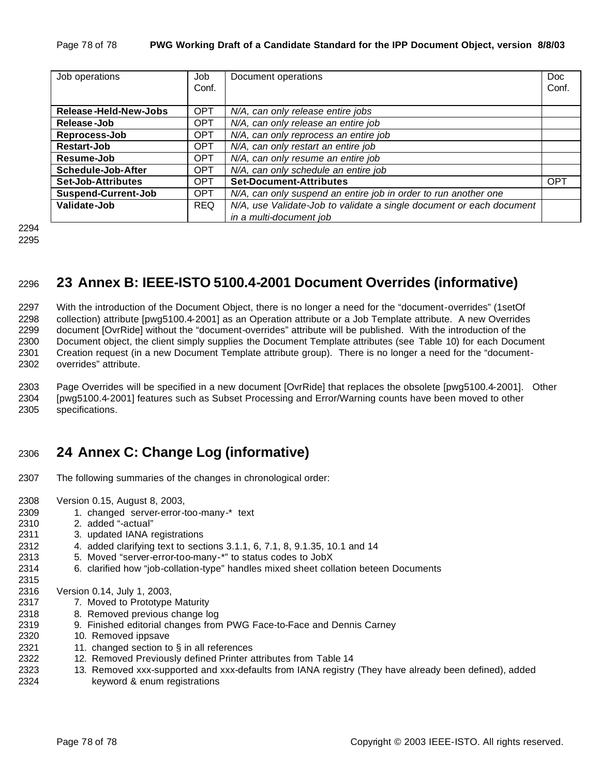| Job operations               | Job<br>Conf. | Document operations                                                  | Doc.<br>Conf. |
|------------------------------|--------------|----------------------------------------------------------------------|---------------|
| <b>Release-Held-New-Jobs</b> | <b>OPT</b>   | N/A, can only release entire jobs                                    |               |
| Release-Job                  | <b>OPT</b>   | N/A, can only release an entire job                                  |               |
| Reprocess-Job                | <b>OPT</b>   | N/A, can only reprocess an entire job                                |               |
| Restart-Job                  | <b>OPT</b>   | N/A, can only restart an entire job                                  |               |
| Resume-Job                   | <b>OPT</b>   | N/A, can only resume an entire job                                   |               |
| Schedule-Job-After           | <b>OPT</b>   | N/A, can only schedule an entire job                                 |               |
| <b>Set-Job-Attributes</b>    | <b>OPT</b>   | <b>Set-Document-Attributes</b>                                       | <b>OPT</b>    |
| <b>Suspend-Current-Job</b>   | <b>OPT</b>   | N/A, can only suspend an entire job in order to run another one      |               |
| Validate-Job                 | <b>REQ</b>   | N/A, use Validate-Job to validate a single document or each document |               |
|                              |              | in a multi-document job                                              |               |

```
2294
2295
```
# **23 Annex B: IEEE-ISTO 5100.4-2001 Document Overrides (informative)**

 With the introduction of the Document Object, there is no longer a need for the "document-overrides" (1setOf collection) attribute [pwg5100.4-2001] as an Operation attribute or a Job Template attribute. A new Overrides document [OvrRide] without the "document-overrides" attribute will be published. With the introduction of the Document object, the client simply supplies the Document Template attributes (see Table 10) for each Document Creation request (in a new Document Template attribute group). There is no longer a need for the "document-overrides" attribute.

 Page Overrides will be specified in a new document [OvrRide] that replaces the obsolete [pwg5100.4-2001]. Other [pwg5100.4-2001] features such as Subset Processing and Error/Warning counts have been moved to other specifications.

# **24 Annex C: Change Log (informative)**

- The following summaries of the changes in chronological order:
- Version 0.15, August 8, 2003,
- 2309 1. changed server-error-too-many-\* text
- 2. added "-actual"

- 3. updated IANA registrations
- 4. added clarifying text to sections 3.1.1, 6, 7.1, 8, 9.1.35, 10.1 and 14
- 5. Moved "server-error-too-many-\*" to status codes to JobX
- 6. clarified how "job-collation-type" handles mixed sheet collation beteen Documents

Version 0.14, July 1, 2003,

- 7. Moved to Prototype Maturity
- 8. Removed previous change log
- 9. Finished editorial changes from PWG Face-to-Face and Dennis Carney
- 10. Removed ippsave
- 2321 11. changed section to  $\S$  in all references
- 12. Removed Previously defined Printer attributes from Table 14
- 13. Removed xxx-supported and xxx-defaults from IANA registry (They have already been defined), added keyword & enum registrations